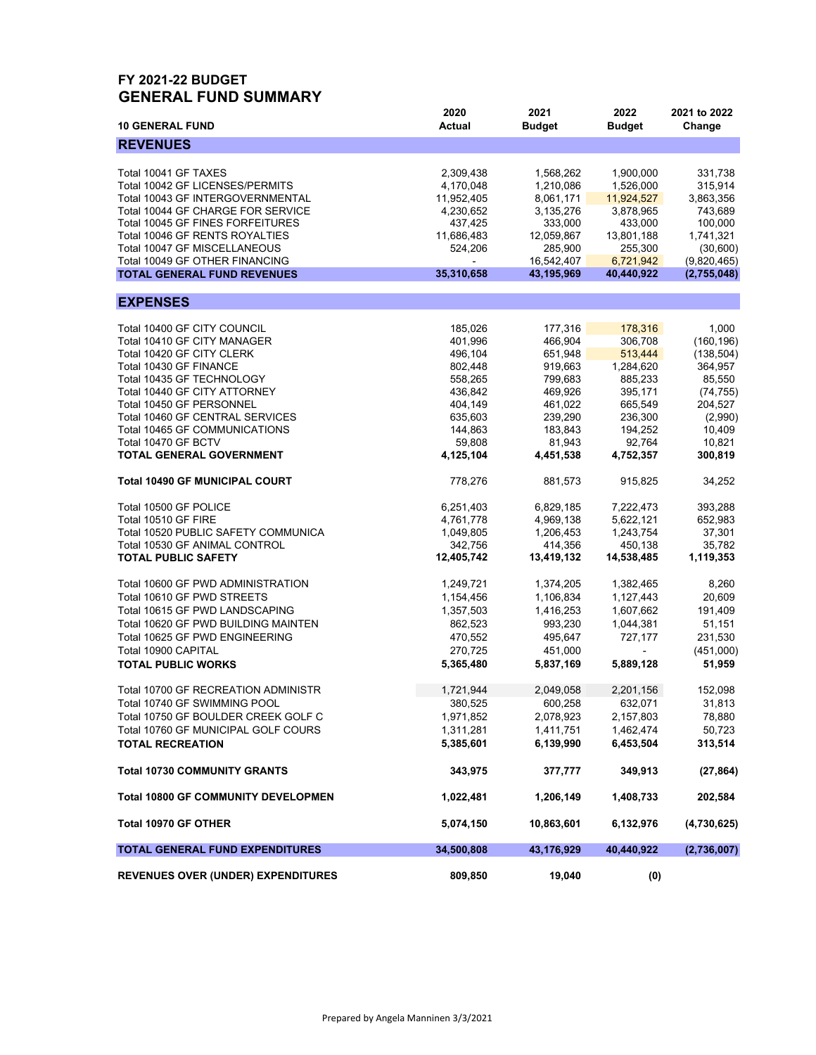#### **FY 2021-22 BUDGET GENERAL FUND SUMMARY**

| <b>10 GENERAL FUND</b>                                     | 2020<br><b>Actual</b> | 2021<br><b>Budget</b>  | 2022<br><b>Budget</b>  | 2021 to 2022<br>Change |
|------------------------------------------------------------|-----------------------|------------------------|------------------------|------------------------|
| <b>REVENUES</b>                                            |                       |                        |                        |                        |
|                                                            |                       |                        |                        |                        |
| Total 10041 GF TAXES                                       | 2,309,438             | 1,568,262              | 1,900,000              | 331,738                |
| Total 10042 GF LICENSES/PERMITS                            | 4,170,048             | 1,210,086              | 1,526,000              | 315,914                |
| Total 10043 GF INTERGOVERNMENTAL                           | 11,952,405            | 8,061,171              | 11,924,527             | 3,863,356              |
| Total 10044 GF CHARGE FOR SERVICE                          | 4,230,652             | 3,135,276              | 3,878,965              | 743,689                |
| Total 10045 GF FINES FORFEITURES                           | 437,425               | 333,000                | 433,000                | 100,000                |
| Total 10046 GF RENTS ROYALTIES                             | 11,686,483            | 12,059,867             | 13,801,188             | 1,741,321              |
| Total 10047 GF MISCELLANEOUS                               | 524,206               | 285,900                | 255,300                | (30,600)               |
| Total 10049 GF OTHER FINANCING                             |                       | 16,542,407             | 6,721,942              | (9,820,465)            |
| <b>TOTAL GENERAL FUND REVENUES</b>                         | 35,310,658            | 43,195,969             | 40,440,922             | (2,755,048)            |
| <b>EXPENSES</b>                                            |                       |                        |                        |                        |
|                                                            |                       |                        |                        |                        |
| Total 10400 GF CITY COUNCIL                                | 185,026               | 177,316                | 178,316                | 1,000                  |
| Total 10410 GF CITY MANAGER                                | 401,996               | 466,904                | 306,708                | (160, 196)             |
| Total 10420 GF CITY CLERK                                  | 496,104               | 651,948                | 513,444                | (138, 504)             |
| Total 10430 GF FINANCE                                     | 802,448               | 919,663                | 1,284,620              | 364,957                |
| Total 10435 GF TECHNOLOGY                                  | 558,265               | 799,683                | 885,233                | 85,550                 |
| Total 10440 GF CITY ATTORNEY                               | 436,842               | 469,926                | 395,171                | (74, 755)              |
| Total 10450 GF PERSONNEL                                   | 404,149               | 461,022                | 665,549                | 204,527                |
| Total 10460 GF CENTRAL SERVICES                            | 635,603               | 239,290                | 236,300                | (2,990)                |
| Total 10465 GF COMMUNICATIONS                              | 144,863               | 183,843                | 194,252                | 10,409                 |
| Total 10470 GF BCTV                                        | 59,808                | 81,943                 | 92,764                 | 10,821                 |
| TOTAL GENERAL GOVERNMENT                                   | 4,125,104             | 4,451,538              | 4,752,357              | 300,819                |
| <b>Total 10490 GF MUNICIPAL COURT</b>                      | 778,276               | 881,573                | 915,825                | 34,252                 |
| Total 10500 GF POLICE                                      |                       | 6,829,185              | 7,222,473              | 393,288                |
|                                                            | 6,251,403             |                        |                        |                        |
| Total 10510 GF FIRE<br>Total 10520 PUBLIC SAFETY COMMUNICA | 4,761,778             | 4,969,138<br>1,206,453 | 5,622,121<br>1,243,754 | 652,983<br>37,301      |
| Total 10530 GF ANIMAL CONTROL                              | 1,049,805<br>342,756  | 414,356                | 450,138                | 35,782                 |
|                                                            |                       |                        |                        |                        |
| <b>TOTAL PUBLIC SAFETY</b>                                 | 12,405,742            | 13,419,132             | 14,538,485             | 1,119,353              |
| Total 10600 GF PWD ADMINISTRATION                          | 1,249,721             | 1,374,205              | 1,382,465              | 8,260                  |
| Total 10610 GF PWD STREETS                                 | 1,154,456             | 1,106,834              | 1,127,443              | 20,609                 |
| Total 10615 GF PWD LANDSCAPING                             | 1,357,503             | 1,416,253              | 1,607,662              | 191,409                |
| Total 10620 GF PWD BUILDING MAINTEN                        | 862,523               | 993,230                | 1,044,381              | 51,151                 |
| Total 10625 GF PWD ENGINEERING                             | 470,552               | 495,647                | 727,177                | 231,530                |
| Total 10900 CAPITAL                                        | 270,725               | 451,000                |                        | (451,000)              |
| <b>TOTAL PUBLIC WORKS</b>                                  | 5,365,480             | 5,837,169              | 5,889,128              | 51,959                 |
|                                                            |                       |                        |                        |                        |
| Total 10700 GF RECREATION ADMINISTR                        | 1,721,944             | 2,049,058              | 2,201,156              | 152,098                |
| Total 10740 GF SWIMMING POOL                               | 380,525               | 600,258                | 632,071                | 31,813                 |
| Total 10750 GF BOULDER CREEK GOLF C                        | 1,971,852             | 2,078,923              | 2,157,803              | 78,880                 |
| Total 10760 GF MUNICIPAL GOLF COURS                        | 1,311,281             | 1,411,751              | 1,462,474              | 50,723                 |
| <b>TOTAL RECREATION</b>                                    | 5,385,601             | 6,139,990              | 6,453,504              | 313,514                |
| <b>Total 10730 COMMUNITY GRANTS</b>                        | 343,975               | 377,777                | 349,913                | (27, 864)              |
| <b>Total 10800 GF COMMUNITY DEVELOPMEN</b>                 | 1,022,481             | 1,206,149              | 1,408,733              | 202,584                |
| Total 10970 GF OTHER                                       | 5,074,150             | 10,863,601             | 6,132,976              | (4,730,625)            |
| TOTAL GENERAL FUND EXPENDITURES                            | 34,500,808            | 43,176,929             | 40,440,922             | (2,736,007)            |
| <b>REVENUES OVER (UNDER) EXPENDITURES</b>                  | 809,850               | 19,040                 | (0)                    |                        |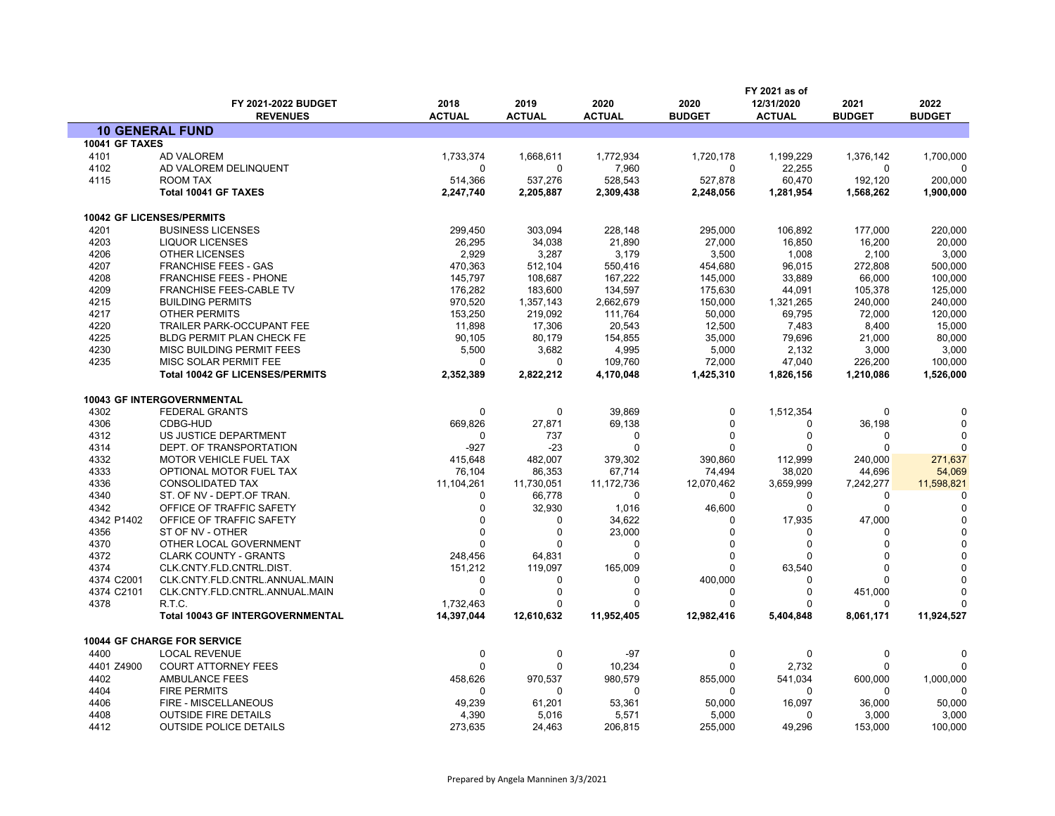|                       | FY 2021-2022 BUDGET<br><b>REVENUES</b>  | 2018<br><b>ACTUAL</b> | 2019<br><b>ACTUAL</b> | 2020<br><b>ACTUAL</b> | 2020<br><b>BUDGET</b> | FY 2021 as of<br>12/31/2020<br><b>ACTUAL</b> | 2021<br><b>BUDGET</b> | 2022<br><b>BUDGET</b> |
|-----------------------|-----------------------------------------|-----------------------|-----------------------|-----------------------|-----------------------|----------------------------------------------|-----------------------|-----------------------|
|                       | <b>10 GENERAL FUND</b>                  |                       |                       |                       |                       |                                              |                       |                       |
| <b>10041 GF TAXES</b> |                                         |                       |                       |                       |                       |                                              |                       |                       |
|                       |                                         |                       |                       |                       |                       |                                              |                       |                       |
| 4101                  | <b>AD VALOREM</b>                       | 1,733,374             | 1,668,611             | 1,772,934             | 1,720,178             | 1,199,229                                    | 1,376,142             | 1,700,000             |
| 4102                  | AD VALOREM DELINQUENT                   | $\Omega$              | 0                     | 7,960                 | 0                     | 22,255                                       | 0                     |                       |
| 4115                  | <b>ROOM TAX</b>                         | 514,366               | 537,276               | 528,543               | 527,878               | 60,470                                       | 192,120               | 200,000               |
|                       | Total 10041 GF TAXES                    | 2,247,740             | 2,205,887             | 2,309,438             | 2,248,056             | 1,281,954                                    | 1,568,262             | 1,900,000             |
|                       | 10042 GF LICENSES/PERMITS               |                       |                       |                       |                       |                                              |                       |                       |
| 4201                  | <b>BUSINESS LICENSES</b>                | 299,450               | 303,094               | 228,148               | 295,000               | 106,892                                      | 177,000               | 220,000               |
| 4203                  | <b>LIQUOR LICENSES</b>                  | 26,295                | 34,038                | 21,890                | 27,000                | 16,850                                       | 16,200                | 20,000                |
| 4206                  | <b>OTHER LICENSES</b>                   | 2,929                 | 3,287                 | 3,179                 | 3,500                 | 1,008                                        | 2,100                 | 3,000                 |
| 4207                  | <b>FRANCHISE FEES - GAS</b>             | 470,363               | 512,104               | 550,416               | 454,680               | 96,015                                       | 272,808               | 500,000               |
| 4208                  | <b>FRANCHISE FEES - PHONE</b>           | 145,797               | 108,687               | 167,222               | 145,000               | 33,889                                       | 66,000                | 100,000               |
| 4209                  | <b>FRANCHISE FEES-CABLE TV</b>          | 176,282               | 183,600               | 134,597               | 175,630               | 44,091                                       | 105,378               | 125,000               |
| 4215                  | <b>BUILDING PERMITS</b>                 | 970,520               | 1,357,143             | 2,662,679             | 150,000               | 1,321,265                                    | 240,000               | 240,000               |
| 4217                  | <b>OTHER PERMITS</b>                    | 153,250               | 219,092               | 111,764               | 50,000                | 69,795                                       | 72,000                | 120,000               |
| 4220                  | TRAILER PARK-OCCUPANT FEE               | 11,898                | 17,306                | 20,543                | 12,500                | 7,483                                        | 8,400                 | 15,000                |
| 4225                  | BLDG PERMIT PLAN CHECK FE               | 90,105                | 80,179                | 154,855               | 35,000                | 79,696                                       | 21,000                | 80,000                |
| 4230                  | MISC BUILDING PERMIT FEES               | 5,500                 | 3,682                 | 4,995                 | 5,000                 | 2,132                                        | 3,000                 | 3,000                 |
| 4235                  | MISC SOLAR PERMIT FEE                   | $\Omega$              | 0                     | 109,760               | 72,000                | 47,040                                       | 226,200               | 100,000               |
|                       | <b>Total 10042 GF LICENSES/PERMITS</b>  | 2,352,389             | 2,822,212             | 4,170,048             | 1,425,310             | 1,826,156                                    | 1,210,086             | 1,526,000             |
|                       |                                         |                       |                       |                       |                       |                                              |                       |                       |
|                       | 10043 GF INTERGOVERNMENTAL              |                       |                       |                       |                       |                                              |                       |                       |
| 4302                  | <b>FEDERAL GRANTS</b>                   | 0                     | 0                     | 39,869                | 0                     | 1,512,354                                    | 0                     |                       |
| 4306                  | CDBG-HUD                                | 669,826               | 27,871                | 69,138                | $\mathbf{0}$          | $\Omega$                                     | 36,198                |                       |
| 4312                  | US JUSTICE DEPARTMENT                   | $\Omega$              | 737                   | $\Omega$              | 0                     | $\mathbf 0$                                  | $\Omega$              | $\Omega$              |
| 4314                  | DEPT. OF TRANSPORTATION                 | $-927$                | $-23$                 | $\Omega$              | $\Omega$              | $\Omega$                                     | $\Omega$              | $\Omega$              |
| 4332                  | MOTOR VEHICLE FUEL TAX                  | 415,648               | 482,007               | 379,302               | 390,860               | 112,999                                      | 240,000               | 271,637               |
| 4333                  | OPTIONAL MOTOR FUEL TAX                 | 76,104                | 86,353                | 67,714                | 74,494                | 38,020                                       | 44,696                | 54,069                |
| 4336                  | <b>CONSOLIDATED TAX</b>                 | 11,104,261            | 11,730,051            | 11,172,736            | 12,070,462            | 3,659,999                                    | 7,242,277             | 11,598,821            |
| 4340                  | ST. OF NV - DEPT.OF TRAN.               | $\Omega$              | 66,778                | $\Omega$              | 0                     | $\Omega$                                     | 0                     | $\Omega$              |
| 4342                  | OFFICE OF TRAFFIC SAFETY                | 0                     | 32,930                | 1,016                 | 46,600                | 0                                            | 0                     | $\Omega$              |
| 4342 P1402            | OFFICE OF TRAFFIC SAFETY                | $\Omega$              | 0                     | 34,622                | 0                     | 17,935                                       | 47,000                |                       |
| 4356                  | ST OF NV - OTHER                        | $\Omega$              | 0                     | 23,000                | $\Omega$              | $\Omega$                                     | 0                     |                       |
| 4370                  | OTHER LOCAL GOVERNMENT                  | $\Omega$              | 0                     | $\Omega$              | $\Omega$              | $\Omega$                                     | 0                     |                       |
| 4372                  | <b>CLARK COUNTY - GRANTS</b>            | 248,456               | 64,831                | 0                     | $\Omega$              | $\Omega$                                     | 0                     |                       |
| 4374                  | CLK.CNTY.FLD.CNTRL.DIST.                | 151,212               | 119,097               | 165,009               | $\Omega$              | 63,540                                       | 0                     |                       |
| 4374 C2001            | CLK.CNTY.FLD.CNTRL.ANNUAL.MAIN          | $\Omega$              | 0                     | 0                     | 400,000               | $\Omega$                                     | 0                     |                       |
| 4374 C2101            | CLK.CNTY.FLD.CNTRL.ANNUAL.MAIN          | $\Omega$              | 0                     | $\Omega$              | $\Omega$              | $\Omega$                                     | 451,000               |                       |
| 4378                  | R.T.C.                                  | 1,732,463             | 0                     | O                     | $\Omega$              | $\Omega$                                     | 0                     |                       |
|                       | <b>Total 10043 GF INTERGOVERNMENTAL</b> | 14,397,044            | 12,610,632            | 11,952,405            | 12,982,416            | 5,404,848                                    | 8,061,171             | 11,924,527            |
|                       |                                         |                       |                       |                       |                       |                                              |                       |                       |
|                       | <b>10044 GF CHARGE FOR SERVICE</b>      |                       |                       |                       |                       |                                              |                       |                       |
| 4400                  | <b>LOCAL REVENUE</b>                    | $\mathbf 0$           | 0                     | $-97$                 | 0                     | $\Omega$                                     | 0                     | $\Omega$              |
| 4401 Z4900            | <b>COURT ATTORNEY FEES</b>              | $\mathbf 0$           | 0                     | 10,234                | $\mathbf 0$           | 2,732                                        | 0                     | $\Omega$              |
| 4402                  | <b>AMBULANCE FEES</b>                   | 458,626               | 970,537               | 980,579               | 855,000               | 541,034                                      | 600,000               | 1,000,000             |
| 4404                  | <b>FIRE PERMITS</b>                     | $\Omega$              | 0                     | $\Omega$              | 0                     | 0                                            | 0                     | ∩                     |
| 4406                  | FIRE - MISCELLANEOUS                    | 49,239                | 61,201                | 53,361                | 50,000                | 16,097                                       | 36,000                | 50,000                |
| 4408                  | <b>OUTSIDE FIRE DETAILS</b>             | 4,390                 | 5,016                 | 5,571                 | 5,000                 | $\Omega$                                     | 3,000                 | 3,000                 |
| 4412                  | <b>OUTSIDE POLICE DETAILS</b>           | 273,635               | 24,463                | 206,815               | 255,000               | 49,296                                       | 153,000               | 100,000               |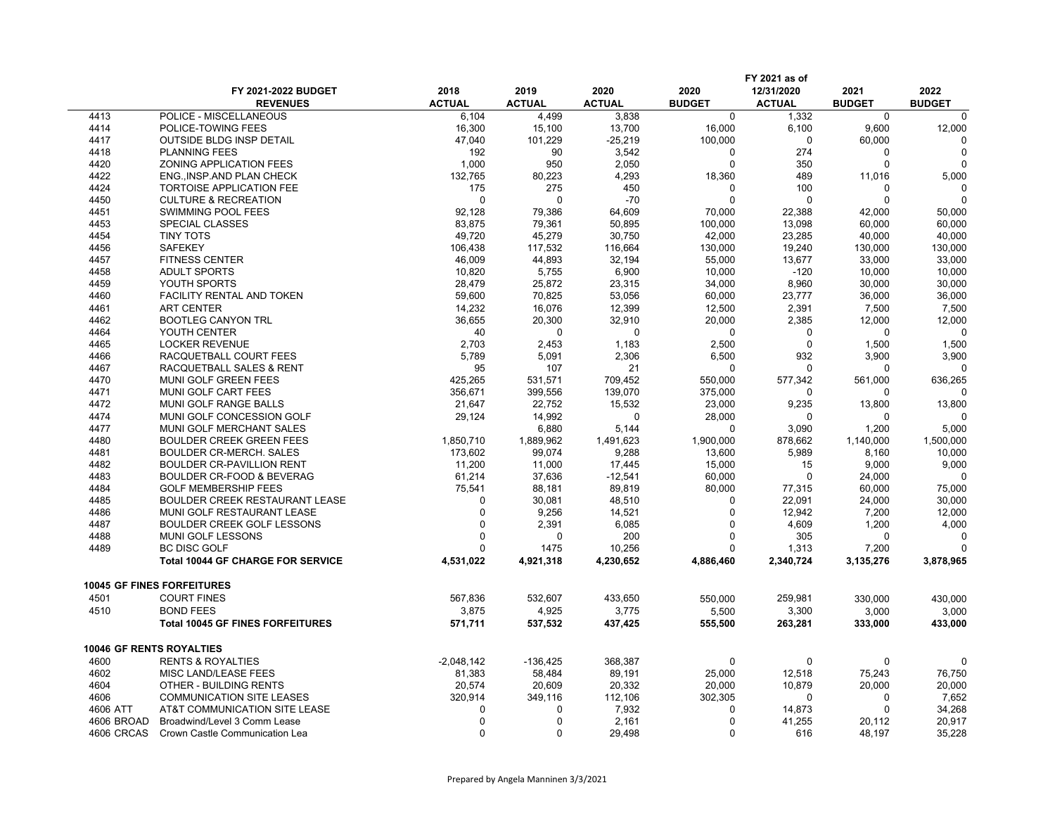|                                 |                                          |               |               |               |               | FY 2021 as of |               |               |
|---------------------------------|------------------------------------------|---------------|---------------|---------------|---------------|---------------|---------------|---------------|
|                                 | FY 2021-2022 BUDGET                      | 2018          | 2019          | 2020          | 2020          | 12/31/2020    | 2021          | 2022          |
|                                 | <b>REVENUES</b>                          | <b>ACTUAL</b> | <b>ACTUAL</b> | <b>ACTUAL</b> | <b>BUDGET</b> | <b>ACTUAL</b> | <b>BUDGET</b> | <b>BUDGET</b> |
| 4413                            | POLICE - MISCELLANEOUS                   | 6,104         | 4,499         | 3,838         | $\mathbf 0$   | 1,332         | $\mathbf 0$   | $\Omega$      |
| 4414                            | POLICE-TOWING FEES                       | 16,300        | 15,100        | 13,700        | 16,000        | 6,100         | 9,600         | 12,000        |
| 4417                            | <b>OUTSIDE BLDG INSP DETAIL</b>          | 47,040        | 101,229       | $-25,219$     | 100,000       | 0             | 60,000        | $\Omega$      |
| 4418                            | <b>PLANNING FEES</b>                     | 192           | 90            | 3,542         | $\mathbf{0}$  | 274           | 0             | $\Omega$      |
| 4420                            | ZONING APPLICATION FEES                  | 1,000         | 950           | 2,050         | 0             | 350           | 0             | ∩             |
| 4422                            | ENG., INSP.AND PLAN CHECK                | 132,765       | 80,223        | 4,293         | 18,360        | 489           | 11,016        | 5,000         |
| 4424                            | <b>TORTOISE APPLICATION FEE</b>          | 175           | 275           | 450           | $\Omega$      | 100           | 0             | ∩             |
| 4450                            | <b>CULTURE &amp; RECREATION</b>          | $\Omega$      | 0             | $-70$         | 0             | $\Omega$      | 0             |               |
| 4451                            | SWIMMING POOL FEES                       | 92,128        | 79,386        | 64,609        | 70,000        | 22,388        | 42,000        | 50,000        |
| 4453                            | <b>SPECIAL CLASSES</b>                   | 83,875        | 79,361        | 50,895        | 100,000       | 13,098        | 60,000        | 60,000        |
| 4454                            | <b>TINY TOTS</b>                         | 49,720        | 45,279        | 30,750        | 42,000        | 23,285        | 40,000        | 40,000        |
| 4456                            | <b>SAFEKEY</b>                           | 106,438       | 117,532       | 116,664       | 130,000       | 19,240        | 130,000       | 130,000       |
| 4457                            | <b>FITNESS CENTER</b>                    | 46,009        | 44,893        | 32,194        | 55,000        | 13.677        | 33,000        | 33,000        |
| 4458                            | <b>ADULT SPORTS</b>                      | 10,820        | 5,755         | 6,900         | 10,000        | $-120$        | 10,000        | 10,000        |
| 4459                            | YOUTH SPORTS                             | 28,479        | 25,872        | 23,315        | 34,000        | 8,960         | 30,000        | 30,000        |
| 4460                            | <b>FACILITY RENTAL AND TOKEN</b>         | 59,600        | 70,825        | 53,056        | 60,000        | 23,777        | 36,000        | 36,000        |
| 4461                            | <b>ART CENTER</b>                        | 14,232        | 16,076        | 12,399        | 12,500        | 2,391         | 7,500         | 7,500         |
| 4462                            | <b>BOOTLEG CANYON TRL</b>                | 36,655        | 20,300        | 32,910        | 20,000        | 2,385         | 12,000        | 12,000        |
| 4464                            | YOUTH CENTER                             | 40            | 0             | $\Omega$      | $\mathbf 0$   | $\Omega$      | 0             | ∩             |
| 4465                            | <b>LOCKER REVENUE</b>                    | 2,703         | 2,453         | 1,183         | 2,500         | $\Omega$      | 1,500         | 1,500         |
| 4466                            | RACQUETBALL COURT FEES                   | 5,789         | 5,091         | 2,306         | 6,500         | 932           | 3,900         | 3,900         |
| 4467                            | RACQUETBALL SALES & RENT                 | 95            | 107           | 21            | 0             | $\Omega$      | 0             | $\Omega$      |
| 4470                            | MUNI GOLF GREEN FEES                     | 425,265       | 531,571       | 709,452       | 550,000       | 577,342       | 561,000       | 636,265       |
| 4471                            | MUNI GOLF CART FEES                      | 356,671       | 399,556       | 139,070       | 375,000       | $\Omega$      | 0             | ∩             |
| 4472                            | <b>MUNI GOLF RANGE BALLS</b>             | 21,647        | 22,752        | 15,532        | 23,000        | 9,235         | 13,800        | 13,800        |
| 4474                            | MUNI GOLF CONCESSION GOLF                | 29,124        | 14,992        | 0             | 28,000        | $\Omega$      | 0             | ∩             |
| 4477                            | MUNI GOLF MERCHANT SALES                 |               | 6,880         | 5,144         | $\mathbf{0}$  | 3.090         | 1,200         | 5,000         |
| 4480                            | <b>BOULDER CREEK GREEN FEES</b>          | 1,850,710     | 1,889,962     | 1,491,623     | 1,900,000     | 878,662       | 1,140,000     | 1,500,000     |
| 4481                            | <b>BOULDER CR-MERCH. SALES</b>           | 173,602       | 99,074        | 9,288         | 13,600        | 5,989         | 8,160         | 10,000        |
| 4482                            | <b>BOULDER CR-PAVILLION RENT</b>         | 11,200        | 11,000        | 17,445        | 15,000        | 15            | 9,000         | 9,000         |
| 4483                            | BOULDER CR-FOOD & BEVERAG                | 61,214        | 37,636        | $-12,541$     | 60,000        | $\Omega$      | 24,000        | $\Omega$      |
| 4484                            | <b>GOLF MEMBERSHIP FEES</b>              | 75,541        | 88,181        | 89,819        | 80,000        | 77,315        | 60,000        | 75,000        |
| 4485                            | BOULDER CREEK RESTAURANT LEASE           | $\Omega$      | 30,081        | 48,510        | 0             | 22,091        | 24,000        | 30,000        |
| 4486                            | MUNI GOLF RESTAURANT LEASE               | $\Omega$      | 9,256         | 14,521        | $\Omega$      | 12,942        | 7,200         | 12,000        |
| 4487                            | BOULDER CREEK GOLF LESSONS               | $\Omega$      | 2,391         | 6,085         | $\Omega$      | 4,609         | 1,200         | 4,000         |
| 4488                            | MUNI GOLF LESSONS                        | $\Omega$      | 0             | 200           | 0             | 305           | 0             | 0             |
| 4489                            | <b>BC DISC GOLF</b>                      | $\Omega$      | 1475          | 10,256        | $\Omega$      | 1,313         | 7,200         |               |
|                                 | <b>Total 10044 GF CHARGE FOR SERVICE</b> | 4,531,022     | 4,921,318     | 4,230,652     | 4,886,460     | 2,340,724     | 3,135,276     | 3,878,965     |
|                                 | <b>10045 GF FINES FORFEITURES</b>        |               |               |               |               |               |               |               |
| 4501                            | <b>COURT FINES</b>                       | 567,836       | 532,607       | 433,650       | 550,000       | 259,981       | 330,000       | 430,000       |
| 4510                            | <b>BOND FEES</b>                         | 3,875         | 4,925         | 3,775         | 5,500         | 3,300         | 3,000         | 3,000         |
|                                 | <b>Total 10045 GF FINES FORFEITURES</b>  | 571,711       | 537,532       | 437,425       | 555,500       | 263,281       | 333,000       | 433,000       |
| <b>10046 GF RENTS ROYALTIES</b> |                                          |               |               |               |               |               |               |               |
| 4600                            | <b>RENTS &amp; ROYALTIES</b>             | $-2,048,142$  | $-136,425$    | 368,387       | 0             | $\Omega$      | 0             | $\Omega$      |
| 4602                            | MISC LAND/LEASE FEES                     | 81,383        | 58,484        | 89,191        | 25,000        | 12,518        | 75,243        | 76,750        |
| 4604                            | OTHER - BUILDING RENTS                   | 20,574        | 20,609        | 20,332        | 20,000        | 10,879        | 20,000        | 20,000        |
| 4606                            | <b>COMMUNICATION SITE LEASES</b>         | 320,914       | 349,116       | 112,106       | 302,305       | $\Omega$      | 0             | 7,652         |
|                                 | AT&T COMMUNICATION SITE LEASE            | $\Omega$      | 0             | 7,932         | 0             | 14,873        | 0             | 34,268        |
|                                 |                                          |               |               |               |               |               |               |               |
| 4606 ATT<br>4606 BROAD          | Broadwind/Level 3 Comm Lease             | $\Omega$      | 0             | 2,161         | 0             | 41,255        | 20,112        | 20,917        |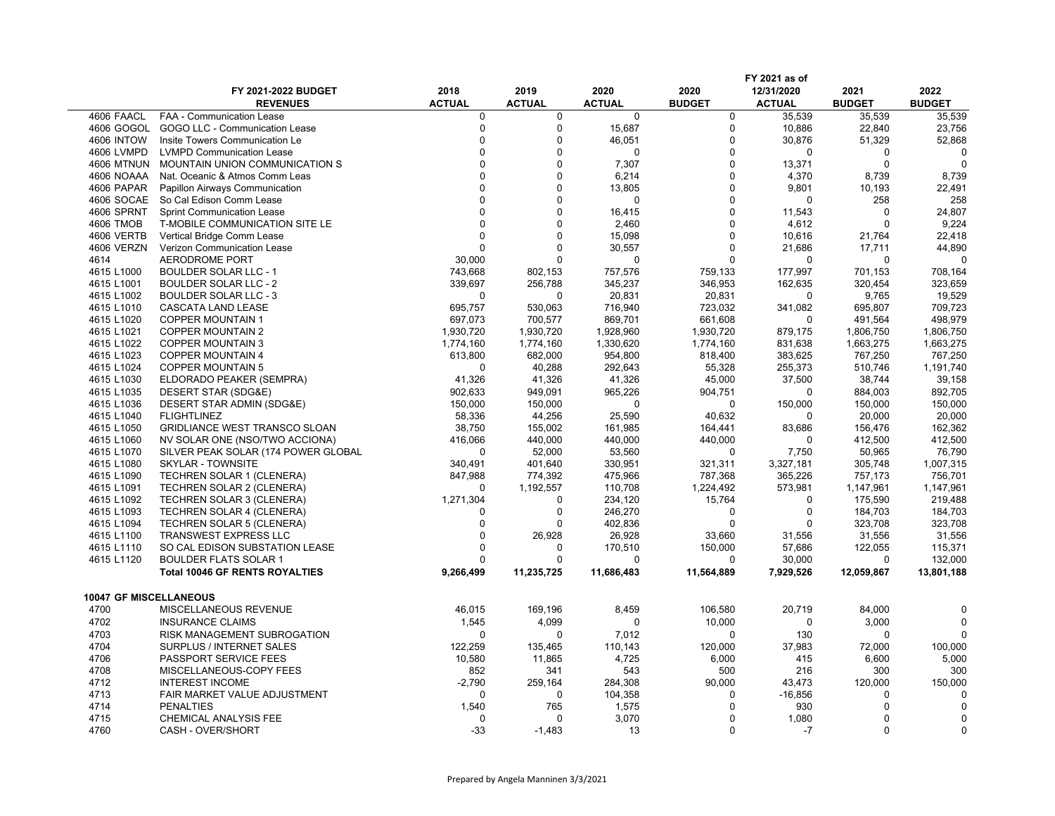|                        |                                        |                       |                       |                       |                       | FY 2021 as of               |                       |                       |
|------------------------|----------------------------------------|-----------------------|-----------------------|-----------------------|-----------------------|-----------------------------|-----------------------|-----------------------|
|                        | FY 2021-2022 BUDGET<br><b>REVENUES</b> | 2018<br><b>ACTUAL</b> | 2019<br><b>ACTUAL</b> | 2020<br><b>ACTUAL</b> | 2020<br><b>BUDGET</b> | 12/31/2020<br><b>ACTUAL</b> | 2021<br><b>BUDGET</b> | 2022<br><b>BUDGET</b> |
| 4606 FAACL             | <b>FAA - Communication Lease</b>       | 0                     | 0                     | 0                     | $\mathbf 0$           | 35,539                      | 35,539                | 35,539                |
| 4606 GOGOL             | GOGO LLC - Communication Lease         | $\mathbf 0$           | $\mathbf 0$           | 15,687                | $\pmb{0}$             | 10,886                      | 22,840                | 23,756                |
| <b>4606 INTOW</b>      | Insite Towers Communication Le         | 0                     | $\Omega$              | 46,051                | $\mathbf 0$           | 30,876                      | 51,329                | 52,868                |
| 4606 LVMPD             | <b>LVMPD Communication Lease</b>       | $\Omega$              | $\Omega$              | 0                     | $\Omega$              | $\Omega$                    | 0                     |                       |
| <b>4606 MTNUN</b>      | MOUNTAIN UNION COMMUNICATION S         | $\Omega$              | $\Omega$              | 7,307                 | $\mathbf 0$           | 13,371                      | $\Omega$              | $\Omega$              |
| 4606 NOAAA             | Nat. Oceanic & Atmos Comm Leas         | $\Omega$              | $\Omega$              | 6,214                 | $\Omega$              | 4,370                       | 8,739                 | 8,739                 |
| 4606 PAPAR             | Papillon Airways Communication         | $\Omega$              | $\Omega$              | 13,805                | $\mathbf 0$           | 9,801                       | 10,193                | 22,491                |
| 4606 SOCAE             | So Cal Edison Comm Lease               | $\Omega$              | $\Omega$              | 0                     | $\mathbf 0$           | $\Omega$                    | 258                   | 258                   |
| 4606 SPRNT             | <b>Sprint Communication Lease</b>      | $\Omega$              | $\Omega$              | 16,415                | $\mathbf 0$           | 11,543                      | 0                     | 24,807                |
| 4606 TMOB              | T-MOBILE COMMUNICATION SITE LE         | $\Omega$              | $\Omega$              | 2,460                 | $\Omega$              | 4,612                       | $\Omega$              | 9,224                 |
| 4606 VERTB             | Vertical Bridge Comm Lease             | $\mathbf{0}$          | $\mathbf 0$           | 15,098                | $\mathbf 0$           | 10,616                      | 21,764                | 22,418                |
| 4606 VERZN             |                                        | $\Omega$              | $\Omega$              |                       | $\Omega$              | 21.686                      | 17,711                | 44,890                |
|                        | Verizon Communication Lease            |                       | $\Omega$              | 30,557                | $\Omega$              | $\Omega$                    | $\Omega$              |                       |
| 4614                   | AERODROME PORT                         | 30,000                |                       | 0                     |                       |                             |                       |                       |
| 4615 L1000             | <b>BOULDER SOLAR LLC - 1</b>           | 743,668               | 802,153               | 757,576               | 759,133               | 177,997                     | 701,153               | 708,164               |
| 4615 L1001             | <b>BOULDER SOLAR LLC - 2</b>           | 339,697               | 256,788               | 345,237               | 346,953               | 162,635                     | 320,454               | 323,659               |
| 4615 L1002             | <b>BOULDER SOLAR LLC - 3</b>           | 0                     | $\Omega$              | 20,831                | 20,831                | $\Omega$                    | 9,765                 | 19,529                |
| 4615 L1010             | CASCATA LAND LEASE                     | 695,757               | 530,063               | 716,940               | 723,032               | 341,082                     | 695,807               | 709,723               |
| 4615 L1020             | <b>COPPER MOUNTAIN 1</b>               | 697,073               | 700,577               | 869,701               | 661,608               | 0                           | 491,564               | 498,979               |
| 4615 L1021             | <b>COPPER MOUNTAIN 2</b>               | 1,930,720             | 1,930,720             | 1,928,960             | 1,930,720             | 879,175                     | 1,806,750             | 1,806,750             |
| 4615 L1022             | <b>COPPER MOUNTAIN 3</b>               | 1,774,160             | 1,774,160             | 1,330,620             | 1,774,160             | 831,638                     | 1,663,275             | 1,663,275             |
| 4615 L1023             | <b>COPPER MOUNTAIN 4</b>               | 613,800               | 682,000               | 954,800               | 818,400               | 383,625                     | 767,250               | 767,250               |
| 4615 L1024             | <b>COPPER MOUNTAIN 5</b>               | 0                     | 40,288                | 292,643               | 55,328                | 255,373                     | 510,746               | 1,191,740             |
| 4615 L1030             | ELDORADO PEAKER (SEMPRA)               | 41,326                | 41,326                | 41,326                | 45,000                | 37,500                      | 38,744                | 39,158                |
| 4615 L1035             | DESERT STAR (SDG&E)                    | 902,633               | 949,091               | 965,226               | 904,751               | $\Omega$                    | 884,003               | 892,705               |
| 4615 L1036             | DESERT STAR ADMIN (SDG&E)              | 150,000               | 150,000               | 0                     | $\Omega$              | 150,000                     | 150,000               | 150,000               |
| 4615 L1040             | <b>FLIGHTLINEZ</b>                     | 58,336                | 44,256                | 25,590                | 40,632                | 0                           | 20,000                | 20,000                |
| 4615 L1050             | <b>GRIDLIANCE WEST TRANSCO SLOAN</b>   | 38,750                | 155,002               | 161,985               | 164,441               | 83,686                      | 156,476               | 162,362               |
| 4615 L1060             | NV SOLAR ONE (NSO/TWO ACCIONA)         | 416,066               | 440,000               | 440,000               | 440,000               | $\Omega$                    | 412,500               | 412,500               |
| 4615 L1070             | SILVER PEAK SOLAR (174 POWER GLOBAL    | $\mathbf 0$           | 52,000                | 53,560                | $\mathbf 0$           | 7,750                       | 50,965                | 76,790                |
| 4615 L1080             | <b>SKYLAR - TOWNSITE</b>               | 340,491               | 401.640               | 330,951               | 321,311               | 3,327,181                   | 305.748               | 1,007,315             |
| 4615 L1090             | <b>TECHREN SOLAR 1 (CLENERA)</b>       | 847,988               | 774,392               | 475,966               | 787,368               | 365,226                     | 757,173               | 756,701               |
| 4615 L1091             | TECHREN SOLAR 2 (CLENERA)              | 0                     | 1,192,557             | 110,708               | 1,224,492             | 573,981                     | 1,147,961             | 1,147,961             |
| 4615 L1092             | TECHREN SOLAR 3 (CLENERA)              | 1,271,304             | $\mathbf 0$           | 234,120               | 15,764                | $\Omega$                    | 175,590               | 219,488               |
| 4615 L1093             | TECHREN SOLAR 4 (CLENERA)              | 0                     | $\Omega$              | 246,270               | 0                     | $\mathbf 0$                 | 184,703               | 184,703               |
| 4615 L1094             | TECHREN SOLAR 5 (CLENERA)              | 0                     | $\Omega$              | 402,836               | $\mathbf 0$           | $\mathbf 0$                 | 323,708               | 323,708               |
| 4615 L1100             | <b>TRANSWEST EXPRESS LLC</b>           | $\Omega$              | 26,928                | 26,928                | 33,660                | 31,556                      | 31,556                | 31,556                |
| 4615 L1110             | SO CAL EDISON SUBSTATION LEASE         | 0                     | 0                     | 170,510               | 150,000               | 57,686                      | 122,055               | 115,371               |
| 4615 L1120             | <b>BOULDER FLATS SOLAR 1</b>           | 0                     | $\Omega$              | 0                     | $\Omega$              | 30,000                      | 0                     | 132,000               |
|                        | <b>Total 10046 GF RENTS ROYALTIES</b>  | 9,266,499             | 11,235,725            | 11,686,483            | 11,564,889            | 7,929,526                   | 12,059,867            | 13,801,188            |
| 10047 GF MISCELLANEOUS |                                        |                       |                       |                       |                       |                             |                       |                       |
| 4700                   | MISCELLANEOUS REVENUE                  | 46,015                | 169,196               | 8,459                 | 106,580               | 20,719                      | 84,000                | $\Omega$              |
| 4702                   | <b>INSURANCE CLAIMS</b>                | 1,545                 | 4,099                 | 0                     | 10,000                | $\mathbf 0$                 | 3,000                 | $\Omega$              |
| 4703                   | RISK MANAGEMENT SUBROGATION            | $\mathbf 0$           | 0                     | 7,012                 | $\mathbf 0$           | 130                         | 0                     | ∩                     |
| 4704                   | SURPLUS / INTERNET SALES               |                       |                       | 110,143               |                       | 37,983                      | 72,000                |                       |
|                        |                                        | 122,259               | 135,465               |                       | 120,000               |                             |                       | 100,000               |
| 4706                   | PASSPORT SERVICE FEES                  | 10,580                | 11,865                | 4,725                 | 6,000                 | 415                         | 6,600                 | 5,000                 |
| 4708                   | MISCELLANEOUS-COPY FEES                | 852                   | 341                   | 543                   | 500                   | 216                         | 300                   | 300                   |
| 4712                   | <b>INTEREST INCOME</b>                 | $-2,790$              | 259,164               | 284,308               | 90,000                | 43,473                      | 120,000               | 150,000               |
| 4713                   | FAIR MARKET VALUE ADJUSTMENT           | $\mathbf 0$           | $\mathbf 0$           | 104,358               | 0                     | $-16,856$                   | 0                     |                       |
| 4714                   | <b>PENALTIES</b>                       | 1,540                 | 765                   | 1,575                 | $\Omega$              | 930                         | $\Omega$              |                       |
| 4715                   | CHEMICAL ANALYSIS FEE                  | $\mathbf 0$           | $\Omega$              | 3,070                 | $\Omega$              | 1,080                       | 0                     |                       |
| 4760                   | CASH - OVER/SHORT                      | -33                   | $-1,483$              | 13                    | $\Omega$              | $-7$                        | $\Omega$              | $\Omega$              |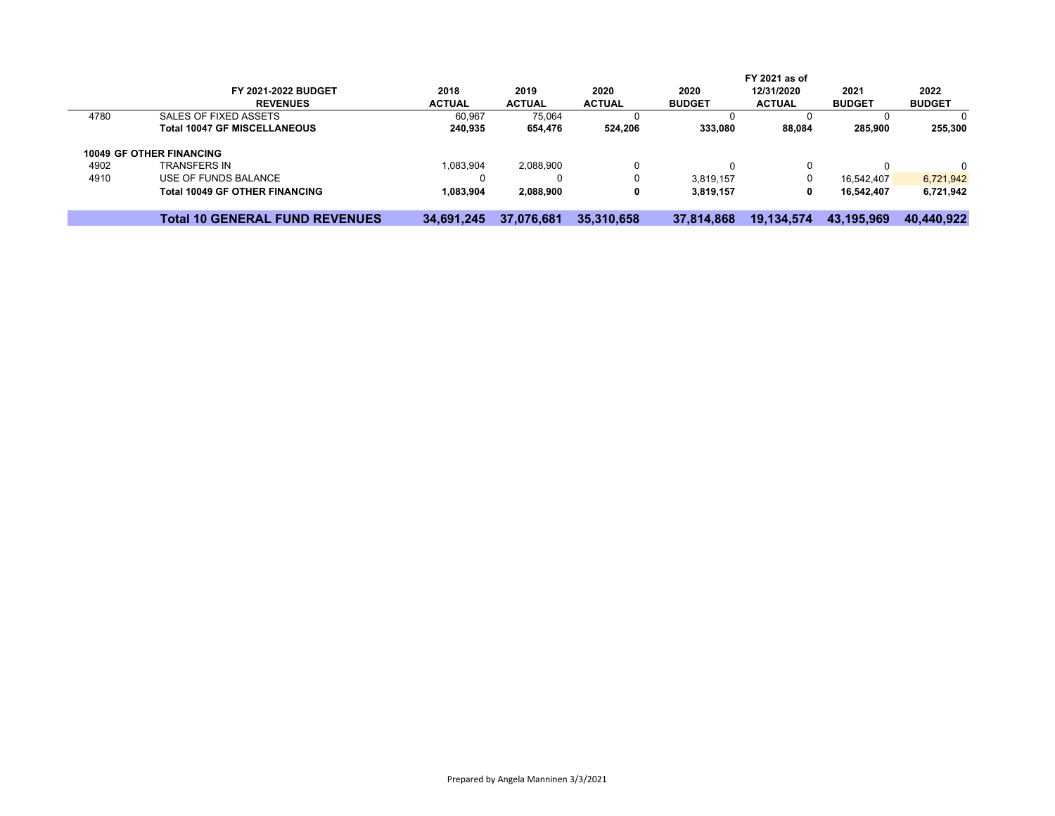|      |                                       |               |               |               |               | FY 2021 as of |               |               |
|------|---------------------------------------|---------------|---------------|---------------|---------------|---------------|---------------|---------------|
|      | <b>FY 2021-2022 BUDGET</b>            | 2018          | 2019          | 2020          | 2020          | 12/31/2020    | 2021          | 2022          |
|      | <b>REVENUES</b>                       | <b>ACTUAL</b> | <b>ACTUAL</b> | <b>ACTUAL</b> | <b>BUDGET</b> | <b>ACTUAL</b> | <b>BUDGET</b> | <b>BUDGET</b> |
| 4780 | SALES OF FIXED ASSETS                 | 60,967        | 75,064        |               |               |               |               | O             |
|      | <b>Total 10047 GF MISCELLANEOUS</b>   | 240,935       | 654,476       | 524.206       | 333,080       | 88,084        | 285,900       | 255,300       |
|      | <b>10049 GF OTHER FINANCING</b>       |               |               |               |               |               |               |               |
| 4902 | <b>TRANSFERS IN</b>                   | 1,083,904     | 2,088,900     | 0             |               | 0             |               | 0             |
| 4910 | USE OF FUNDS BALANCE                  |               |               | 0             | 3.819.157     | 0             | 16.542.407    | 6,721,942     |
|      | <b>Total 10049 GF OTHER FINANCING</b> | 1,083,904     | 2,088,900     | 0             | 3,819,157     | 0             | 16.542.407    | 6,721,942     |
|      | <b>Total 10 GENERAL FUND REVENUES</b> | 34.691.245    | 37.076.681    | 35,310,658    | 37.814.868    | 19.134.574    | 43.195.969    | 40.440.922    |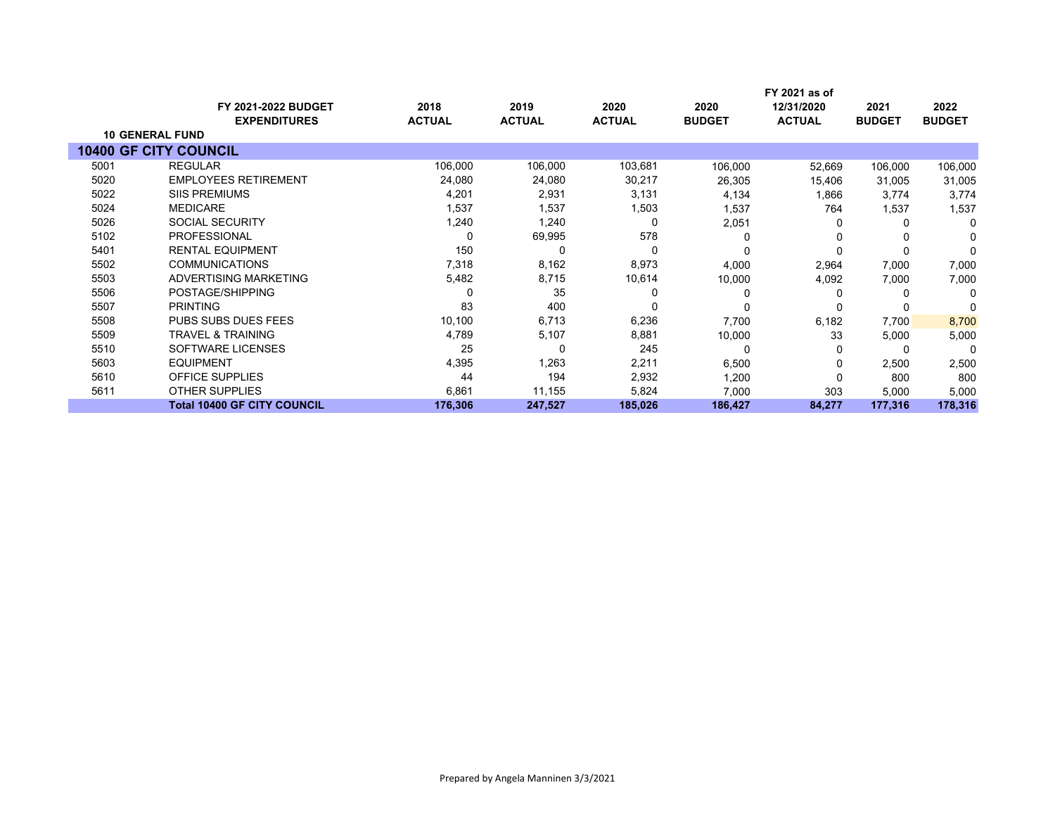|                              |                                    |               |               |               |               | FY 2021 as of |               |               |
|------------------------------|------------------------------------|---------------|---------------|---------------|---------------|---------------|---------------|---------------|
|                              | <b>FY 2021-2022 BUDGET</b>         | 2018          | 2019          | 2020          | 2020          | 12/31/2020    | 2021          | 2022          |
|                              | <b>EXPENDITURES</b>                | <b>ACTUAL</b> | <b>ACTUAL</b> | <b>ACTUAL</b> | <b>BUDGET</b> | <b>ACTUAL</b> | <b>BUDGET</b> | <b>BUDGET</b> |
| <b>10 GENERAL FUND</b>       |                                    |               |               |               |               |               |               |               |
| <b>10400 GF CITY COUNCIL</b> |                                    |               |               |               |               |               |               |               |
| 5001                         | <b>REGULAR</b>                     | 106,000       | 106,000       | 103,681       | 106,000       | 52,669        | 106,000       | 106,000       |
| 5020                         | <b>EMPLOYEES RETIREMENT</b>        | 24,080        | 24,080        | 30,217        | 26,305        | 15,406        | 31,005        | 31,005        |
| 5022                         | <b>SIIS PREMIUMS</b>               | 4,201         | 2,931         | 3,131         | 4,134         | 1,866         | 3.774         | 3,774         |
| 5024                         | <b>MEDICARE</b>                    | 1,537         | 1,537         | 1,503         | 1,537         | 764           | 1,537         | 1,537         |
| 5026                         | <b>SOCIAL SECURITY</b>             | 1,240         | 1,240         | 0             | 2,051         | 0             | $\Omega$      | $\Omega$      |
| 5102                         | <b>PROFESSIONAL</b>                |               | 69,995        | 578           |               | ŋ             |               | O             |
| 5401                         | <b>RENTAL EQUIPMENT</b>            | 150           | 0             | 0             |               |               |               | $\Omega$      |
| 5502                         | <b>COMMUNICATIONS</b>              | 7,318         | 8,162         | 8,973         | 4,000         | 2,964         | 7,000         | 7,000         |
| 5503                         | ADVERTISING MARKETING              | 5,482         | 8,715         | 10,614        | 10,000        | 4,092         | 7,000         | 7,000         |
| 5506                         | POSTAGE/SHIPPING                   |               | 35            |               |               |               |               | 0             |
| 5507                         | <b>PRINTING</b>                    | 83            | 400           | 0             |               |               |               | ∩             |
| 5508                         | PUBS SUBS DUES FEES                | 10,100        | 6,713         | 6,236         | 7,700         | 6,182         | 7,700         | 8,700         |
| 5509                         | <b>TRAVEL &amp; TRAINING</b>       | 4,789         | 5,107         | 8,881         | 10,000        | 33            | 5,000         | 5,000         |
| 5510                         | SOFTWARE LICENSES                  | 25            | 0             | 245           |               | 0             | -C            | 0             |
| 5603                         | <b>EQUIPMENT</b>                   | 4,395         | 1,263         | 2,211         | 6,500         | 0             | 2,500         | 2,500         |
| 5610                         | OFFICE SUPPLIES                    | 44            | 194           | 2,932         | 1,200         | 0             | 800           | 800           |
| 5611                         | <b>OTHER SUPPLIES</b>              | 6,861         | 11,155        | 5,824         | 7,000         | 303           | 5,000         | 5,000         |
|                              | <b>Total 10400 GF CITY COUNCIL</b> | 176,306       | 247,527       | 185,026       | 186,427       | 84,277        | 177,316       | 178,316       |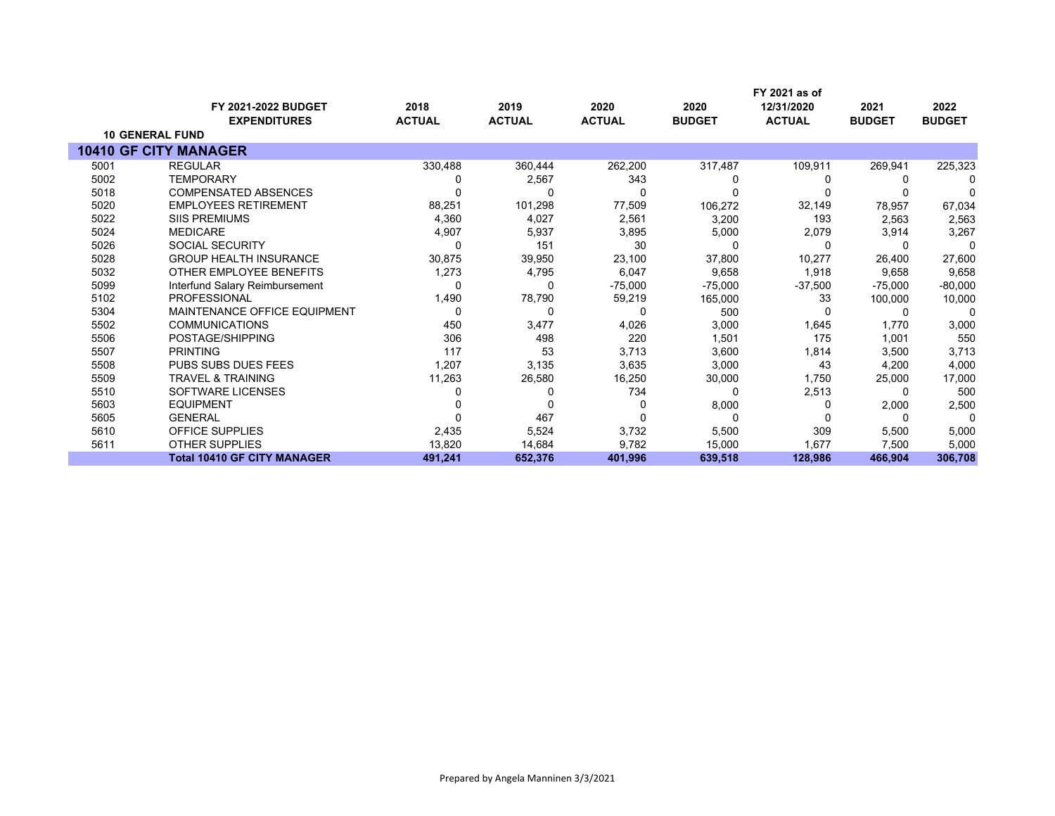|      |                                     |               |               |               |               | FY 2021 as of |               |               |
|------|-------------------------------------|---------------|---------------|---------------|---------------|---------------|---------------|---------------|
|      | <b>FY 2021-2022 BUDGET</b>          | 2018          | 2019          | 2020          | 2020          | 12/31/2020    | 2021          | 2022          |
|      | <b>EXPENDITURES</b>                 | <b>ACTUAL</b> | <b>ACTUAL</b> | <b>ACTUAL</b> | <b>BUDGET</b> | <b>ACTUAL</b> | <b>BUDGET</b> | <b>BUDGET</b> |
|      | <b>10 GENERAL FUND</b>              |               |               |               |               |               |               |               |
|      | <b>10410 GF CITY MANAGER</b>        |               |               |               |               |               |               |               |
| 5001 | <b>REGULAR</b>                      | 330,488       | 360,444       | 262,200       | 317,487       | 109,911       | 269,941       | 225,323       |
| 5002 | <b>TEMPORARY</b>                    |               | 2,567         | 343           |               |               |               |               |
| 5018 | <b>COMPENSATED ABSENCES</b>         |               |               |               |               |               |               |               |
| 5020 | <b>EMPLOYEES RETIREMENT</b>         | 88,251        | 101,298       | 77,509        | 106,272       | 32,149        | 78,957        | 67,034        |
| 5022 | <b>SIIS PREMIUMS</b>                | 4,360         | 4,027         | 2,561         | 3,200         | 193           | 2,563         | 2,563         |
| 5024 | <b>MEDICARE</b>                     | 4,907         | 5,937         | 3,895         | 5,000         | 2,079         | 3,914         | 3,267         |
| 5026 | <b>SOCIAL SECURITY</b>              |               | 151           | 30            |               | n             |               |               |
| 5028 | <b>GROUP HEALTH INSURANCE</b>       | 30,875        | 39,950        | 23,100        | 37,800        | 10,277        | 26,400        | 27,600        |
| 5032 | OTHER EMPLOYEE BENEFITS             | 1,273         | 4,795         | 6,047         | 9,658         | 1,918         | 9,658         | 9,658         |
| 5099 | Interfund Salary Reimbursement      | n             |               | $-75,000$     | $-75,000$     | $-37,500$     | $-75,000$     | $-80,000$     |
| 5102 | <b>PROFESSIONAL</b>                 | 1,490         | 78,790        | 59,219        | 165,000       | 33            | 100,000       | 10,000        |
| 5304 | <b>MAINTENANCE OFFICE EQUIPMENT</b> | 0             |               | U             | 500           | O             |               | $\Omega$      |
| 5502 | <b>COMMUNICATIONS</b>               | 450           | 3,477         | 4,026         | 3,000         | 1,645         | 1,770         | 3,000         |
| 5506 | POSTAGE/SHIPPING                    | 306           | 498           | 220           | 1,501         | 175           | 1,001         | 550           |
| 5507 | <b>PRINTING</b>                     | 117           | 53            | 3,713         | 3,600         | 1,814         | 3,500         | 3,713         |
| 5508 | <b>PUBS SUBS DUES FEES</b>          | 1,207         | 3,135         | 3,635         | 3,000         | 43            | 4,200         | 4,000         |
| 5509 | <b>TRAVEL &amp; TRAINING</b>        | 11,263        | 26,580        | 16,250        | 30,000        | 1,750         | 25,000        | 17,000        |
| 5510 | <b>SOFTWARE LICENSES</b>            |               |               | 734           |               | 2,513         |               | 500           |
| 5603 | <b>EQUIPMENT</b>                    |               |               |               | 8,000         | 0             | 2,000         | 2,500         |
| 5605 | <b>GENERAL</b>                      |               | 467           |               |               |               | $\Omega$      | $\Omega$      |
| 5610 | <b>OFFICE SUPPLIES</b>              | 2,435         | 5,524         | 3,732         | 5,500         | 309           | 5,500         | 5,000         |
| 5611 | <b>OTHER SUPPLIES</b>               | 13,820        | 14,684        | 9,782         | 15,000        | 1,677         | 7,500         | 5,000         |
|      | <b>Total 10410 GF CITY MANAGER</b>  | 491,241       | 652,376       | 401,996       | 639,518       | 128.986       | 466,904       | 306,708       |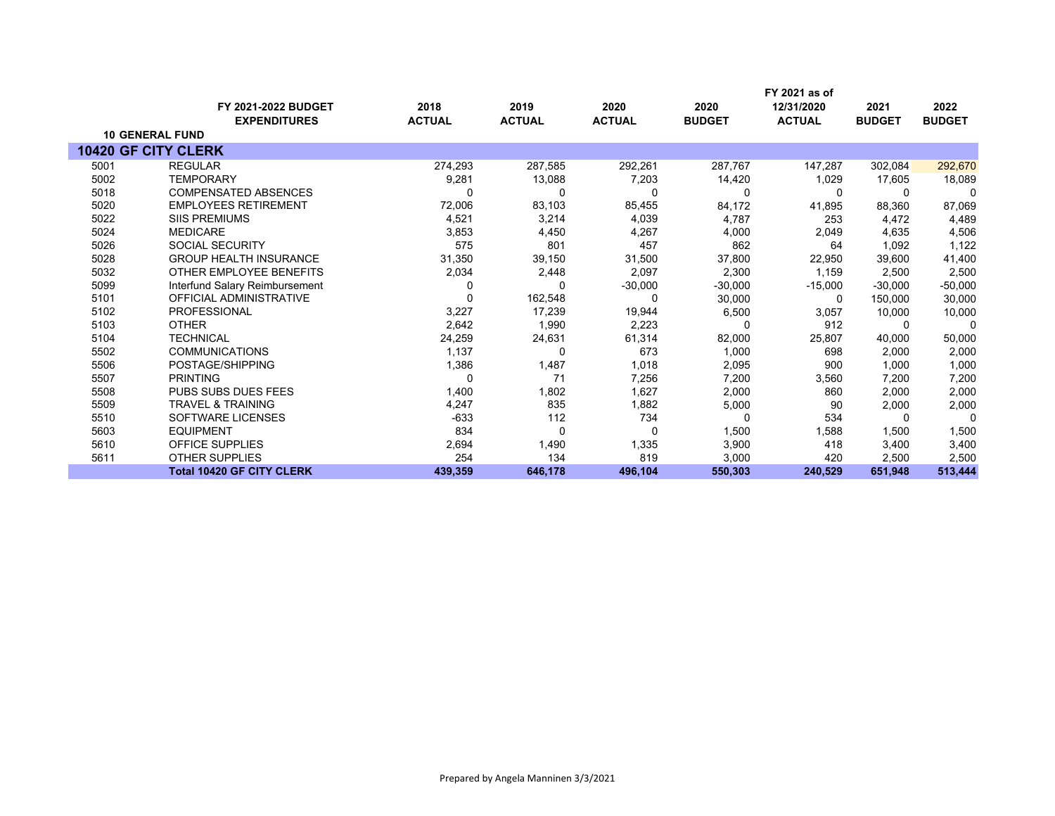|      |                                  |               |               |               |               | FY 2021 as of |               |               |
|------|----------------------------------|---------------|---------------|---------------|---------------|---------------|---------------|---------------|
|      | <b>FY 2021-2022 BUDGET</b>       | 2018          | 2019          | 2020          | 2020          | 12/31/2020    | 2021          | 2022          |
|      | <b>EXPENDITURES</b>              | <b>ACTUAL</b> | <b>ACTUAL</b> | <b>ACTUAL</b> | <b>BUDGET</b> | <b>ACTUAL</b> | <b>BUDGET</b> | <b>BUDGET</b> |
|      | <b>10 GENERAL FUND</b>           |               |               |               |               |               |               |               |
|      | <b>10420 GF CITY CLERK</b>       |               |               |               |               |               |               |               |
| 5001 | <b>REGULAR</b>                   | 274,293       | 287,585       | 292,261       | 287,767       | 147,287       | 302,084       | 292,670       |
| 5002 | <b>TEMPORARY</b>                 | 9,281         | 13,088        | 7,203         | 14,420        | 1,029         | 17,605        | 18,089        |
| 5018 | <b>COMPENSATED ABSENCES</b>      | 0             | 0             | 0             | $\Omega$      | $\Omega$      | 0             | 0             |
| 5020 | <b>EMPLOYEES RETIREMENT</b>      | 72,006        | 83,103        | 85,455        | 84,172        | 41,895        | 88,360        | 87,069        |
| 5022 | <b>SIIS PREMIUMS</b>             | 4,521         | 3,214         | 4,039         | 4,787         | 253           | 4,472         | 4,489         |
| 5024 | <b>MEDICARE</b>                  | 3,853         | 4,450         | 4,267         | 4,000         | 2,049         | 4,635         | 4,506         |
| 5026 | <b>SOCIAL SECURITY</b>           | 575           | 801           | 457           | 862           | 64            | 1,092         | 1,122         |
| 5028 | <b>GROUP HEALTH INSURANCE</b>    | 31,350        | 39,150        | 31,500        | 37,800        | 22,950        | 39.600        | 41,400        |
| 5032 | OTHER EMPLOYEE BENEFITS          | 2,034         | 2,448         | 2,097         | 2,300         | 1.159         | 2,500         | 2,500         |
| 5099 | Interfund Salary Reimbursement   | 0             | 0             | $-30,000$     | $-30,000$     | $-15,000$     | $-30.000$     | $-50,000$     |
| 5101 | <b>OFFICIAL ADMINISTRATIVE</b>   | 0             | 162,548       | 0             | 30,000        | 0             | 150,000       | 30,000        |
| 5102 | <b>PROFESSIONAL</b>              | 3,227         | 17,239        | 19,944        | 6,500         | 3,057         | 10,000        | 10,000        |
| 5103 | <b>OTHER</b>                     | 2,642         | 1,990         | 2,223         |               | 912           | 0             | 0             |
| 5104 | <b>TECHNICAL</b>                 | 24,259        | 24,631        | 61,314        | 82,000        | 25,807        | 40,000        | 50,000        |
| 5502 | <b>COMMUNICATIONS</b>            | 1,137         | $\Omega$      | 673           | 1,000         | 698           | 2,000         | 2,000         |
| 5506 | POSTAGE/SHIPPING                 | 1,386         | 1,487         | 1,018         | 2,095         | 900           | 1,000         | 1,000         |
| 5507 | <b>PRINTING</b>                  | 0             | 71            | 7,256         | 7,200         | 3,560         | 7,200         | 7,200         |
| 5508 | <b>PUBS SUBS DUES FEES</b>       | 1,400         | 1,802         | 1,627         | 2,000         | 860           | 2,000         | 2,000         |
| 5509 | <b>TRAVEL &amp; TRAINING</b>     | 4,247         | 835           | 1,882         | 5,000         | 90            | 2,000         | 2,000         |
| 5510 | <b>SOFTWARE LICENSES</b>         | $-633$        | 112           | 734           |               | 534           | $\Omega$      | $\Omega$      |
| 5603 | <b>EQUIPMENT</b>                 | 834           | 0             | 0             | 1,500         | 1,588         | 1,500         | 1,500         |
| 5610 | <b>OFFICE SUPPLIES</b>           | 2,694         | 1,490         | 1,335         | 3,900         | 418           | 3,400         | 3,400         |
| 5611 | <b>OTHER SUPPLIES</b>            | 254           | 134           | 819           | 3,000         | 420           | 2,500         | 2,500         |
|      | <b>Total 10420 GF CITY CLERK</b> | 439,359       | 646,178       | 496,104       | 550,303       | 240,529       | 651,948       | 513,444       |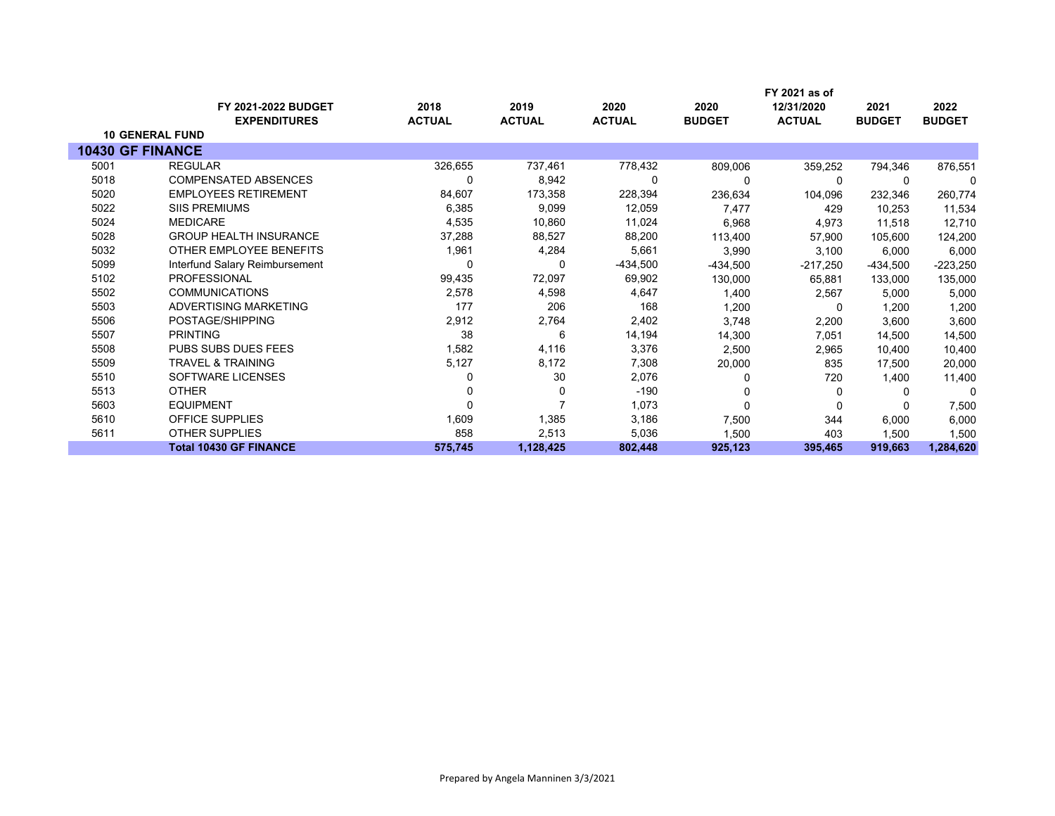|      | <b>FY 2021-2022 BUDGET</b>     | 2018          | 2019          | 2020          | 2020          | FY 2021 as of<br>12/31/2020 | 2021          | 2022          |
|------|--------------------------------|---------------|---------------|---------------|---------------|-----------------------------|---------------|---------------|
|      | <b>EXPENDITURES</b>            | <b>ACTUAL</b> | <b>ACTUAL</b> | <b>ACTUAL</b> | <b>BUDGET</b> | <b>ACTUAL</b>               | <b>BUDGET</b> | <b>BUDGET</b> |
|      | <b>10 GENERAL FUND</b>         |               |               |               |               |                             |               |               |
|      | <b>10430 GF FINANCE</b>        |               |               |               |               |                             |               |               |
| 5001 | <b>REGULAR</b>                 | 326,655       | 737,461       | 778,432       | 809,006       | 359,252                     | 794,346       | 876,551       |
| 5018 | <b>COMPENSATED ABSENCES</b>    | 0             | 8,942         | 0             |               | $\Omega$                    |               |               |
| 5020 | <b>EMPLOYEES RETIREMENT</b>    | 84,607        | 173,358       | 228,394       | 236,634       | 104,096                     | 232,346       | 260,774       |
| 5022 | <b>SIIS PREMIUMS</b>           | 6,385         | 9,099         | 12,059        | 7,477         | 429                         | 10,253        | 11,534        |
| 5024 | <b>MEDICARE</b>                | 4,535         | 10,860        | 11,024        | 6,968         | 4,973                       | 11,518        | 12,710        |
| 5028 | <b>GROUP HEALTH INSURANCE</b>  | 37,288        | 88,527        | 88,200        | 113,400       | 57,900                      | 105,600       | 124,200       |
| 5032 | OTHER EMPLOYEE BENEFITS        | 1,961         | 4,284         | 5,661         | 3,990         | 3,100                       | 6,000         | 6,000         |
| 5099 | Interfund Salary Reimbursement | 0             | 0             | -434,500      | $-434,500$    | $-217,250$                  | -434,500      | $-223,250$    |
| 5102 | <b>PROFESSIONAL</b>            | 99,435        | 72,097        | 69,902        | 130,000       | 65,881                      | 133,000       | 135,000       |
| 5502 | <b>COMMUNICATIONS</b>          | 2,578         | 4,598         | 4,647         | 1,400         | 2,567                       | 5,000         | 5,000         |
| 5503 | ADVERTISING MARKETING          | 177           | 206           | 168           | 1,200         | 0                           | 1,200         | 1,200         |
| 5506 | POSTAGE/SHIPPING               | 2,912         | 2,764         | 2,402         | 3,748         | 2,200                       | 3,600         | 3,600         |
| 5507 | <b>PRINTING</b>                | 38            | 6             | 14,194        | 14,300        | 7,051                       | 14,500        | 14,500        |
| 5508 | <b>PUBS SUBS DUES FEES</b>     | 1,582         | 4,116         | 3,376         | 2,500         | 2,965                       | 10,400        | 10,400        |
| 5509 | <b>TRAVEL &amp; TRAINING</b>   | 5,127         | 8,172         | 7,308         | 20,000        | 835                         | 17,500        | 20,000        |
| 5510 | SOFTWARE LICENSES              |               | 30            | 2,076         |               | 720                         | 1,400         | 11,400        |
| 5513 | <b>OTHER</b>                   |               | 0             | $-190$        |               | 0                           | $\Omega$      | $\Omega$      |
| 5603 | <b>EQUIPMENT</b>               |               |               | 1,073         | $\Omega$      | 0                           |               | 7,500         |
| 5610 | <b>OFFICE SUPPLIES</b>         | 1,609         | 1,385         | 3,186         | 7,500         | 344                         | 6,000         | 6,000         |
| 5611 | <b>OTHER SUPPLIES</b>          | 858           | 2,513         | 5,036         | 1,500         | 403                         | 1,500         | 1,500         |
|      | <b>Total 10430 GF FINANCE</b>  | 575,745       | 1,128,425     | 802,448       | 925,123       | 395,465                     | 919,663       | 1,284,620     |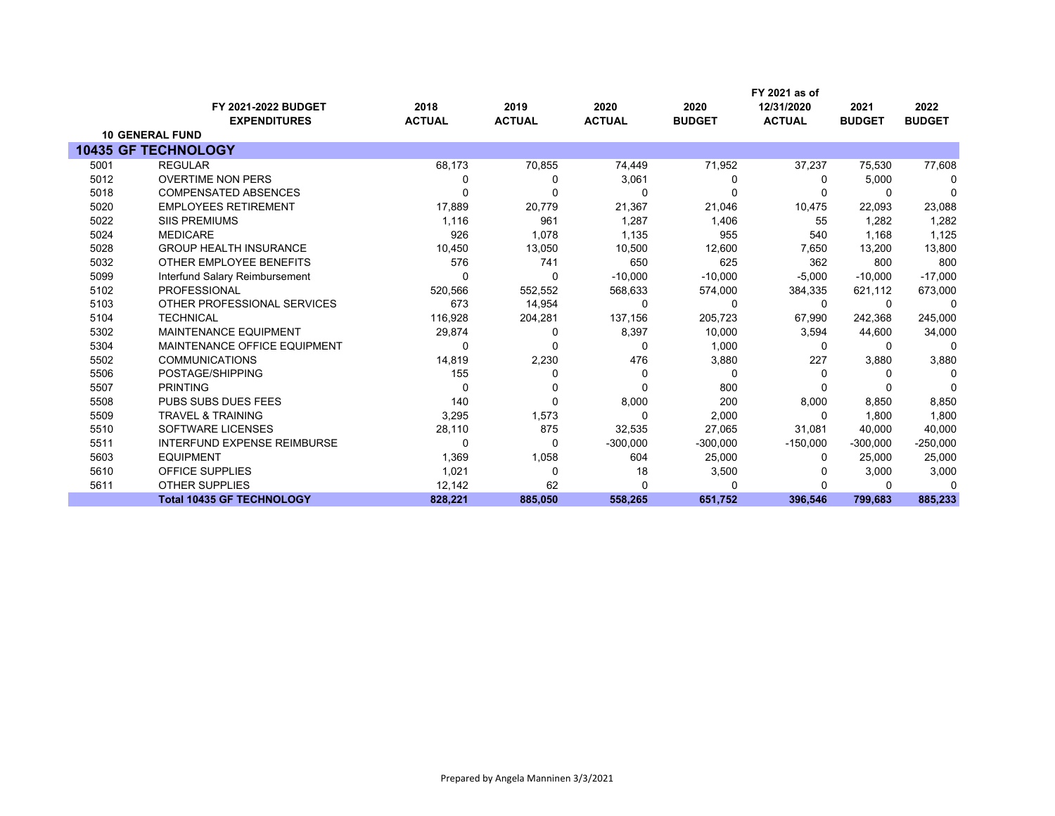|      |                                  |               |               |               |               | FY 2021 as of |               |               |
|------|----------------------------------|---------------|---------------|---------------|---------------|---------------|---------------|---------------|
|      | <b>FY 2021-2022 BUDGET</b>       | 2018          | 2019          | 2020          | 2020          | 12/31/2020    | 2021          | 2022          |
|      | <b>EXPENDITURES</b>              | <b>ACTUAL</b> | <b>ACTUAL</b> | <b>ACTUAL</b> | <b>BUDGET</b> | <b>ACTUAL</b> | <b>BUDGET</b> | <b>BUDGET</b> |
|      | <b>10 GENERAL FUND</b>           |               |               |               |               |               |               |               |
|      | 10435 GF TECHNOLOGY              |               |               |               |               |               |               |               |
| 5001 | <b>REGULAR</b>                   | 68,173        | 70,855        | 74,449        | 71,952        | 37,237        | 75,530        | 77,608        |
| 5012 | <b>OVERTIME NON PERS</b>         | $\Omega$      | 0             | 3,061         | 0             | 0             | 5,000         | 0             |
| 5018 | <b>COMPENSATED ABSENCES</b>      | $\Omega$      | ŋ             | $\Omega$      |               | O             | $\Omega$      | $\Omega$      |
| 5020 | <b>EMPLOYEES RETIREMENT</b>      | 17,889        | 20,779        | 21,367        | 21,046        | 10,475        | 22,093        | 23,088        |
| 5022 | <b>SIIS PREMIUMS</b>             | 1,116         | 961           | 1,287         | 1,406         | 55            | 1,282         | 1,282         |
| 5024 | <b>MEDICARE</b>                  | 926           | 1,078         | 1,135         | 955           | 540           | 1,168         | 1,125         |
| 5028 | <b>GROUP HEALTH INSURANCE</b>    | 10,450        | 13,050        | 10,500        | 12,600        | 7,650         | 13,200        | 13,800        |
| 5032 | OTHER EMPLOYEE BENEFITS          | 576           | 741           | 650           | 625           | 362           | 800           | 800           |
| 5099 | Interfund Salary Reimbursement   | 0             | 0             | $-10,000$     | $-10,000$     | $-5,000$      | $-10,000$     | $-17,000$     |
| 5102 | <b>PROFESSIONAL</b>              | 520,566       | 552,552       | 568,633       | 574,000       | 384,335       | 621,112       | 673,000       |
| 5103 | OTHER PROFESSIONAL SERVICES      | 673           | 14,954        | 0             | $\Omega$      | 0             | $\Omega$      | $\Omega$      |
| 5104 | <b>TECHNICAL</b>                 | 116,928       | 204,281       | 137,156       | 205,723       | 67,990        | 242,368       | 245,000       |
| 5302 | <b>MAINTENANCE EQUIPMENT</b>     | 29,874        | 0             | 8,397         | 10,000        | 3,594         | 44,600        | 34,000        |
| 5304 | MAINTENANCE OFFICE EQUIPMENT     | 0             |               | 0             | 1,000         | 0             | $\Omega$      | $\Omega$      |
| 5502 | <b>COMMUNICATIONS</b>            | 14,819        | 2,230         | 476           | 3,880         | 227           | 3,880         | 3,880         |
| 5506 | POSTAGE/SHIPPING                 | 155           | 0             | 0             | <sup>0</sup>  | O             | $\Omega$      | ∩             |
| 5507 | <b>PRINTING</b>                  | $\Omega$      | $\Omega$      | $\Omega$      | 800           |               |               | $\sqrt{ }$    |
| 5508 | <b>PUBS SUBS DUES FEES</b>       | 140           | 0             | 8,000         | 200           | 8,000         | 8,850         | 8,850         |
| 5509 | <b>TRAVEL &amp; TRAINING</b>     | 3,295         | 1,573         | 0             | 2,000         | 0             | 1,800         | 1,800         |
| 5510 | <b>SOFTWARE LICENSES</b>         | 28,110        | 875           | 32,535        | 27,065        | 31,081        | 40,000        | 40,000        |
| 5511 | INTERFUND EXPENSE REIMBURSE      | 0             | 0             | $-300,000$    | $-300,000$    | $-150,000$    | $-300,000$    | $-250,000$    |
| 5603 | <b>EQUIPMENT</b>                 | 1,369         | 1,058         | 604           | 25,000        | 0             | 25,000        | 25,000        |
| 5610 | <b>OFFICE SUPPLIES</b>           | 1,021         | $\Omega$      | 18            | 3,500         |               | 3,000         | 3,000         |
| 5611 | <b>OTHER SUPPLIES</b>            | 12,142        | 62            | 0             |               | O             | $\Omega$      | n             |
|      | <b>Total 10435 GF TECHNOLOGY</b> | 828,221       | 885,050       | 558,265       | 651,752       | 396,546       | 799,683       | 885,233       |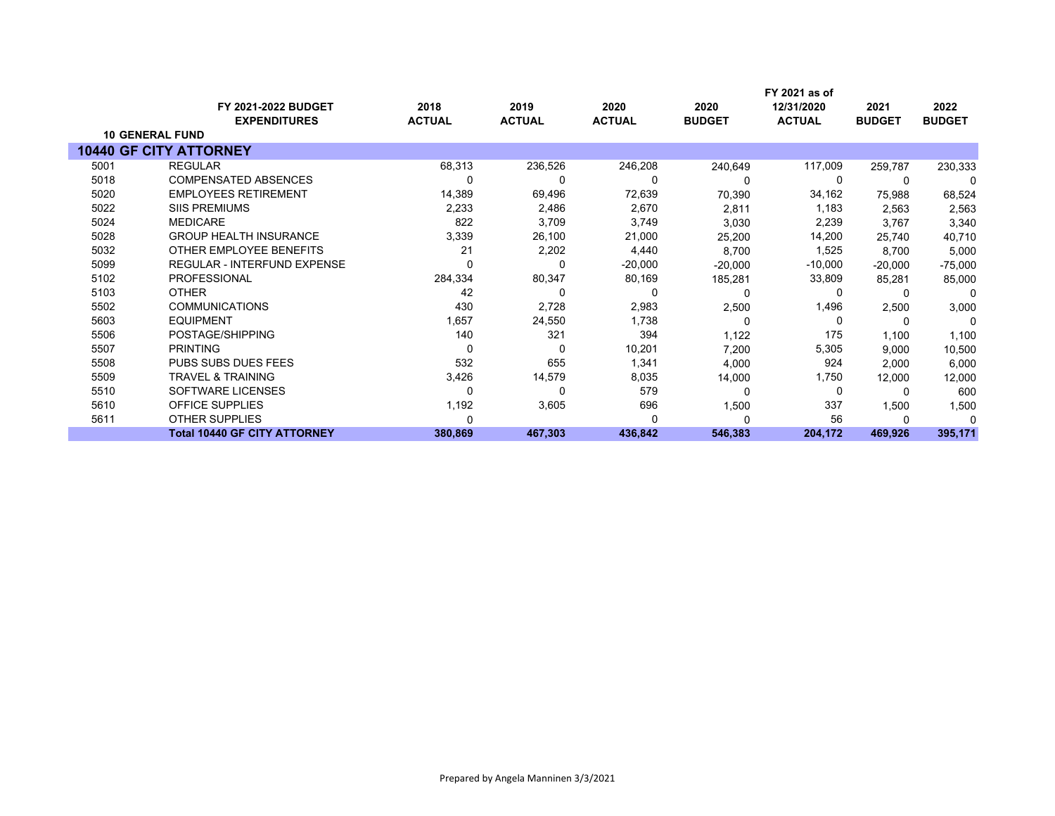|      | <b>FY 2021-2022 BUDGET</b><br><b>EXPENDITURES</b> | 2018<br><b>ACTUAL</b> | 2019<br><b>ACTUAL</b> | 2020<br><b>ACTUAL</b> | 2020<br><b>BUDGET</b> | FY 2021 as of<br>12/31/2020<br><b>ACTUAL</b> | 2021<br><b>BUDGET</b> | 2022<br><b>BUDGET</b> |
|------|---------------------------------------------------|-----------------------|-----------------------|-----------------------|-----------------------|----------------------------------------------|-----------------------|-----------------------|
|      | <b>10 GENERAL FUND</b>                            |                       |                       |                       |                       |                                              |                       |                       |
|      | <b>10440 GF CITY ATTORNEY</b>                     |                       |                       |                       |                       |                                              |                       |                       |
| 5001 | <b>REGULAR</b>                                    | 68,313                | 236,526               | 246,208               | 240,649               | 117,009                                      | 259,787               | 230,333               |
| 5018 | <b>COMPENSATED ABSENCES</b>                       |                       | 0                     | 0                     |                       | 0                                            |                       | $\Omega$              |
| 5020 | <b>EMPLOYEES RETIREMENT</b>                       | 14,389                | 69,496                | 72,639                | 70,390                | 34,162                                       | 75,988                | 68,524                |
| 5022 | <b>SIIS PREMIUMS</b>                              | 2,233                 | 2,486                 | 2,670                 | 2,811                 | 1,183                                        | 2,563                 | 2,563                 |
| 5024 | <b>MEDICARE</b>                                   | 822                   | 3,709                 | 3,749                 | 3,030                 | 2,239                                        | 3,767                 | 3,340                 |
| 5028 | <b>GROUP HEALTH INSURANCE</b>                     | 3,339                 | 26,100                | 21,000                | 25,200                | 14,200                                       | 25.740                | 40,710                |
| 5032 | OTHER EMPLOYEE BENEFITS                           | 21                    | 2,202                 | 4,440                 | 8,700                 | 1,525                                        | 8,700                 | 5,000                 |
| 5099 | REGULAR - INTERFUND EXPENSE                       |                       | 0                     | $-20,000$             | $-20,000$             | $-10,000$                                    | $-20,000$             | $-75,000$             |
| 5102 | <b>PROFESSIONAL</b>                               | 284,334               | 80,347                | 80,169                | 185,281               | 33,809                                       | 85,281                | 85,000                |
| 5103 | <b>OTHER</b>                                      | 42                    | 0                     | 0                     | 0                     | 0                                            |                       | $\Omega$              |
| 5502 | <b>COMMUNICATIONS</b>                             | 430                   | 2,728                 | 2,983                 | 2,500                 | 1,496                                        | 2,500                 | 3,000                 |
| 5603 | <b>EQUIPMENT</b>                                  | 1,657                 | 24,550                | 1,738                 | 0                     | 0                                            | $\Omega$              | $\Omega$              |
| 5506 | POSTAGE/SHIPPING                                  | 140                   | 321                   | 394                   | 1,122                 | 175                                          | 1,100                 | 1,100                 |
| 5507 | <b>PRINTING</b>                                   | 0                     | 0                     | 10,201                | 7,200                 | 5,305                                        | 9,000                 | 10,500                |
| 5508 | <b>PUBS SUBS DUES FEES</b>                        | 532                   | 655                   | 1,341                 | 4,000                 | 924                                          | 2,000                 | 6,000                 |
| 5509 | <b>TRAVEL &amp; TRAINING</b>                      | 3,426                 | 14,579                | 8,035                 | 14,000                | 1,750                                        | 12,000                | 12,000                |
| 5510 | SOFTWARE LICENSES                                 |                       | 0                     | 579                   | $\Omega$              | 0                                            |                       | 600                   |
| 5610 | <b>OFFICE SUPPLIES</b>                            | 1,192                 | 3,605                 | 696                   | 1,500                 | 337                                          | 1,500                 | 1,500                 |
| 5611 | <b>OTHER SUPPLIES</b>                             |                       |                       | ŋ                     |                       | 56                                           |                       |                       |
|      | <b>Total 10440 GF CITY ATTORNEY</b>               | 380,869               | 467,303               | 436,842               | 546,383               | 204,172                                      | 469,926               | 395,171               |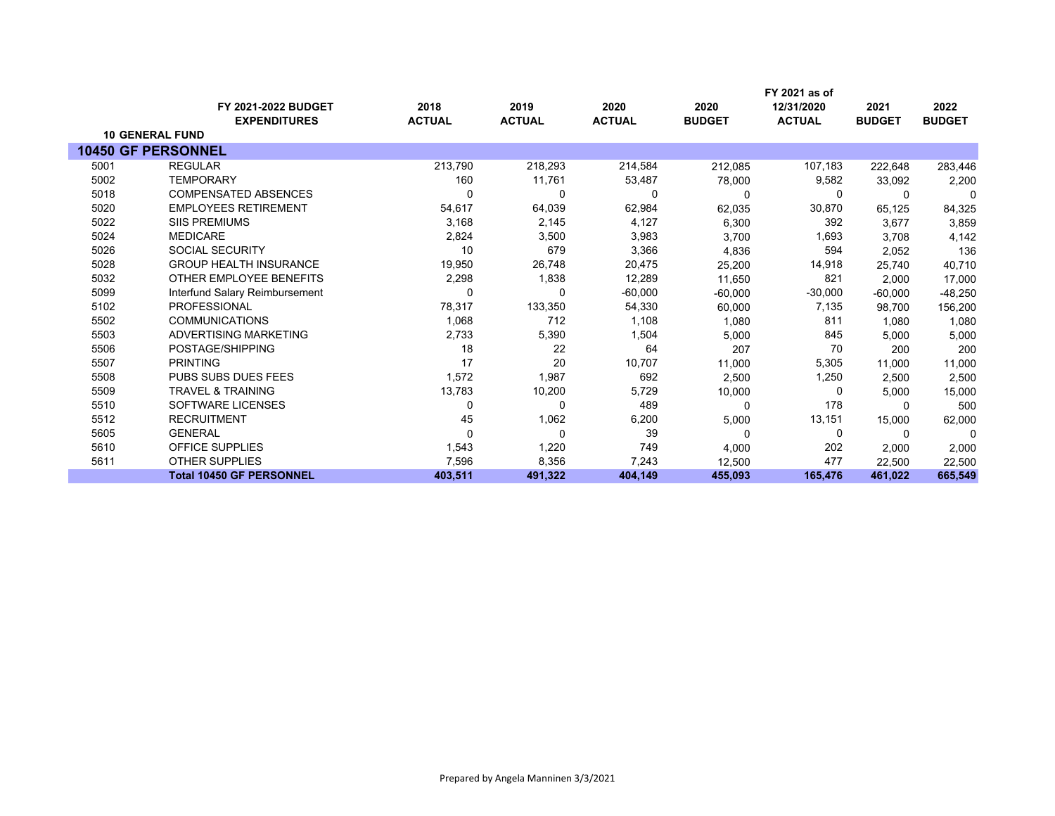|      |                                               |               |               |               |               | FY 2021 as of |               |               |
|------|-----------------------------------------------|---------------|---------------|---------------|---------------|---------------|---------------|---------------|
|      | FY 2021-2022 BUDGET                           | 2018          | 2019          | 2020          | 2020          | 12/31/2020    | 2021          | 2022          |
|      | <b>EXPENDITURES</b><br><b>10 GENERAL FUND</b> | <b>ACTUAL</b> | <b>ACTUAL</b> | <b>ACTUAL</b> | <b>BUDGET</b> | <b>ACTUAL</b> | <b>BUDGET</b> | <b>BUDGET</b> |
|      | <b>10450 GF PERSONNEL</b>                     |               |               |               |               |               |               |               |
|      |                                               |               |               |               |               |               |               |               |
| 5001 | <b>REGULAR</b>                                | 213,790       | 218,293       | 214,584       | 212,085       | 107,183       | 222,648       | 283,446       |
| 5002 | <b>TEMPORARY</b>                              | 160           | 11,761        | 53,487        | 78,000        | 9,582         | 33,092        | 2,200         |
| 5018 | <b>COMPENSATED ABSENCES</b>                   | 0             | 0             | 0             |               | 0             | $\Omega$      | 0             |
| 5020 | <b>EMPLOYEES RETIREMENT</b>                   | 54,617        | 64,039        | 62,984        | 62,035        | 30,870        | 65,125        | 84,325        |
| 5022 | <b>SIIS PREMIUMS</b>                          | 3,168         | 2,145         | 4,127         | 6,300         | 392           | 3,677         | 3,859         |
| 5024 | <b>MEDICARE</b>                               | 2,824         | 3,500         | 3,983         | 3,700         | 1,693         | 3,708         | 4,142         |
| 5026 | <b>SOCIAL SECURITY</b>                        | 10            | 679           | 3,366         | 4,836         | 594           | 2,052         | 136           |
| 5028 | <b>GROUP HEALTH INSURANCE</b>                 | 19,950        | 26,748        | 20,475        | 25,200        | 14,918        | 25,740        | 40,710        |
| 5032 | OTHER EMPLOYEE BENEFITS                       | 2,298         | 1,838         | 12,289        | 11,650        | 821           | 2,000         | 17,000        |
| 5099 | Interfund Salary Reimbursement                |               | 0             | $-60,000$     | $-60,000$     | $-30,000$     | $-60,000$     | -48,250       |
| 5102 | <b>PROFESSIONAL</b>                           | 78,317        | 133,350       | 54,330        | 60,000        | 7,135         | 98,700        | 156,200       |
| 5502 | <b>COMMUNICATIONS</b>                         | 1,068         | 712           | 1,108         | 1,080         | 811           | 1,080         | 1,080         |
| 5503 | ADVERTISING MARKETING                         | 2,733         | 5,390         | 1,504         | 5,000         | 845           | 5,000         | 5,000         |
| 5506 | POSTAGE/SHIPPING                              | 18            | 22            | 64            | 207           | 70            | 200           | 200           |
| 5507 | <b>PRINTING</b>                               | 17            | 20            | 10,707        | 11,000        | 5,305         | 11.000        | 11,000        |
| 5508 | <b>PUBS SUBS DUES FEES</b>                    | 1,572         | 1,987         | 692           | 2,500         | 1,250         | 2,500         | 2,500         |
| 5509 | <b>TRAVEL &amp; TRAINING</b>                  | 13,783        | 10,200        | 5,729         | 10,000        | 0             | 5,000         | 15,000        |
| 5510 | SOFTWARE LICENSES                             | 0             | $\Omega$      | 489           | $\Omega$      | 178           | $\Omega$      | 500           |
| 5512 | <b>RECRUITMENT</b>                            | 45            | 1,062         | 6,200         | 5,000         | 13,151        | 15,000        | 62,000        |
| 5605 | <b>GENERAL</b>                                | 0             | 0             | 39            | 0             | 0             | 0             | $\Omega$      |
| 5610 | <b>OFFICE SUPPLIES</b>                        | 1,543         | 1,220         | 749           | 4,000         | 202           | 2,000         | 2,000         |
| 5611 | <b>OTHER SUPPLIES</b>                         | 7,596         | 8,356         | 7,243         | 12,500        | 477           | 22,500        | 22,500        |
|      | <b>Total 10450 GF PERSONNEL</b>               | 403,511       | 491,322       | 404,149       | 455,093       | 165,476       | 461,022       | 665,549       |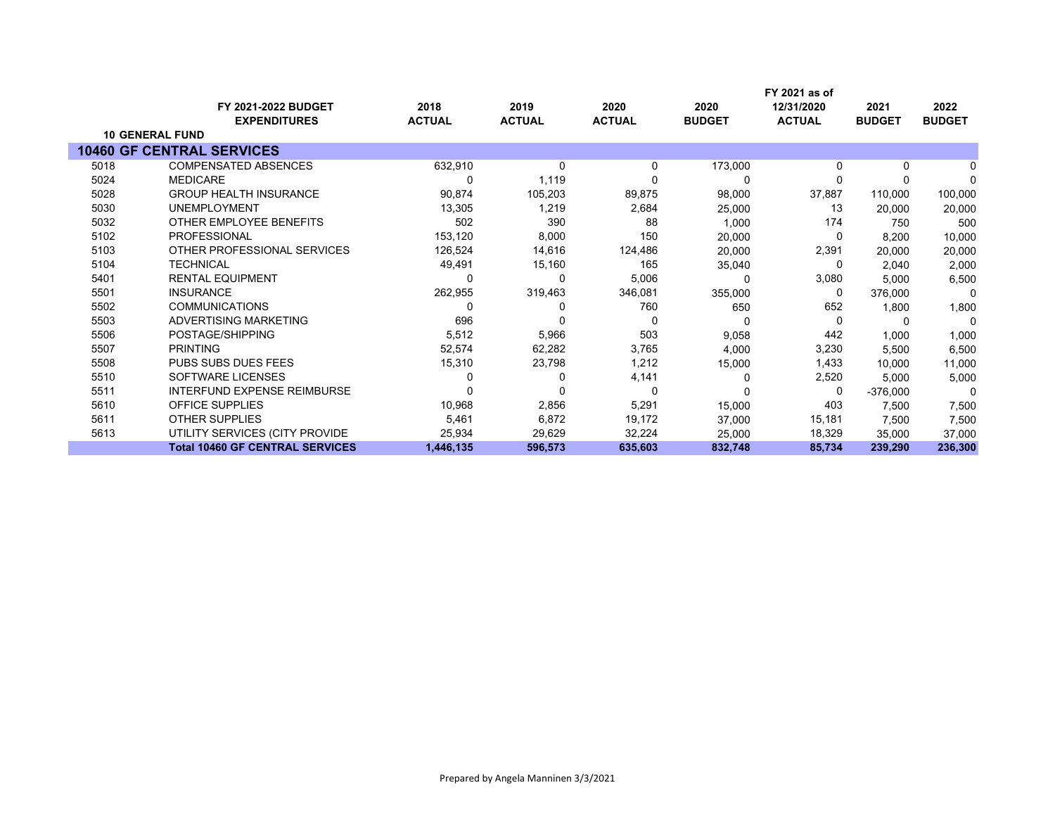|      | <b>FY 2021-2022 BUDGET</b>             | 2018          | 2019          | 2020          | 2020          | 12/31/2020    | 2021          | 2022          |
|------|----------------------------------------|---------------|---------------|---------------|---------------|---------------|---------------|---------------|
|      | <b>EXPENDITURES</b>                    | <b>ACTUAL</b> | <b>ACTUAL</b> | <b>ACTUAL</b> | <b>BUDGET</b> | <b>ACTUAL</b> | <b>BUDGET</b> | <b>BUDGET</b> |
|      | <b>10 GENERAL FUND</b>                 |               |               |               |               |               |               |               |
|      | <b>10460 GF CENTRAL SERVICES</b>       |               |               |               |               |               |               |               |
| 5018 | <b>COMPENSATED ABSENCES</b>            | 632,910       | 0             | 0             | 173,000       | $\Omega$      | 0             |               |
| 5024 | <b>MEDICARE</b>                        |               | 1,119         |               | 0             | $\Omega$      |               | $\Omega$      |
| 5028 | <b>GROUP HEALTH INSURANCE</b>          | 90,874        | 105,203       | 89,875        | 98,000        | 37,887        | 110,000       | 100,000       |
| 5030 | <b>UNEMPLOYMENT</b>                    | 13,305        | 1,219         | 2,684         | 25,000        | 13            | 20,000        | 20,000        |
| 5032 | OTHER EMPLOYEE BENEFITS                | 502           | 390           | 88            | 1,000         | 174           | 750           | 500           |
| 5102 | <b>PROFESSIONAL</b>                    | 153,120       | 8,000         | 150           | 20,000        | 0             | 8,200         | 10,000        |
| 5103 | OTHER PROFESSIONAL SERVICES            | 126,524       | 14,616        | 124,486       | 20,000        | 2,391         | 20,000        | 20,000        |
| 5104 | <b>TECHNICAL</b>                       | 49,491        | 15,160        | 165           | 35,040        | 0             | 2.040         | 2,000         |
| 5401 | <b>RENTAL EQUIPMENT</b>                |               | 0             | 5,006         |               | 3,080         | 5,000         | 6,500         |
| 5501 | <b>INSURANCE</b>                       | 262,955       | 319,463       | 346,081       | 355,000       | 0             | 376,000       | 0             |
| 5502 | <b>COMMUNICATIONS</b>                  |               |               | 760           | 650           | 652           | 1,800         | 1,800         |
| 5503 | ADVERTISING MARKETING                  | 696           | 0             | 0             | 0             | $\Omega$      | 0             | 0             |
| 5506 | POSTAGE/SHIPPING                       | 5,512         | 5,966         | 503           | 9,058         | 442           | 1,000         | 1,000         |
| 5507 | <b>PRINTING</b>                        | 52,574        | 62,282        | 3,765         | 4,000         | 3,230         | 5,500         | 6,500         |
| 5508 | <b>PUBS SUBS DUES FEES</b>             | 15,310        | 23,798        | 1,212         | 15,000        | 1,433         | 10,000        | 11,000        |
| 5510 | SOFTWARE LICENSES                      |               |               | 4,141         |               | 2,520         | 5,000         | 5,000         |
| 5511 | <b>INTERFUND EXPENSE REIMBURSE</b>     |               | 0             | 0             |               | 0             | $-376,000$    | 0             |
| 5610 | <b>OFFICE SUPPLIES</b>                 | 10,968        | 2,856         | 5,291         | 15,000        | 403           | 7,500         | 7,500         |
| 5611 | <b>OTHER SUPPLIES</b>                  | 5,461         | 6,872         | 19,172        | 37,000        | 15,181        | 7,500         | 7,500         |
| 5613 | UTILITY SERVICES (CITY PROVIDE         | 25,934        | 29,629        | 32,224        | 25,000        | 18,329        | 35,000        | 37,000        |
|      | <b>Total 10460 GF CENTRAL SERVICES</b> | 1,446,135     | 596,573       | 635,603       | 832,748       | 85,734        | 239,290       | 236,300       |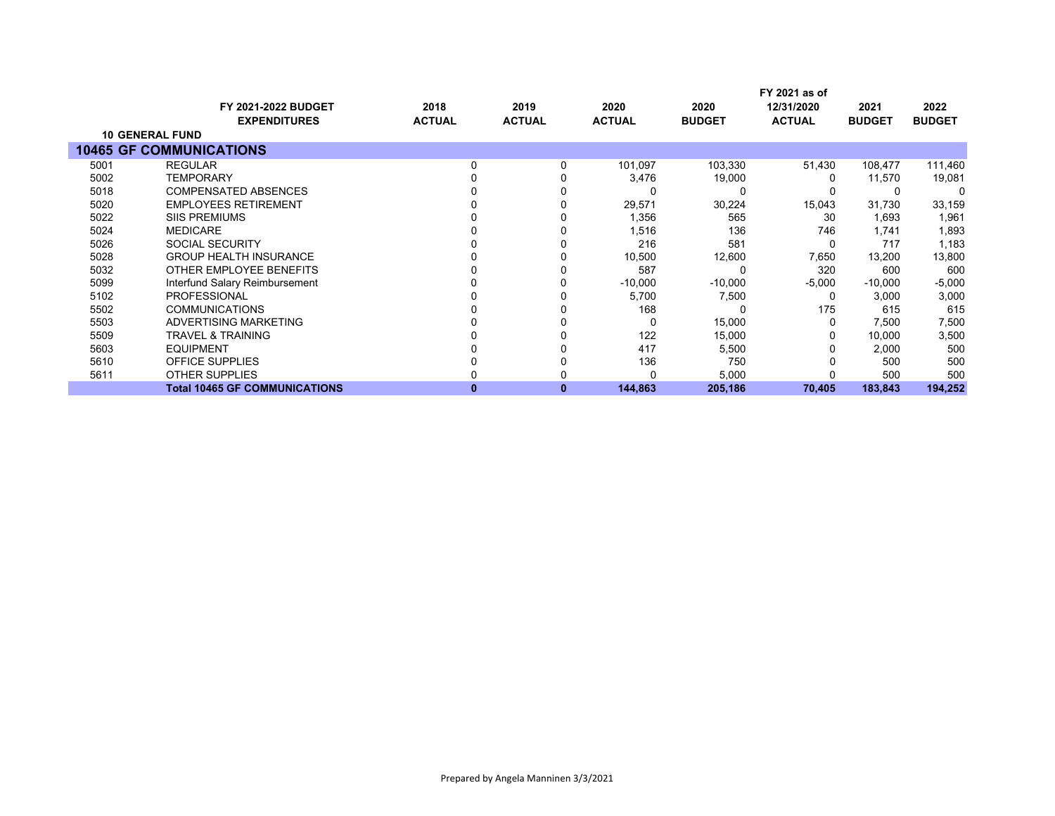|      |                                      |               |               |               |               | FY 2021 as of |               |               |
|------|--------------------------------------|---------------|---------------|---------------|---------------|---------------|---------------|---------------|
|      | <b>FY 2021-2022 BUDGET</b>           | 2018          | 2019          | 2020          | 2020          | 12/31/2020    | 2021          | 2022          |
|      | <b>EXPENDITURES</b>                  | <b>ACTUAL</b> | <b>ACTUAL</b> | <b>ACTUAL</b> | <b>BUDGET</b> | <b>ACTUAL</b> | <b>BUDGET</b> | <b>BUDGET</b> |
|      | <b>10 GENERAL FUND</b>               |               |               |               |               |               |               |               |
|      | <b>10465 GF COMMUNICATIONS</b>       |               |               |               |               |               |               |               |
| 5001 | <b>REGULAR</b>                       | 0             |               | 101,097       | 103,330       | 51,430        | 108,477       | 111,460       |
| 5002 | <b>TEMPORARY</b>                     |               |               | 3,476         | 19,000        |               | 11,570        | 19,081        |
| 5018 | <b>COMPENSATED ABSENCES</b>          |               |               | 0             |               |               |               |               |
| 5020 | <b>EMPLOYEES RETIREMENT</b>          |               |               | 29,571        | 30,224        | 15,043        | 31,730        | 33,159        |
| 5022 | <b>SIIS PREMIUMS</b>                 |               |               | 1,356         | 565           | 30            | 1,693         | 1,961         |
| 5024 | <b>MEDICARE</b>                      |               |               | 1,516         | 136           | 746           | 1,741         | 1,893         |
| 5026 | <b>SOCIAL SECURITY</b>               |               |               | 216           | 581           |               | 717           | 1,183         |
| 5028 | <b>GROUP HEALTH INSURANCE</b>        |               |               | 10,500        | 12,600        | 7,650         | 13,200        | 13,800        |
| 5032 | OTHER EMPLOYEE BENEFITS              |               |               | 587           |               | 320           | 600           | 600           |
| 5099 | Interfund Salary Reimbursement       |               |               | $-10,000$     | $-10,000$     | $-5,000$      | $-10,000$     | $-5,000$      |
| 5102 | <b>PROFESSIONAL</b>                  |               |               | 5,700         | 7,500         | 0             | 3,000         | 3,000         |
| 5502 | <b>COMMUNICATIONS</b>                |               |               | 168           |               | 175           | 615           | 615           |
| 5503 | ADVERTISING MARKETING                |               |               | 0             | 15,000        |               | 7,500         | 7,500         |
| 5509 | <b>TRAVEL &amp; TRAINING</b>         |               |               | 122           | 15,000        |               | 10,000        | 3,500         |
| 5603 | <b>EQUIPMENT</b>                     |               |               | 417           | 5,500         |               | 2,000         | 500           |
| 5610 | <b>OFFICE SUPPLIES</b>               |               |               | 136           | 750           |               | 500           | 500           |
| 5611 | <b>OTHER SUPPLIES</b>                |               |               | 0             | 5,000         |               | 500           | 500           |
|      | <b>Total 10465 GF COMMUNICATIONS</b> | o             | 0             | 144,863       | 205,186       | 70,405        | 183,843       | 194,252       |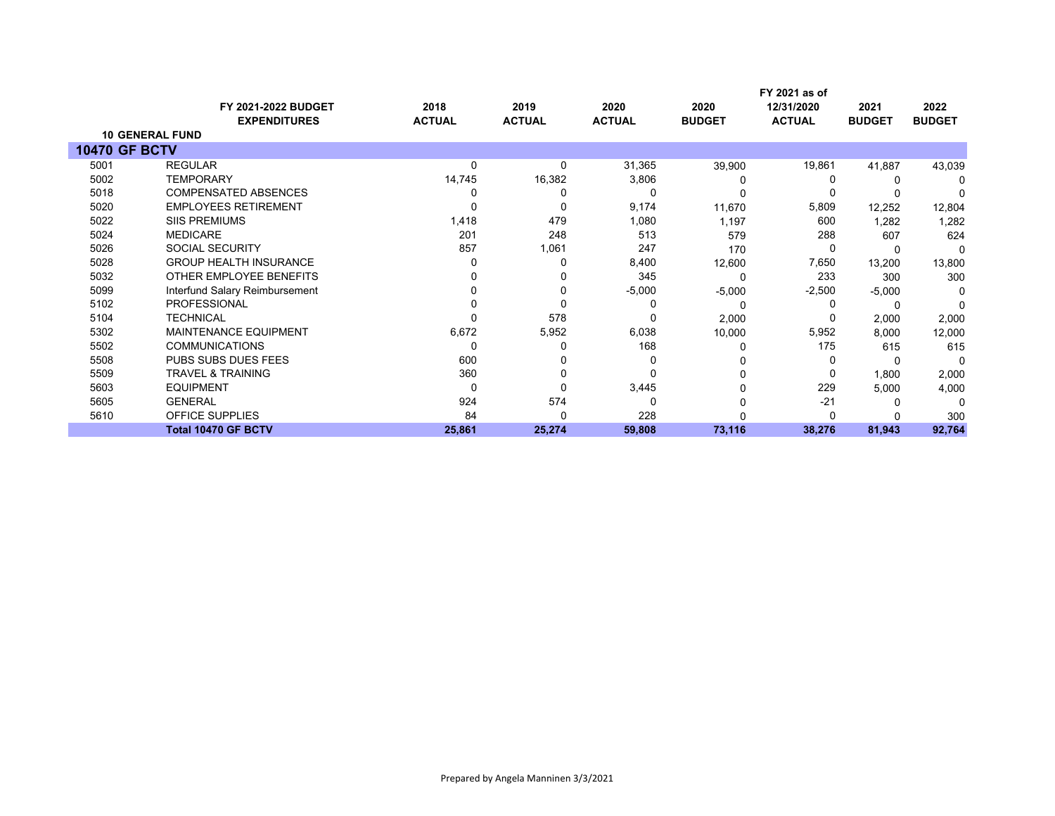|                      | <b>FY 2021-2022 BUDGET</b>     | 2018          | 2019          | 2020          | 2020          | FY 2021 as of<br>12/31/2020 | 2021          | 2022          |
|----------------------|--------------------------------|---------------|---------------|---------------|---------------|-----------------------------|---------------|---------------|
|                      | <b>EXPENDITURES</b>            | <b>ACTUAL</b> | <b>ACTUAL</b> | <b>ACTUAL</b> | <b>BUDGET</b> | <b>ACTUAL</b>               | <b>BUDGET</b> | <b>BUDGET</b> |
|                      | <b>10 GENERAL FUND</b>         |               |               |               |               |                             |               |               |
| <b>10470 GF BCTV</b> |                                |               |               |               |               |                             |               |               |
| 5001                 | <b>REGULAR</b>                 | 0             | 0             | 31,365        | 39,900        | 19,861                      | 41,887        | 43,039        |
| 5002                 | <b>TEMPORARY</b>               | 14,745        | 16,382        | 3,806         |               |                             |               |               |
| 5018                 | <b>COMPENSATED ABSENCES</b>    |               |               | 0             |               |                             |               |               |
| 5020                 | <b>EMPLOYEES RETIREMENT</b>    |               |               | 9,174         | 11,670        | 5,809                       | 12,252        | 12,804        |
| 5022                 | <b>SIIS PREMIUMS</b>           | 1,418         | 479           | 1,080         | 1,197         | 600                         | 1,282         | 1,282         |
| 5024                 | <b>MEDICARE</b>                | 201           | 248           | 513           | 579           | 288                         | 607           | 624           |
| 5026                 | <b>SOCIAL SECURITY</b>         | 857           | 1,061         | 247           | 170           |                             |               |               |
| 5028                 | <b>GROUP HEALTH INSURANCE</b>  |               | 0             | 8,400         | 12,600        | 7,650                       | 13,200        | 13,800        |
| 5032                 | OTHER EMPLOYEE BENEFITS        |               |               | 345           |               | 233                         | 300           | 300           |
| 5099                 | Interfund Salary Reimbursement |               |               | $-5,000$      | $-5,000$      | $-2,500$                    | $-5,000$      |               |
| 5102                 | <b>PROFESSIONAL</b>            |               |               | 0             |               |                             |               |               |
| 5104                 | <b>TECHNICAL</b>               |               | 578           | 0             | 2,000         |                             | 2,000         | 2,000         |
| 5302                 | <b>MAINTENANCE EQUIPMENT</b>   | 6,672         | 5,952         | 6,038         | 10,000        | 5,952                       | 8,000         | 12,000        |
| 5502                 | <b>COMMUNICATIONS</b>          | <sup>0</sup>  |               | 168           |               | 175                         | 615           | 615           |
| 5508                 | PUBS SUBS DUES FEES            | 600           |               | Ω             |               |                             |               |               |
| 5509                 | <b>TRAVEL &amp; TRAINING</b>   | 360           |               | 0             |               |                             | 1,800         | 2,000         |
| 5603                 | <b>EQUIPMENT</b>               | $\Omega$      |               | 3,445         |               | 229                         | 5,000         | 4,000         |
| 5605                 | <b>GENERAL</b>                 | 924           | 574           | 0             |               | $-21$                       |               | ∩             |
| 5610                 | OFFICE SUPPLIES                | 84            | O             | 228           |               |                             |               | 300           |
|                      | <b>Total 10470 GF BCTV</b>     | 25,861        | 25,274        | 59,808        | 73,116        | 38,276                      | 81,943        | 92,764        |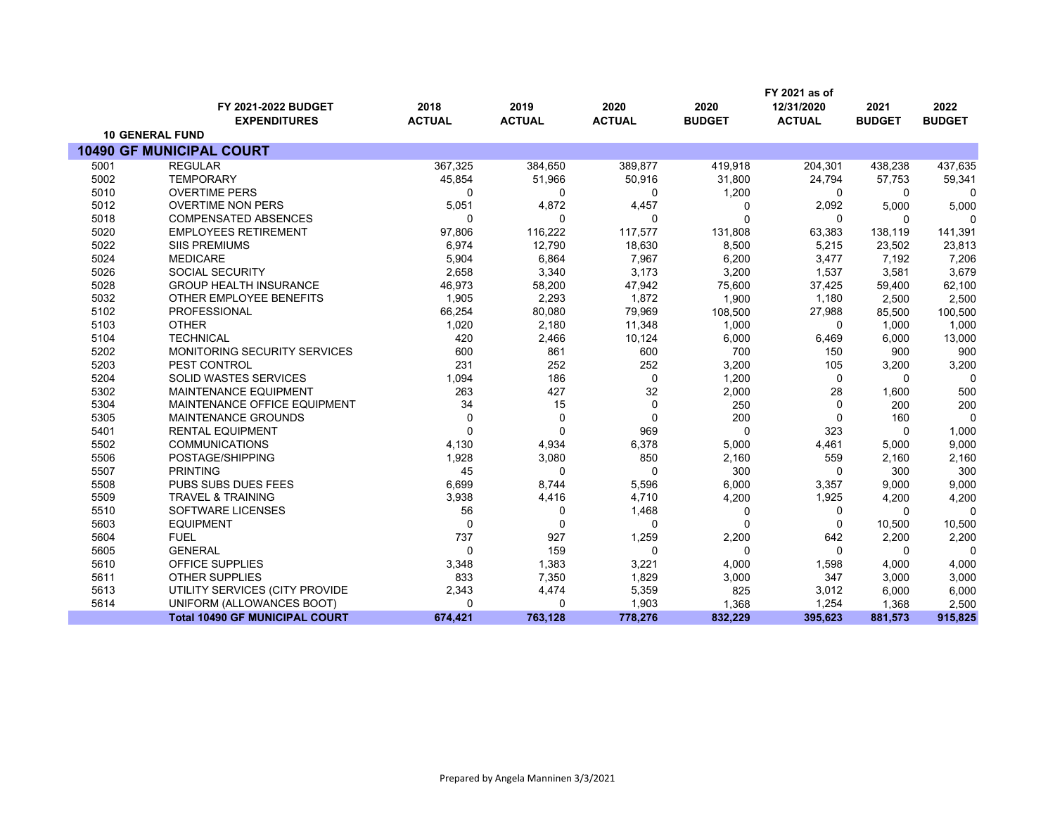|      |                                       |               |               |               |               | FY 2021 as of |               |               |
|------|---------------------------------------|---------------|---------------|---------------|---------------|---------------|---------------|---------------|
|      | FY 2021-2022 BUDGET                   | 2018          | 2019          | 2020          | 2020          | 12/31/2020    | 2021          | 2022          |
|      | <b>EXPENDITURES</b>                   | <b>ACTUAL</b> | <b>ACTUAL</b> | <b>ACTUAL</b> | <b>BUDGET</b> | <b>ACTUAL</b> | <b>BUDGET</b> | <b>BUDGET</b> |
|      | <b>10 GENERAL FUND</b>                |               |               |               |               |               |               |               |
|      | <b>10490 GF MUNICIPAL COURT</b>       |               |               |               |               |               |               |               |
| 5001 | <b>REGULAR</b>                        | 367,325       | 384,650       | 389,877       | 419,918       | 204,301       | 438,238       | 437,635       |
| 5002 | <b>TEMPORARY</b>                      | 45,854        | 51,966        | 50,916        | 31,800        | 24,794        | 57,753        | 59,341        |
| 5010 | <b>OVERTIME PERS</b>                  | 0             | 0             | 0             | 1,200         | $\Omega$      | 0             | $\Omega$      |
| 5012 | <b>OVERTIME NON PERS</b>              | 5,051         | 4,872         | 4,457         | ŋ             | 2,092         | 5,000         | 5,000         |
| 5018 | <b>COMPENSATED ABSENCES</b>           | 0             | $\Omega$      | $\Omega$      | $\Omega$      | 0             | 0             | n             |
| 5020 | <b>EMPLOYEES RETIREMENT</b>           | 97,806        | 116,222       | 117,577       | 131,808       | 63,383        | 138,119       | 141,391       |
| 5022 | <b>SIIS PREMIUMS</b>                  | 6,974         | 12,790        | 18,630        | 8,500         | 5,215         | 23,502        | 23,813        |
| 5024 | <b>MEDICARE</b>                       | 5,904         | 6,864         | 7,967         | 6,200         | 3,477         | 7,192         | 7,206         |
| 5026 | <b>SOCIAL SECURITY</b>                | 2,658         | 3,340         | 3,173         | 3,200         | 1,537         | 3,581         | 3,679         |
| 5028 | <b>GROUP HEALTH INSURANCE</b>         | 46,973        | 58,200        | 47,942        | 75,600        | 37,425        | 59,400        | 62,100        |
| 5032 | OTHER EMPLOYEE BENEFITS               | 1,905         | 2,293         | 1,872         | 1,900         | 1,180         | 2,500         | 2,500         |
| 5102 | <b>PROFESSIONAL</b>                   | 66,254        | 80,080        | 79,969        | 108,500       | 27,988        | 85,500        | 100,500       |
| 5103 | <b>OTHER</b>                          | 1,020         | 2,180         | 11,348        | 1,000         | 0             | 1.000         | 1,000         |
| 5104 | <b>TECHNICAL</b>                      | 420           | 2,466         | 10,124        | 6,000         | 6,469         | 6,000         | 13,000        |
| 5202 | MONITORING SECURITY SERVICES          | 600           | 861           | 600           | 700           | 150           | 900           | 900           |
| 5203 | PEST CONTROL                          | 231           | 252           | 252           | 3,200         | 105           | 3,200         | 3,200         |
| 5204 | <b>SOLID WASTES SERVICES</b>          | 1,094         | 186           | $\mathbf 0$   | 1,200         | $\mathbf 0$   | $\Omega$      | $\Omega$      |
| 5302 | <b>MAINTENANCE EQUIPMENT</b>          | 263           | 427           | 32            | 2,000         | 28            | 1,600         | 500           |
| 5304 | MAINTENANCE OFFICE EQUIPMENT          | 34            | 15            | $\mathbf 0$   | 250           | $\Omega$      | 200           | 200           |
| 5305 | <b>MAINTENANCE GROUNDS</b>            | $\Omega$      | 0             | $\mathbf 0$   | 200           | $\Omega$      | 160           | $\Omega$      |
| 5401 | <b>RENTAL EQUIPMENT</b>               | $\Omega$      | $\Omega$      | 969           | $\Omega$      | 323           | $\Omega$      | 1,000         |
| 5502 | <b>COMMUNICATIONS</b>                 | 4,130         | 4,934         | 6,378         | 5,000         | 4,461         | 5,000         | 9,000         |
| 5506 | POSTAGE/SHIPPING                      | 1,928         | 3,080         | 850           | 2,160         | 559           | 2,160         | 2,160         |
| 5507 | <b>PRINTING</b>                       | 45            | $\Omega$      | $\Omega$      | 300           | $\Omega$      | 300           | 300           |
| 5508 | PUBS SUBS DUES FEES                   | 6,699         | 8,744         | 5,596         | 6,000         | 3,357         | 9.000         | 9,000         |
| 5509 | <b>TRAVEL &amp; TRAINING</b>          | 3,938         | 4,416         | 4,710         | 4,200         | 1,925         | 4,200         | 4,200         |
| 5510 | <b>SOFTWARE LICENSES</b>              | 56            | $\mathbf 0$   | 1,468         | $\Omega$      | 0             | 0             | $\Omega$      |
| 5603 | <b>EQUIPMENT</b>                      | 0             | $\Omega$      | $\Omega$      | $\Omega$      | $\Omega$      | 10,500        | 10,500        |
| 5604 | <b>FUEL</b>                           | 737           | 927           | 1,259         | 2,200         | 642           | 2,200         | 2,200         |
| 5605 | <b>GENERAL</b>                        | 0             | 159           | $\Omega$      | $\Omega$      | $\mathbf 0$   | 0             | $\Omega$      |
| 5610 | <b>OFFICE SUPPLIES</b>                | 3,348         | 1,383         | 3,221         | 4,000         | 1,598         | 4,000         | 4,000         |
| 5611 | <b>OTHER SUPPLIES</b>                 | 833           | 7,350         | 1,829         | 3,000         | 347           | 3,000         | 3,000         |
| 5613 | UTILITY SERVICES (CITY PROVIDE        | 2,343         | 4,474         | 5,359         | 825           | 3,012         | 6,000         | 6,000         |
| 5614 | UNIFORM (ALLOWANCES BOOT)             | 0             | $\mathbf 0$   | 1,903         | 1,368         | 1,254         | 1,368         | 2,500         |
|      | <b>Total 10490 GF MUNICIPAL COURT</b> | 674,421       | 763,128       | 778,276       | 832,229       | 395,623       | 881,573       | 915,825       |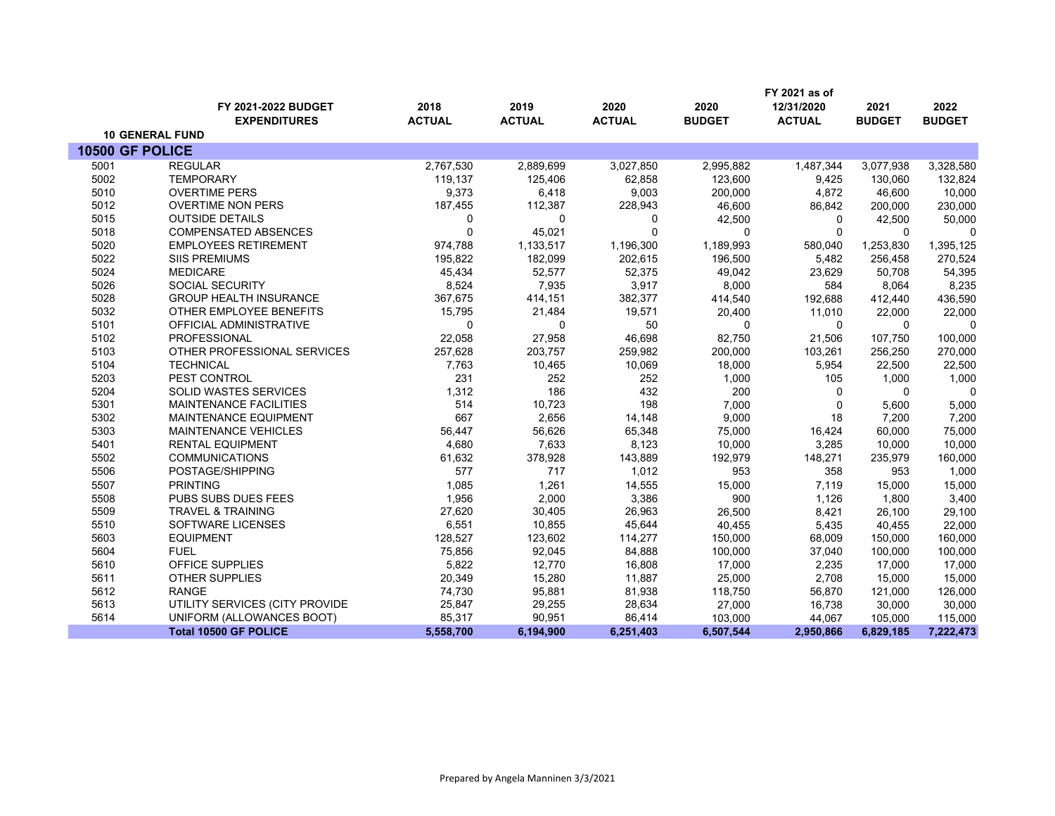|                 |                                |               |               |               |               | FY 2021 as of |               |               |
|-----------------|--------------------------------|---------------|---------------|---------------|---------------|---------------|---------------|---------------|
|                 | FY 2021-2022 BUDGET            | 2018          | 2019          | 2020          | 2020          | 12/31/2020    | 2021          | 2022          |
|                 | <b>EXPENDITURES</b>            | <b>ACTUAL</b> | <b>ACTUAL</b> | <b>ACTUAL</b> | <b>BUDGET</b> | <b>ACTUAL</b> | <b>BUDGET</b> | <b>BUDGET</b> |
|                 | <b>10 GENERAL FUND</b>         |               |               |               |               |               |               |               |
| 10500 GF POLICE |                                |               |               |               |               |               |               |               |
| 5001            | <b>REGULAR</b>                 | 2,767,530     | 2,889,699     | 3,027,850     | 2,995,882     | 1,487,344     | 3,077,938     | 3,328,580     |
| 5002            | <b>TEMPORARY</b>               | 119,137       | 125,406       | 62,858        | 123,600       | 9,425         | 130,060       | 132,824       |
| 5010            | <b>OVERTIME PERS</b>           | 9,373         | 6,418         | 9,003         | 200,000       | 4,872         | 46,600        | 10,000        |
| 5012            | <b>OVERTIME NON PERS</b>       | 187,455       | 112,387       | 228,943       | 46,600        | 86,842        | 200,000       | 230,000       |
| 5015            | <b>OUTSIDE DETAILS</b>         | 0             | 0             | 0             | 42,500        | 0             | 42,500        | 50,000        |
| 5018            | <b>COMPENSATED ABSENCES</b>    | 0             | 45,021        | $\mathbf 0$   | $\Omega$      | $\mathbf 0$   | 0             | 0             |
| 5020            | <b>EMPLOYEES RETIREMENT</b>    | 974,788       | 1,133,517     | 1,196,300     | 1,189,993     | 580,040       | 1,253,830     | 1,395,125     |
| 5022            | <b>SIIS PREMIUMS</b>           | 195,822       | 182,099       | 202,615       | 196,500       | 5,482         | 256,458       | 270,524       |
| 5024            | <b>MEDICARE</b>                | 45,434        | 52,577        | 52,375        | 49,042        | 23,629        | 50,708        | 54,395        |
| 5026            | <b>SOCIAL SECURITY</b>         | 8,524         | 7,935         | 3,917         | 8,000         | 584           | 8,064         | 8,235         |
| 5028            | <b>GROUP HEALTH INSURANCE</b>  | 367,675       | 414,151       | 382,377       | 414,540       | 192,688       | 412,440       | 436,590       |
| 5032            | OTHER EMPLOYEE BENEFITS        | 15,795        | 21,484        | 19,571        | 20,400        | 11,010        | 22,000        | 22,000        |
| 5101            | OFFICIAL ADMINISTRATIVE        | $\Omega$      | $\Omega$      | 50            | $\Omega$      | $\Omega$      | $\Omega$      | 0             |
| 5102            | PROFESSIONAL                   | 22,058        | 27,958        | 46,698        | 82,750        | 21,506        | 107,750       | 100,000       |
| 5103            | OTHER PROFESSIONAL SERVICES    | 257,628       | 203,757       | 259,982       | 200,000       | 103,261       | 256,250       | 270,000       |
| 5104            | <b>TECHNICAL</b>               | 7,763         | 10,465        | 10,069        | 18,000        | 5,954         | 22,500        | 22,500        |
| 5203            | PEST CONTROL                   | 231           | 252           | 252           | 1,000         | 105           | 1,000         | 1,000         |
| 5204            | SOLID WASTES SERVICES          | 1,312         | 186           | 432           | 200           | $\Omega$      | $\Omega$      | $\Omega$      |
| 5301            | <b>MAINTENANCE FACILITIES</b>  | 514           | 10,723        | 198           | 7,000         | $\mathbf 0$   | 5,600         | 5,000         |
| 5302            | MAINTENANCE EQUIPMENT          | 667           | 2,656         | 14,148        | 9,000         | 18            | 7,200         | 7,200         |
| 5303            | MAINTENANCE VEHICLES           | 56,447        | 56,626        | 65,348        | 75,000        | 16,424        | 60,000        | 75,000        |
| 5401            | <b>RENTAL EQUIPMENT</b>        | 4,680         | 7,633         | 8,123         | 10,000        | 3,285         | 10,000        | 10,000        |
| 5502            | <b>COMMUNICATIONS</b>          | 61,632        | 378,928       | 143,889       | 192,979       | 148,271       | 235,979       | 160,000       |
| 5506            | POSTAGE/SHIPPING               | 577           | 717           | 1,012         | 953           | 358           | 953           | 1,000         |
| 5507            | <b>PRINTING</b>                | 1,085         | 1,261         | 14,555        | 15,000        | 7,119         | 15,000        | 15,000        |
| 5508            | PUBS SUBS DUES FEES            | 1,956         | 2,000         | 3,386         | 900           | 1,126         | 1,800         | 3,400         |
| 5509            | <b>TRAVEL &amp; TRAINING</b>   | 27,620        | 30,405        | 26,963        | 26,500        | 8,421         | 26,100        | 29,100        |
| 5510            | <b>SOFTWARE LICENSES</b>       | 6,551         | 10,855        | 45,644        | 40.455        | 5,435         | 40.455        | 22,000        |
| 5603            | <b>EQUIPMENT</b>               | 128,527       | 123,602       | 114,277       | 150,000       | 68,009        | 150,000       | 160,000       |
| 5604            | <b>FUEL</b>                    | 75,856        | 92,045        | 84,888        | 100,000       | 37,040        | 100,000       | 100,000       |
| 5610            | OFFICE SUPPLIES                | 5,822         | 12,770        | 16,808        | 17,000        | 2,235         | 17,000        | 17,000        |
| 5611            | <b>OTHER SUPPLIES</b>          | 20,349        | 15,280        | 11,887        | 25,000        | 2,708         | 15,000        | 15,000        |
| 5612            | <b>RANGE</b>                   | 74,730        | 95,881        | 81,938        | 118,750       | 56,870        | 121,000       | 126,000       |
| 5613            | UTILITY SERVICES (CITY PROVIDE | 25,847        | 29,255        | 28,634        | 27,000        | 16,738        | 30,000        | 30,000        |
| 5614            | UNIFORM (ALLOWANCES BOOT)      | 85,317        | 90,951        | 86,414        | 103,000       | 44,067        | 105,000       | 115,000       |
|                 | <b>Total 10500 GF POLICE</b>   | 5,558,700     | 6,194,900     | 6,251,403     | 6,507,544     | 2,950,866     | 6,829,185     | 7,222,473     |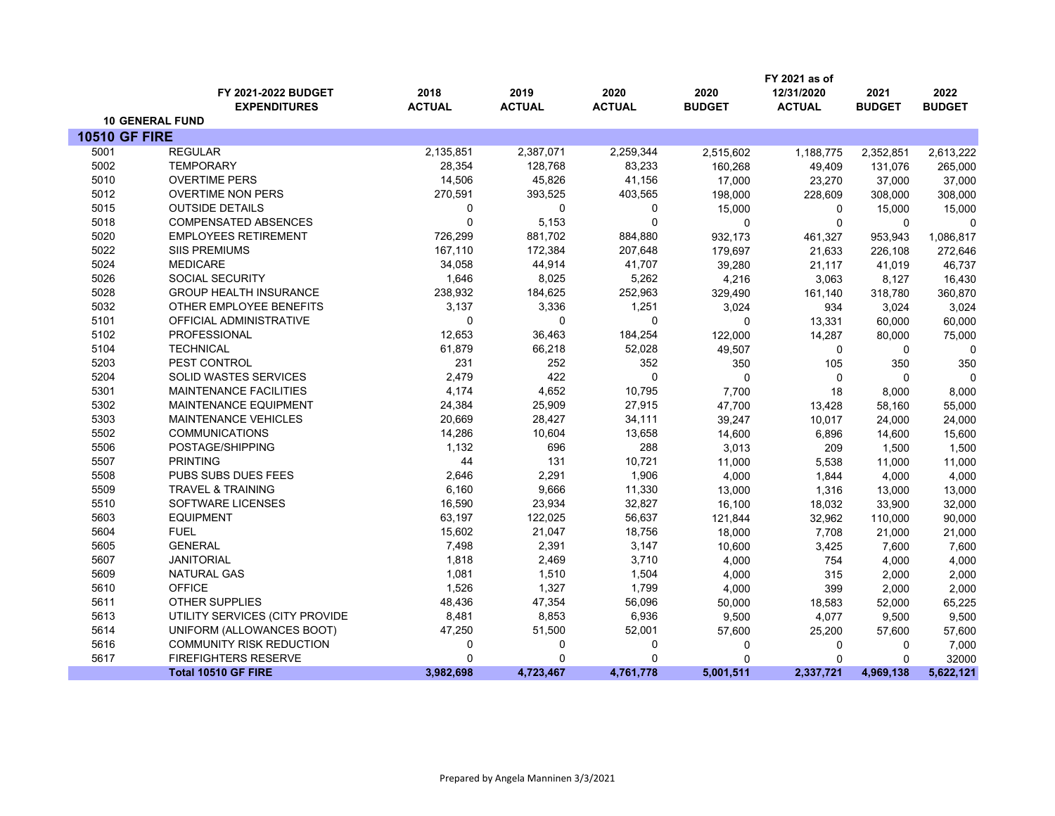|                      |                                 |               |               |               |               | FY 2021 as of |               |               |
|----------------------|---------------------------------|---------------|---------------|---------------|---------------|---------------|---------------|---------------|
|                      | FY 2021-2022 BUDGET             | 2018          | 2019          | 2020          | 2020          | 12/31/2020    | 2021          | 2022          |
|                      | <b>EXPENDITURES</b>             | <b>ACTUAL</b> | <b>ACTUAL</b> | <b>ACTUAL</b> | <b>BUDGET</b> | <b>ACTUAL</b> | <b>BUDGET</b> | <b>BUDGET</b> |
|                      | <b>10 GENERAL FUND</b>          |               |               |               |               |               |               |               |
| <b>10510 GF FIRE</b> |                                 |               |               |               |               |               |               |               |
| 5001                 | <b>REGULAR</b>                  | 2,135,851     | 2,387,071     | 2,259,344     | 2,515,602     | 1,188,775     | 2,352,851     | 2,613,222     |
| 5002                 | <b>TEMPORARY</b>                | 28,354        | 128,768       | 83,233        | 160,268       | 49,409        | 131,076       | 265,000       |
| 5010                 | <b>OVERTIME PERS</b>            | 14,506        | 45,826        | 41,156        | 17,000        | 23,270        | 37,000        | 37,000        |
| 5012                 | <b>OVERTIME NON PERS</b>        | 270,591       | 393,525       | 403,565       | 198,000       | 228,609       | 308,000       | 308,000       |
| 5015                 | <b>OUTSIDE DETAILS</b>          | 0             | 0             | 0             | 15,000        | $\mathbf 0$   | 15,000        | 15,000        |
| 5018                 | <b>COMPENSATED ABSENCES</b>     | $\Omega$      | 5,153         | $\mathbf 0$   | $\mathbf 0$   | $\mathbf 0$   | $\mathbf{0}$  | $\Omega$      |
| 5020                 | <b>EMPLOYEES RETIREMENT</b>     | 726,299       | 881,702       | 884,880       | 932,173       | 461,327       | 953,943       | 1,086,817     |
| 5022                 | <b>SIIS PREMIUMS</b>            | 167,110       | 172,384       | 207,648       | 179,697       | 21,633        | 226,108       | 272,646       |
| 5024                 | <b>MEDICARE</b>                 | 34,058        | 44,914        | 41,707        | 39,280        | 21,117        | 41,019        | 46,737        |
| 5026                 | SOCIAL SECURITY                 | 1,646         | 8,025         | 5,262         | 4,216         | 3,063         | 8,127         | 16,430        |
| 5028                 | <b>GROUP HEALTH INSURANCE</b>   | 238,932       | 184,625       | 252,963       | 329,490       | 161,140       | 318,780       | 360,870       |
| 5032                 | OTHER EMPLOYEE BENEFITS         | 3,137         | 3,336         | 1,251         | 3,024         | 934           | 3,024         | 3,024         |
| 5101                 | OFFICIAL ADMINISTRATIVE         | $\Omega$      | $\Omega$      | 0             | $\mathbf 0$   | 13,331        | 60,000        | 60,000        |
| 5102                 | PROFESSIONAL                    | 12,653        | 36,463        | 184,254       | 122,000       | 14,287        | 80,000        | 75,000        |
| 5104                 | <b>TECHNICAL</b>                | 61,879        | 66,218        | 52,028        | 49,507        | 0             | 0             | $\mathbf 0$   |
| 5203                 | PEST CONTROL                    | 231           | 252           | 352           | 350           | 105           | 350           | 350           |
| 5204                 | <b>SOLID WASTES SERVICES</b>    | 2,479         | 422           | 0             | $\mathbf{0}$  | $\mathbf 0$   | $\Omega$      | $\mathbf 0$   |
| 5301                 | <b>MAINTENANCE FACILITIES</b>   | 4,174         | 4,652         | 10,795        | 7,700         | 18            | 8,000         | 8,000         |
| 5302                 | MAINTENANCE EQUIPMENT           | 24,384        | 25,909        | 27,915        | 47,700        | 13,428        | 58,160        | 55,000        |
| 5303                 | <b>MAINTENANCE VEHICLES</b>     | 20,669        | 28,427        | 34,111        | 39,247        | 10,017        | 24,000        | 24,000        |
| 5502                 | <b>COMMUNICATIONS</b>           | 14,286        | 10,604        | 13,658        | 14,600        | 6,896         | 14,600        | 15,600        |
| 5506                 | POSTAGE/SHIPPING                | 1,132         | 696           | 288           | 3,013         | 209           | 1,500         | 1,500         |
| 5507                 | <b>PRINTING</b>                 | 44            | 131           | 10,721        | 11,000        | 5,538         | 11,000        | 11,000        |
| 5508                 | PUBS SUBS DUES FEES             | 2,646         | 2,291         | 1,906         | 4,000         | 1,844         | 4,000         | 4,000         |
| 5509                 | <b>TRAVEL &amp; TRAINING</b>    | 6,160         | 9,666         | 11,330        | 13,000        | 1,316         | 13,000        | 13,000        |
| 5510                 | <b>SOFTWARE LICENSES</b>        | 16,590        | 23,934        | 32,827        | 16,100        | 18,032        | 33,900        | 32,000        |
| 5603                 | <b>EQUIPMENT</b>                | 63,197        | 122,025       | 56,637        | 121,844       | 32,962        | 110,000       | 90,000        |
| 5604                 | <b>FUEL</b>                     | 15,602        | 21,047        | 18,756        | 18,000        | 7,708         | 21,000        | 21,000        |
| 5605                 | <b>GENERAL</b>                  | 7,498         | 2,391         | 3,147         | 10,600        | 3,425         | 7,600         | 7,600         |
| 5607                 | <b>JANITORIAL</b>               | 1,818         | 2,469         | 3,710         | 4,000         | 754           | 4.000         | 4,000         |
| 5609                 | NATURAL GAS                     | 1,081         | 1,510         | 1,504         | 4,000         | 315           | 2,000         | 2,000         |
| 5610                 | <b>OFFICE</b>                   | 1,526         | 1,327         | 1,799         | 4,000         | 399           | 2,000         | 2,000         |
| 5611                 | <b>OTHER SUPPLIES</b>           | 48,436        | 47,354        | 56,096        | 50,000        | 18,583        | 52,000        | 65,225        |
| 5613                 | UTILITY SERVICES (CITY PROVIDE  | 8,481         | 8,853         | 6,936         | 9,500         | 4,077         | 9,500         | 9,500         |
| 5614                 | UNIFORM (ALLOWANCES BOOT)       | 47,250        | 51,500        | 52,001        | 57,600        | 25,200        | 57,600        | 57,600        |
| 5616                 | <b>COMMUNITY RISK REDUCTION</b> | 0             | 0             | 0             | 0             | 0             | $\mathbf 0$   | 7,000         |
| 5617                 | <b>FIREFIGHTERS RESERVE</b>     | $\Omega$      | $\Omega$      | 0             | $\mathbf{0}$  | $\Omega$      | $\Omega$      | 32000         |
|                      | <b>Total 10510 GF FIRE</b>      | 3,982,698     | 4,723,467     | 4,761,778     | 5,001,511     | 2,337,721     | 4,969,138     | 5,622,121     |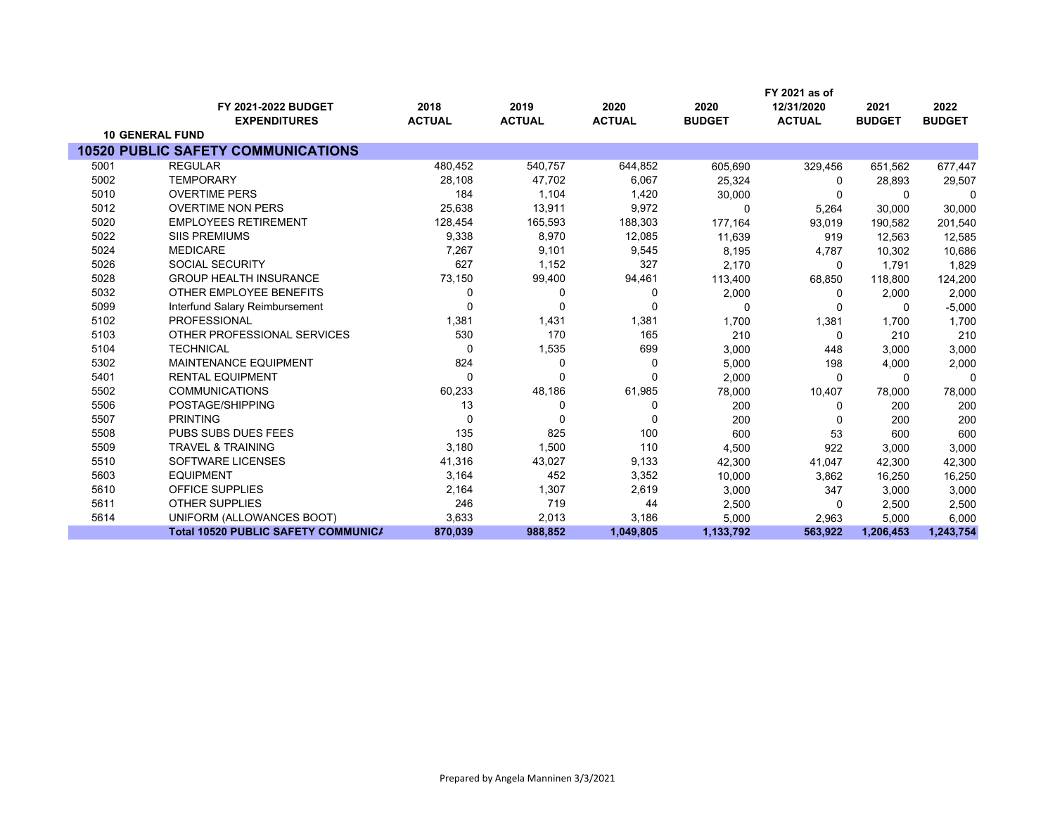|      |                                            |               |               |               |               | FY 2021 as of |               |               |
|------|--------------------------------------------|---------------|---------------|---------------|---------------|---------------|---------------|---------------|
|      | FY 2021-2022 BUDGET                        | 2018          | 2019          | 2020          | 2020          | 12/31/2020    | 2021          | 2022          |
|      | <b>EXPENDITURES</b>                        | <b>ACTUAL</b> | <b>ACTUAL</b> | <b>ACTUAL</b> | <b>BUDGET</b> | <b>ACTUAL</b> | <b>BUDGET</b> | <b>BUDGET</b> |
|      | <b>10 GENERAL FUND</b>                     |               |               |               |               |               |               |               |
|      | <b>10520 PUBLIC SAFETY COMMUNICATIONS</b>  |               |               |               |               |               |               |               |
| 5001 | <b>REGULAR</b>                             | 480,452       | 540,757       | 644,852       | 605,690       | 329,456       | 651,562       | 677,447       |
| 5002 | <b>TEMPORARY</b>                           | 28,108        | 47,702        | 6,067         | 25,324        | $\Omega$      | 28,893        | 29,507        |
| 5010 | <b>OVERTIME PERS</b>                       | 184           | 1,104         | 1,420         | 30,000        | $\Omega$      | $\Omega$      | $\Omega$      |
| 5012 | <b>OVERTIME NON PERS</b>                   | 25,638        | 13,911        | 9,972         | $\Omega$      | 5,264         | 30,000        | 30,000        |
| 5020 | <b>EMPLOYEES RETIREMENT</b>                | 128,454       | 165,593       | 188,303       | 177,164       | 93,019        | 190,582       | 201,540       |
| 5022 | <b>SIIS PREMIUMS</b>                       | 9,338         | 8,970         | 12,085        | 11,639        | 919           | 12,563        | 12,585        |
| 5024 | <b>MEDICARE</b>                            | 7,267         | 9,101         | 9,545         | 8,195         | 4,787         | 10,302        | 10,686        |
| 5026 | <b>SOCIAL SECURITY</b>                     | 627           | 1,152         | 327           | 2,170         | 0             | 1.791         | 1,829         |
| 5028 | <b>GROUP HEALTH INSURANCE</b>              | 73,150        | 99,400        | 94,461        | 113,400       | 68,850        | 118,800       | 124,200       |
| 5032 | OTHER EMPLOYEE BENEFITS                    | $\Omega$      | 0             | 0             | 2,000         | 0             | 2,000         | 2,000         |
| 5099 | Interfund Salary Reimbursement             |               | $\Omega$      | $\Omega$      | $\Omega$      | 0             | 0             | $-5,000$      |
| 5102 | <b>PROFESSIONAL</b>                        | 1,381         | 1,431         | 1,381         | 1,700         | 1,381         | 1,700         | 1,700         |
| 5103 | OTHER PROFESSIONAL SERVICES                | 530           | 170           | 165           | 210           | $\Omega$      | 210           | 210           |
| 5104 | <b>TECHNICAL</b>                           | $\Omega$      | 1,535         | 699           | 3,000         | 448           | 3.000         | 3,000         |
| 5302 | <b>MAINTENANCE EQUIPMENT</b>               | 824           | 0             | 0             | 5,000         | 198           | 4,000         | 2,000         |
| 5401 | <b>RENTAL EQUIPMENT</b>                    | $\Omega$      | 0             | $\Omega$      | 2,000         | $\Omega$      | $\Omega$      | 0             |
| 5502 | <b>COMMUNICATIONS</b>                      | 60,233        | 48,186        | 61,985        | 78,000        | 10,407        | 78,000        | 78,000        |
| 5506 | POSTAGE/SHIPPING                           | 13            | 0             | 0             | 200           | 0             | 200           | 200           |
| 5507 | <b>PRINTING</b>                            | $\Omega$      | $\Omega$      | $\Omega$      | 200           | $\Omega$      | 200           | 200           |
| 5508 | PUBS SUBS DUES FEES                        | 135           | 825           | 100           | 600           | 53            | 600           | 600           |
| 5509 | <b>TRAVEL &amp; TRAINING</b>               | 3,180         | 1,500         | 110           | 4,500         | 922           | 3,000         | 3,000         |
| 5510 | SOFTWARE LICENSES                          | 41,316        | 43,027        | 9,133         | 42,300        | 41,047        | 42,300        | 42,300        |
| 5603 | <b>EQUIPMENT</b>                           | 3,164         | 452           | 3,352         | 10,000        | 3,862         | 16,250        | 16,250        |
| 5610 | <b>OFFICE SUPPLIES</b>                     | 2,164         | 1,307         | 2,619         | 3,000         | 347           | 3,000         | 3,000         |
| 5611 | <b>OTHER SUPPLIES</b>                      | 246           | 719           | 44            | 2,500         | 0             | 2,500         | 2,500         |
| 5614 | UNIFORM (ALLOWANCES BOOT)                  | 3,633         | 2,013         | 3,186         | 5,000         | 2,963         | 5,000         | 6,000         |
|      | <b>Total 10520 PUBLIC SAFETY COMMUNICA</b> | 870,039       | 988,852       | 1,049,805     | 1,133,792     | 563,922       | 1,206,453     | 1,243,754     |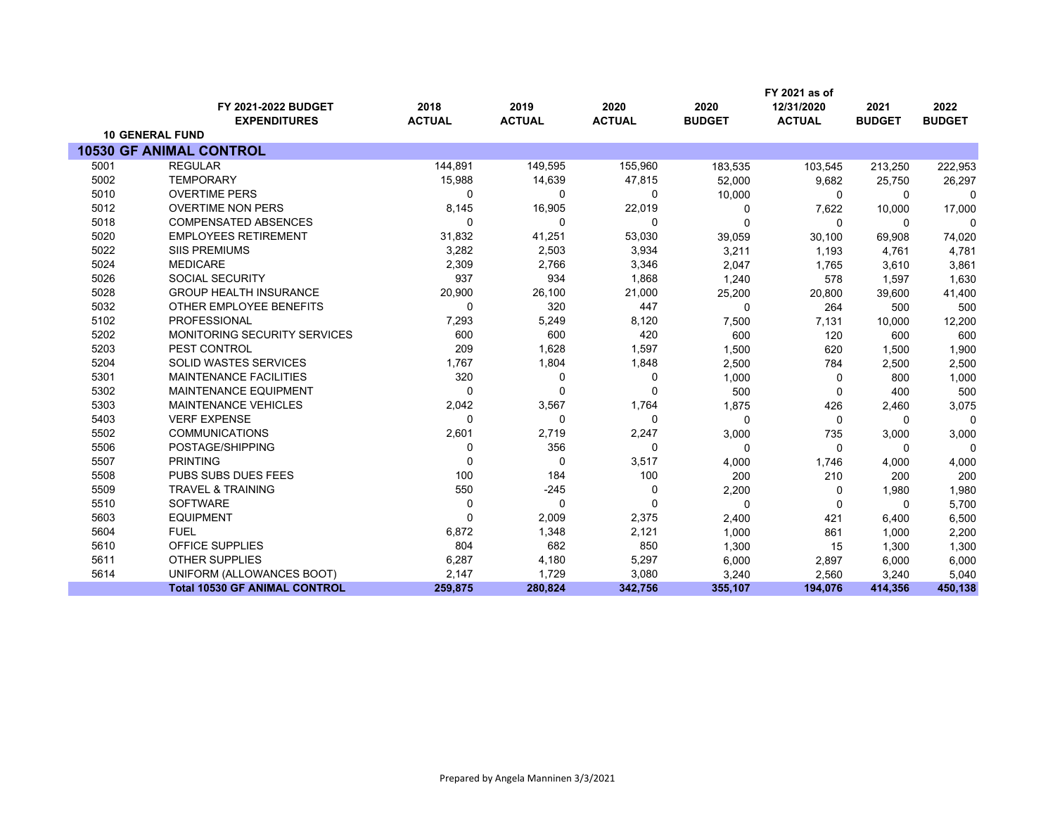|      |                                      |               |               |               |               | FY 2021 as of |               |               |
|------|--------------------------------------|---------------|---------------|---------------|---------------|---------------|---------------|---------------|
|      | FY 2021-2022 BUDGET                  | 2018          | 2019          | 2020          | 2020          | 12/31/2020    | 2021          | 2022          |
|      | <b>EXPENDITURES</b>                  | <b>ACTUAL</b> | <b>ACTUAL</b> | <b>ACTUAL</b> | <b>BUDGET</b> | <b>ACTUAL</b> | <b>BUDGET</b> | <b>BUDGET</b> |
|      | <b>10 GENERAL FUND</b>               |               |               |               |               |               |               |               |
|      | <b>10530 GF ANIMAL CONTROL</b>       |               |               |               |               |               |               |               |
| 5001 | <b>REGULAR</b>                       | 144,891       | 149,595       | 155,960       | 183,535       | 103,545       | 213,250       | 222,953       |
| 5002 | <b>TEMPORARY</b>                     | 15,988        | 14,639        | 47,815        | 52,000        | 9,682         | 25,750        | 26,297        |
| 5010 | <b>OVERTIME PERS</b>                 | 0             | 0             | 0             | 10,000        | 0             | $\Omega$      | 0             |
| 5012 | <b>OVERTIME NON PERS</b>             | 8,145         | 16,905        | 22,019        | 0             | 7,622         | 10,000        | 17,000        |
| 5018 | <b>COMPENSATED ABSENCES</b>          | 0             | 0             | 0             | $\Omega$      | $\mathbf{0}$  | $\Omega$      | $\Omega$      |
| 5020 | <b>EMPLOYEES RETIREMENT</b>          | 31,832        | 41,251        | 53,030        | 39,059        | 30,100        | 69,908        | 74,020        |
| 5022 | <b>SIIS PREMIUMS</b>                 | 3,282         | 2,503         | 3,934         | 3,211         | 1,193         | 4,761         | 4,781         |
| 5024 | <b>MEDICARE</b>                      | 2,309         | 2,766         | 3,346         | 2,047         | 1,765         | 3,610         | 3,861         |
| 5026 | <b>SOCIAL SECURITY</b>               | 937           | 934           | 1,868         | 1,240         | 578           | 1,597         | 1,630         |
| 5028 | <b>GROUP HEALTH INSURANCE</b>        | 20,900        | 26,100        | 21,000        | 25,200        | 20,800        | 39,600        | 41,400        |
| 5032 | OTHER EMPLOYEE BENEFITS              | 0             | 320           | 447           | 0             | 264           | 500           | 500           |
| 5102 | <b>PROFESSIONAL</b>                  | 7,293         | 5,249         | 8,120         | 7,500         | 7,131         | 10,000        | 12,200        |
| 5202 | <b>MONITORING SECURITY SERVICES</b>  | 600           | 600           | 420           | 600           | 120           | 600           | 600           |
| 5203 | PEST CONTROL                         | 209           | 1,628         | 1,597         | 1,500         | 620           | 1,500         | 1,900         |
| 5204 | <b>SOLID WASTES SERVICES</b>         | 1,767         | 1,804         | 1,848         | 2,500         | 784           | 2,500         | 2,500         |
| 5301 | <b>MAINTENANCE FACILITIES</b>        | 320           | 0             | 0             | 1,000         | 0             | 800           | 1,000         |
| 5302 | <b>MAINTENANCE EQUIPMENT</b>         | 0             | $\Omega$      | $\Omega$      | 500           | $\Omega$      | 400           | 500           |
| 5303 | <b>MAINTENANCE VEHICLES</b>          | 2,042         | 3,567         | 1,764         | 1,875         | 426           | 2,460         | 3,075         |
| 5403 | <b>VERF EXPENSE</b>                  | 0             | 0             | 0             | $\Omega$      | $\mathbf 0$   | $\Omega$      | $\Omega$      |
| 5502 | <b>COMMUNICATIONS</b>                | 2,601         | 2,719         | 2,247         | 3,000         | 735           | 3,000         | 3,000         |
| 5506 | POSTAGE/SHIPPING                     | 0             | 356           | 0             | $\Omega$      | $\Omega$      | $\Omega$      | $\Omega$      |
| 5507 | <b>PRINTING</b>                      | $\Omega$      | 0             | 3,517         | 4,000         | 1,746         | 4,000         | 4,000         |
| 5508 | PUBS SUBS DUES FEES                  | 100           | 184           | 100           | 200           | 210           | 200           | 200           |
| 5509 | <b>TRAVEL &amp; TRAINING</b>         | 550           | $-245$        | $\mathbf 0$   | 2,200         | 0             | 1,980         | 1,980         |
| 5510 | <b>SOFTWARE</b>                      | $\Omega$      | $\Omega$      | $\Omega$      | $\Omega$      | $\Omega$      | $\Omega$      | 5,700         |
| 5603 | <b>EQUIPMENT</b>                     | $\Omega$      | 2,009         | 2,375         | 2,400         | 421           | 6,400         | 6,500         |
| 5604 | <b>FUEL</b>                          | 6,872         | 1,348         | 2,121         | 1,000         | 861           | 1,000         | 2,200         |
| 5610 | OFFICE SUPPLIES                      | 804           | 682           | 850           | 1,300         | 15            | 1,300         | 1,300         |
| 5611 | <b>OTHER SUPPLIES</b>                | 6,287         | 4,180         | 5,297         | 6,000         | 2,897         | 6,000         | 6,000         |
| 5614 | UNIFORM (ALLOWANCES BOOT)            | 2,147         | 1,729         | 3,080         | 3,240         | 2,560         | 3,240         | 5,040         |
|      | <b>Total 10530 GF ANIMAL CONTROL</b> | 259,875       | 280,824       | 342,756       | 355,107       | 194,076       | 414,356       | 450,138       |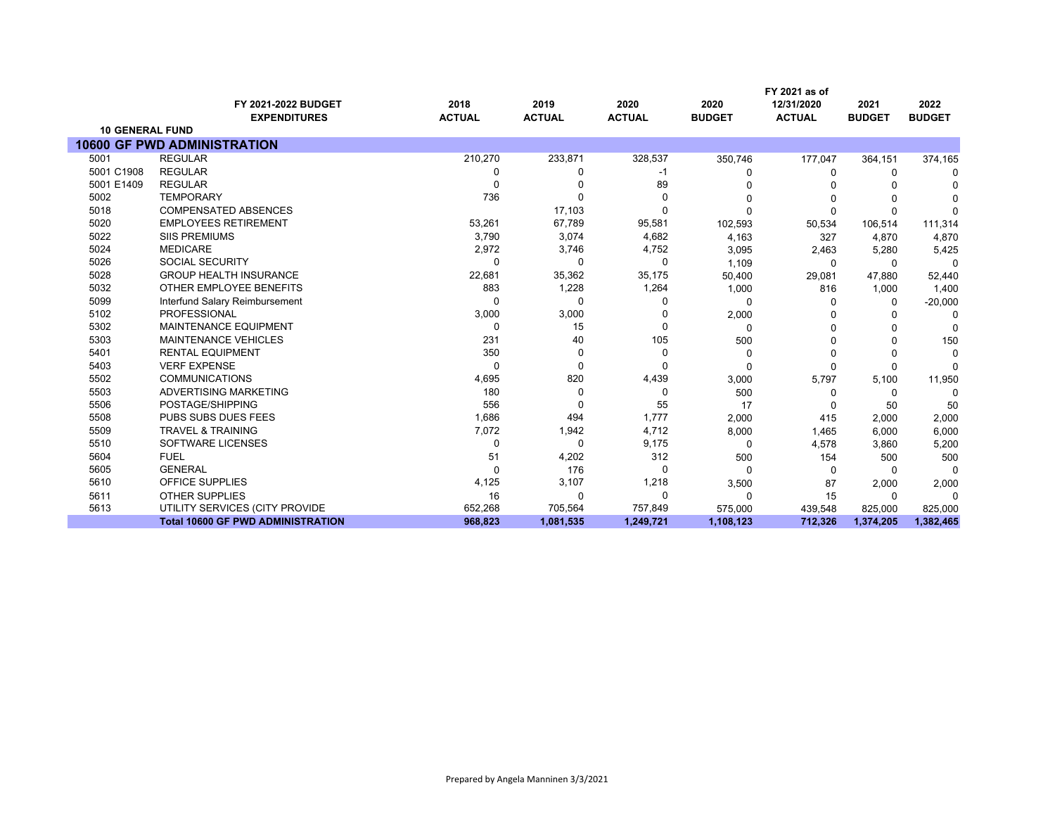|                        |                                            |                       |                       |                       |                       | FY 2021 as of               |                       |                       |
|------------------------|--------------------------------------------|-----------------------|-----------------------|-----------------------|-----------------------|-----------------------------|-----------------------|-----------------------|
|                        | FY 2021-2022 BUDGET<br><b>EXPENDITURES</b> | 2018<br><b>ACTUAL</b> | 2019<br><b>ACTUAL</b> | 2020<br><b>ACTUAL</b> | 2020<br><b>BUDGET</b> | 12/31/2020<br><b>ACTUAL</b> | 2021<br><b>BUDGET</b> | 2022<br><b>BUDGET</b> |
| <b>10 GENERAL FUND</b> |                                            |                       |                       |                       |                       |                             |                       |                       |
|                        | <b>10600 GF PWD ADMINISTRATION</b>         |                       |                       |                       |                       |                             |                       |                       |
| 5001                   | <b>REGULAR</b>                             | 210,270               | 233,871               | 328,537               | 350,746               | 177,047                     | 364,151               | 374,165               |
| 5001 C1908             | <b>REGULAR</b>                             | 0                     | 0                     | -1                    | O                     | 0                           | 0                     | <sup>0</sup>          |
| 5001 E1409             | <b>REGULAR</b>                             | 0                     |                       | 89                    |                       |                             |                       |                       |
| 5002                   | <b>TEMPORARY</b>                           | 736                   |                       | 0                     | 0                     | $\Omega$                    |                       |                       |
| 5018                   | <b>COMPENSATED ABSENCES</b>                |                       | 17,103                | 0                     | O                     | $\Omega$                    | $\Omega$              | C                     |
| 5020                   | <b>EMPLOYEES RETIREMENT</b>                | 53,261                | 67,789                | 95,581                | 102,593               | 50,534                      | 106,514               | 111,314               |
| 5022                   | <b>SIIS PREMIUMS</b>                       | 3,790                 | 3,074                 | 4,682                 | 4,163                 | 327                         | 4,870                 | 4,870                 |
| 5024                   | <b>MEDICARE</b>                            | 2,972                 | 3,746                 | 4,752                 | 3,095                 | 2,463                       | 5,280                 | 5,425                 |
| 5026                   | <b>SOCIAL SECURITY</b>                     | 0                     | 0                     | 0                     | 1,109                 | 0                           | $\Omega$              | 0                     |
| 5028                   | <b>GROUP HEALTH INSURANCE</b>              | 22,681                | 35,362                | 35,175                | 50,400                | 29,081                      | 47,880                | 52,440                |
| 5032                   | OTHER EMPLOYEE BENEFITS                    | 883                   | 1,228                 | 1,264                 | 1,000                 | 816                         | 1,000                 | 1,400                 |
| 5099                   | Interfund Salary Reimbursement             | $\Omega$              | 0                     | 0                     | 0                     | $\Omega$                    | 0                     | $-20,000$             |
| 5102                   | <b>PROFESSIONAL</b>                        | 3,000                 | 3,000                 | U                     | 2,000                 |                             | O                     | $\Omega$              |
| 5302                   | <b>MAINTENANCE EQUIPMENT</b>               | 0                     | 15                    | $\Omega$              | 0                     | $\Omega$                    |                       | $\Omega$              |
| 5303                   | MAINTENANCE VEHICLES                       | 231                   | 40                    | 105                   | 500                   | 0                           | ∩                     | 150                   |
| 5401                   | <b>RENTAL EQUIPMENT</b>                    | 350                   | 0                     | $\Omega$              | 0                     | $\Omega$                    | $\Omega$              | $\Omega$              |
| 5403                   | <b>VERF EXPENSE</b>                        | $\Omega$              | 0                     | 0                     | 0                     | $\Omega$                    | 0                     | $\Omega$              |
| 5502                   | <b>COMMUNICATIONS</b>                      | 4,695                 | 820                   | 4,439                 | 3,000                 | 5,797                       | 5,100                 | 11,950                |
| 5503                   | ADVERTISING MARKETING                      | 180                   | 0                     | 0                     | 500                   | 0                           | 0                     | $\Omega$              |
| 5506                   | POSTAGE/SHIPPING                           | 556                   | 0                     | 55                    | 17                    | $\Omega$                    | 50                    | 50                    |
| 5508                   | <b>PUBS SUBS DUES FEES</b>                 | 1,686                 | 494                   | 1,777                 | 2,000                 | 415                         | 2,000                 | 2,000                 |
| 5509                   | <b>TRAVEL &amp; TRAINING</b>               | 7,072                 | 1,942                 | 4,712                 | 8,000                 | 1,465                       | 6,000                 | 6,000                 |
| 5510                   | SOFTWARE LICENSES                          | 0                     | 0                     | 9,175                 | 0                     | 4,578                       | 3,860                 | 5,200                 |
| 5604                   | <b>FUEL</b>                                | 51                    | 4,202                 | 312                   | 500                   | 154                         | 500                   | 500                   |
| 5605                   | <b>GENERAL</b>                             | $\Omega$              | 176                   | 0                     | $\Omega$              | $\Omega$                    | $\Omega$              | $\Omega$              |
| 5610                   | OFFICE SUPPLIES                            | 4,125                 | 3,107                 | 1,218                 | 3,500                 | 87                          | 2,000                 | 2,000                 |
| 5611                   | <b>OTHER SUPPLIES</b>                      | 16                    | 0                     | 0                     | 0                     | 15                          | 0                     | $\Omega$              |
| 5613                   | UTILITY SERVICES (CITY PROVIDE             | 652,268               | 705,564               | 757,849               | 575,000               | 439,548                     | 825,000               | 825,000               |
|                        | <b>Total 10600 GF PWD ADMINISTRATION</b>   | 968,823               | 1,081,535             | 1,249,721             | 1,108,123             | 712,326                     | 1,374,205             | 1,382,465             |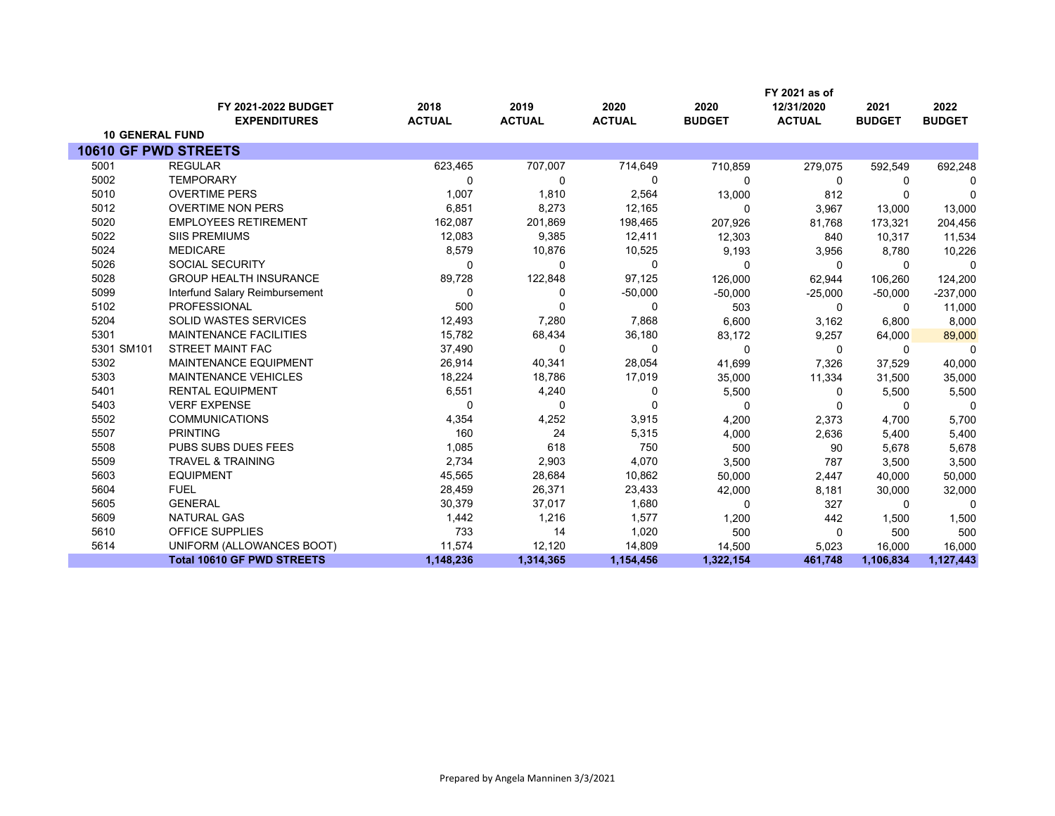|                             |                                   |               |               |               |               | FY 2021 as of |               |               |
|-----------------------------|-----------------------------------|---------------|---------------|---------------|---------------|---------------|---------------|---------------|
|                             | FY 2021-2022 BUDGET               | 2018          | 2019          | 2020          | 2020          | 12/31/2020    | 2021          | 2022          |
|                             | <b>EXPENDITURES</b>               | <b>ACTUAL</b> | <b>ACTUAL</b> | <b>ACTUAL</b> | <b>BUDGET</b> | <b>ACTUAL</b> | <b>BUDGET</b> | <b>BUDGET</b> |
| <b>10 GENERAL FUND</b>      |                                   |               |               |               |               |               |               |               |
| <b>10610 GF PWD STREETS</b> |                                   |               |               |               |               |               |               |               |
| 5001                        | <b>REGULAR</b>                    | 623,465       | 707,007       | 714,649       | 710,859       | 279,075       | 592,549       | 692,248       |
| 5002                        | <b>TEMPORARY</b>                  | O             | 0             | $\Omega$      | $\Omega$      | 0             | $\Omega$      | 0             |
| 5010                        | <b>OVERTIME PERS</b>              | 1,007         | 1,810         | 2,564         | 13,000        | 812           |               | 0             |
| 5012                        | <b>OVERTIME NON PERS</b>          | 6,851         | 8,273         | 12,165        | $\Omega$      | 3,967         | 13,000        | 13,000        |
| 5020                        | <b>EMPLOYEES RETIREMENT</b>       | 162,087       | 201,869       | 198,465       | 207,926       | 81,768        | 173,321       | 204,456       |
| 5022                        | <b>SIIS PREMIUMS</b>              | 12,083        | 9,385         | 12,411        | 12,303        | 840           | 10,317        | 11,534        |
| 5024                        | <b>MEDICARE</b>                   | 8,579         | 10,876        | 10,525        | 9,193         | 3,956         | 8,780         | 10,226        |
| 5026                        | <b>SOCIAL SECURITY</b>            | $\Omega$      | 0             | 0             | $\Omega$      | $\mathbf 0$   | 0             | 0             |
| 5028                        | <b>GROUP HEALTH INSURANCE</b>     | 89,728        | 122,848       | 97,125        | 126,000       | 62,944        | 106,260       | 124,200       |
| 5099                        | Interfund Salary Reimbursement    | $\Omega$      | 0             | $-50,000$     | $-50,000$     | $-25,000$     | $-50,000$     | $-237,000$    |
| 5102                        | PROFESSIONAL                      | 500           | 0             | 0             | 503           | 0             | $\Omega$      | 11,000        |
| 5204                        | SOLID WASTES SERVICES             | 12,493        | 7,280         | 7,868         | 6,600         | 3,162         | 6,800         | 8,000         |
| 5301                        | <b>MAINTENANCE FACILITIES</b>     | 15,782        | 68,434        | 36,180        | 83,172        | 9,257         | 64,000        | 89,000        |
| 5301 SM101                  | <b>STREET MAINT FAC</b>           | 37,490        | 0             | 0             | $\Omega$      | $\Omega$      | $\Omega$      | $\Omega$      |
| 5302                        | MAINTENANCE EQUIPMENT             | 26,914        | 40,341        | 28,054        | 41,699        | 7,326         | 37,529        | 40,000        |
| 5303                        | <b>MAINTENANCE VEHICLES</b>       | 18,224        | 18,786        | 17,019        | 35,000        | 11,334        | 31,500        | 35,000        |
| 5401                        | <b>RENTAL EQUIPMENT</b>           | 6,551         | 4,240         | 0             | 5,500         | 0             | 5,500         | 5,500         |
| 5403                        | <b>VERF EXPENSE</b>               | 0             | 0             | 0             | $\Omega$      | $\Omega$      | $\Omega$      | $\mathbf 0$   |
| 5502                        | <b>COMMUNICATIONS</b>             | 4,354         | 4,252         | 3,915         | 4,200         | 2,373         | 4,700         | 5,700         |
| 5507                        | <b>PRINTING</b>                   | 160           | 24            | 5,315         | 4,000         | 2,636         | 5,400         | 5,400         |
| 5508                        | PUBS SUBS DUES FEES               | 1,085         | 618           | 750           | 500           | 90            | 5,678         | 5,678         |
| 5509                        | <b>TRAVEL &amp; TRAINING</b>      | 2,734         | 2,903         | 4,070         | 3,500         | 787           | 3,500         | 3,500         |
| 5603                        | <b>EQUIPMENT</b>                  | 45,565        | 28,684        | 10,862        | 50,000        | 2,447         | 40,000        | 50,000        |
| 5604                        | <b>FUEL</b>                       | 28,459        | 26,371        | 23,433        | 42,000        | 8,181         | 30,000        | 32,000        |
| 5605                        | <b>GENERAL</b>                    | 30,379        | 37,017        | 1,680         | $\Omega$      | 327           | $\Omega$      | $\Omega$      |
| 5609                        | <b>NATURAL GAS</b>                | 1,442         | 1,216         | 1,577         | 1,200         | 442           | 1,500         | 1,500         |
| 5610                        | OFFICE SUPPLIES                   | 733           | 14            | 1,020         | 500           | $\Omega$      | 500           | 500           |
| 5614                        | UNIFORM (ALLOWANCES BOOT)         | 11,574        | 12,120        | 14,809        | 14,500        | 5,023         | 16,000        | 16,000        |
|                             | <b>Total 10610 GF PWD STREETS</b> | 1,148,236     | 1,314,365     | 1,154,456     | 1,322,154     | 461,748       | 1,106,834     | 1,127,443     |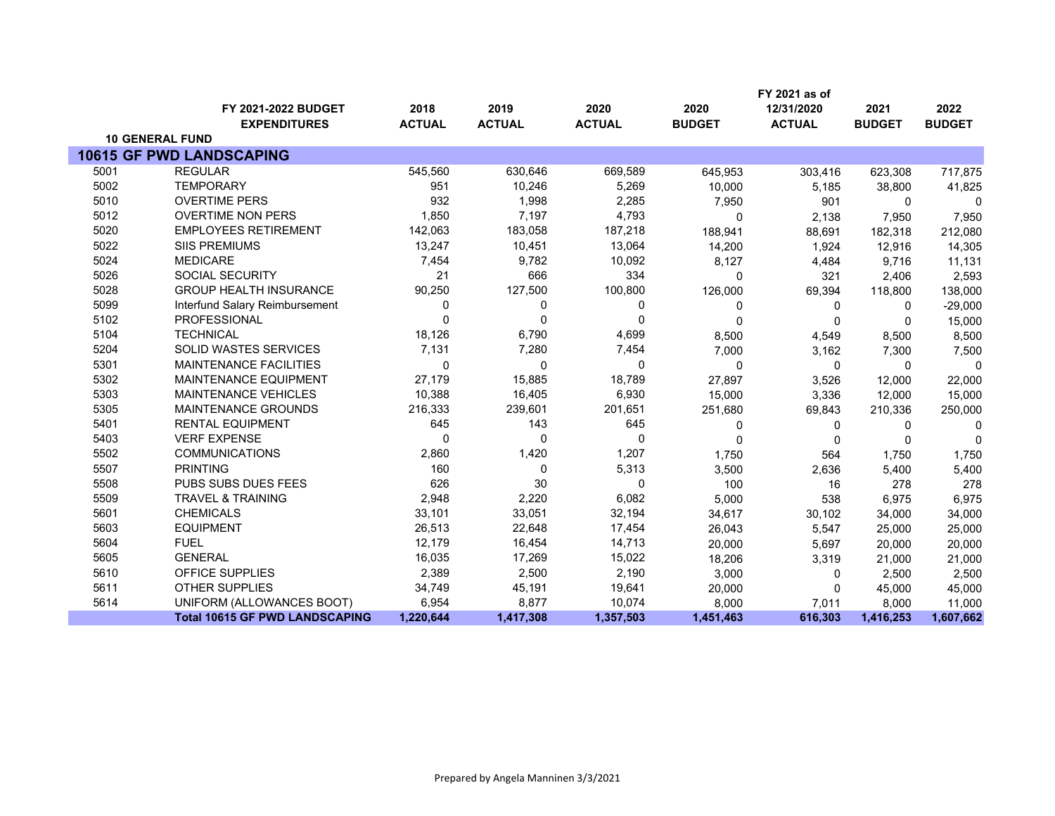|      |                                            |                       |                       |                       |                       | FY 2021 as of               |                       |                       |
|------|--------------------------------------------|-----------------------|-----------------------|-----------------------|-----------------------|-----------------------------|-----------------------|-----------------------|
|      | FY 2021-2022 BUDGET<br><b>EXPENDITURES</b> | 2018<br><b>ACTUAL</b> | 2019<br><b>ACTUAL</b> | 2020<br><b>ACTUAL</b> | 2020<br><b>BUDGET</b> | 12/31/2020<br><b>ACTUAL</b> | 2021<br><b>BUDGET</b> | 2022<br><b>BUDGET</b> |
|      | <b>10 GENERAL FUND</b>                     |                       |                       |                       |                       |                             |                       |                       |
|      | <b>10615 GF PWD LANDSCAPING</b>            |                       |                       |                       |                       |                             |                       |                       |
| 5001 | <b>REGULAR</b>                             | 545,560               | 630,646               | 669,589               | 645,953               | 303,416                     | 623,308               | 717,875               |
| 5002 | <b>TEMPORARY</b>                           | 951                   | 10,246                | 5,269                 | 10,000                | 5,185                       | 38,800                | 41,825                |
| 5010 | <b>OVERTIME PERS</b>                       | 932                   | 1,998                 | 2,285                 | 7,950                 | 901                         | 0                     | $\Omega$              |
| 5012 | <b>OVERTIME NON PERS</b>                   | 1,850                 | 7,197                 | 4,793                 | $\Omega$              | 2,138                       | 7,950                 | 7,950                 |
| 5020 | <b>EMPLOYEES RETIREMENT</b>                | 142,063               | 183,058               | 187,218               | 188,941               | 88,691                      | 182,318               | 212,080               |
| 5022 | <b>SIIS PREMIUMS</b>                       | 13,247                | 10,451                | 13,064                | 14,200                | 1,924                       | 12,916                | 14,305                |
| 5024 | <b>MEDICARE</b>                            | 7,454                 | 9,782                 | 10,092                | 8,127                 | 4,484                       | 9,716                 | 11,131                |
| 5026 | <b>SOCIAL SECURITY</b>                     | 21                    | 666                   | 334                   | $\mathbf{0}$          | 321                         | 2,406                 | 2,593                 |
| 5028 | <b>GROUP HEALTH INSURANCE</b>              | 90,250                | 127,500               | 100,800               | 126,000               | 69,394                      | 118,800               | 138,000               |
| 5099 | Interfund Salary Reimbursement             | 0                     | 0                     | 0                     | $\Omega$              | $\Omega$                    | $\Omega$              | $-29,000$             |
| 5102 | <b>PROFESSIONAL</b>                        | $\Omega$              | $\Omega$              | $\Omega$              | $\Omega$              | $\mathbf{0}$                | 0                     | 15,000                |
| 5104 | <b>TECHNICAL</b>                           | 18,126                | 6,790                 | 4,699                 | 8,500                 | 4,549                       | 8,500                 | 8,500                 |
| 5204 | <b>SOLID WASTES SERVICES</b>               | 7,131                 | 7,280                 | 7,454                 | 7,000                 | 3,162                       | 7,300                 | 7,500                 |
| 5301 | <b>MAINTENANCE FACILITIES</b>              | $\mathbf{0}$          | $\mathbf{0}$          | $\Omega$              | $\Omega$              | $\Omega$                    | $\mathbf{0}$          | $\Omega$              |
| 5302 | MAINTENANCE EQUIPMENT                      | 27,179                | 15,885                | 18,789                | 27,897                | 3,526                       | 12,000                | 22,000                |
| 5303 | <b>MAINTENANCE VEHICLES</b>                | 10,388                | 16,405                | 6,930                 | 15,000                | 3,336                       | 12,000                | 15,000                |
| 5305 | <b>MAINTENANCE GROUNDS</b>                 | 216,333               | 239,601               | 201,651               | 251,680               | 69,843                      | 210,336               | 250,000               |
| 5401 | <b>RENTAL EQUIPMENT</b>                    | 645                   | 143                   | 645                   | 0                     | 0                           | $\mathbf 0$           | 0                     |
| 5403 | <b>VERF EXPENSE</b>                        | $\Omega$              | $\Omega$              | $\mathbf{0}$          | $\mathbf{0}$          | 0                           | 0                     | $\Omega$              |
| 5502 | <b>COMMUNICATIONS</b>                      | 2,860                 | 1,420                 | 1,207                 | 1,750                 | 564                         | 1,750                 | 1,750                 |
| 5507 | <b>PRINTING</b>                            | 160                   | $\Omega$              | 5,313                 | 3,500                 | 2,636                       | 5,400                 | 5,400                 |
| 5508 | <b>PUBS SUBS DUES FEES</b>                 | 626                   | 30                    | $\mathbf{0}$          | 100                   | 16                          | 278                   | 278                   |
| 5509 | <b>TRAVEL &amp; TRAINING</b>               | 2,948                 | 2,220                 | 6,082                 | 5,000                 | 538                         | 6,975                 | 6,975                 |
| 5601 | <b>CHEMICALS</b>                           | 33,101                | 33,051                | 32,194                | 34,617                | 30,102                      | 34,000                | 34,000                |
| 5603 | <b>EQUIPMENT</b>                           | 26,513                | 22,648                | 17,454                | 26,043                | 5,547                       | 25,000                | 25,000                |
| 5604 | <b>FUEL</b>                                | 12,179                | 16,454                | 14,713                | 20,000                | 5,697                       | 20,000                | 20,000                |
| 5605 | <b>GENERAL</b>                             | 16,035                | 17,269                | 15,022                | 18,206                | 3,319                       | 21,000                | 21,000                |
| 5610 | OFFICE SUPPLIES                            | 2,389                 | 2,500                 | 2,190                 | 3,000                 | 0                           | 2,500                 | 2,500                 |
| 5611 | <b>OTHER SUPPLIES</b>                      | 34,749                | 45,191                | 19,641                | 20,000                | $\mathbf{0}$                | 45,000                | 45,000                |
| 5614 | UNIFORM (ALLOWANCES BOOT)                  | 6,954                 | 8,877                 | 10,074                | 8.000                 | 7,011                       | 8.000                 | 11,000                |
|      | <b>Total 10615 GF PWD LANDSCAPING</b>      | 1,220,644             | 1,417,308             | 1,357,503             | 1,451,463             | 616,303                     | 1,416,253             | 1,607,662             |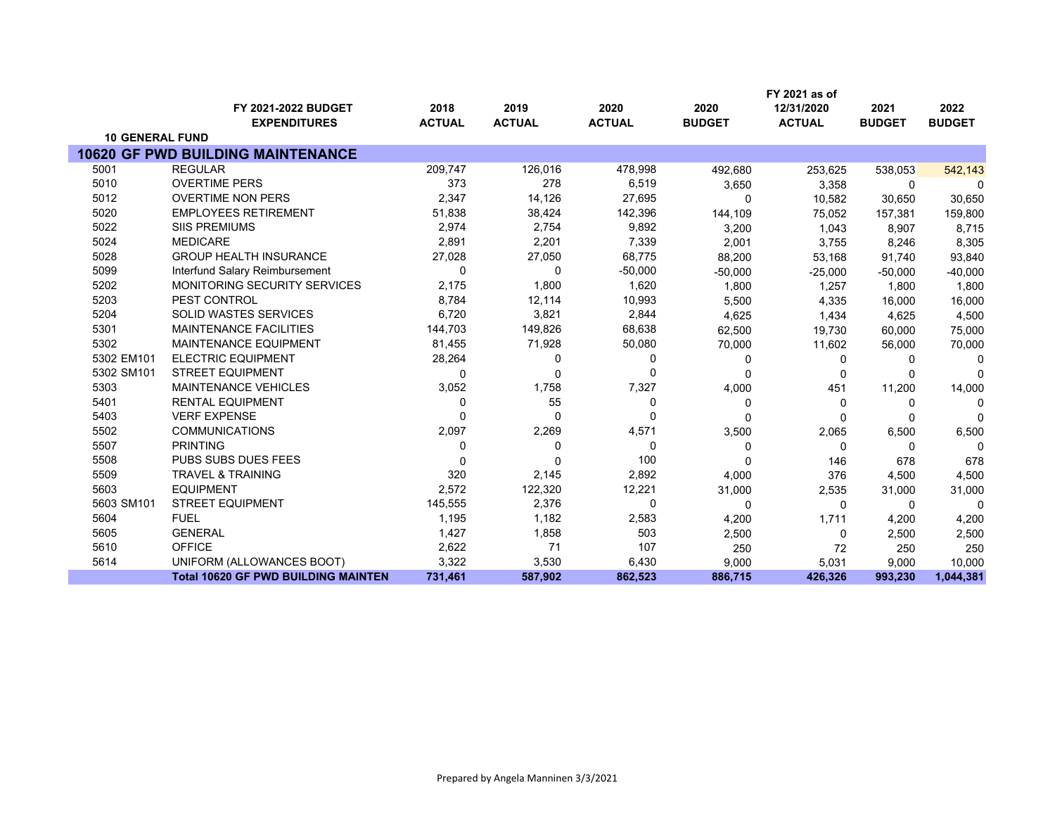|                        |                                                   |                       |                       |                       |                       | FY 2021 as of               |                       |                       |
|------------------------|---------------------------------------------------|-----------------------|-----------------------|-----------------------|-----------------------|-----------------------------|-----------------------|-----------------------|
|                        | <b>FY 2021-2022 BUDGET</b><br><b>EXPENDITURES</b> | 2018<br><b>ACTUAL</b> | 2019<br><b>ACTUAL</b> | 2020<br><b>ACTUAL</b> | 2020<br><b>BUDGET</b> | 12/31/2020<br><b>ACTUAL</b> | 2021<br><b>BUDGET</b> | 2022<br><b>BUDGET</b> |
| <b>10 GENERAL FUND</b> |                                                   |                       |                       |                       |                       |                             |                       |                       |
|                        | <b>10620 GF PWD BUILDING MAINTENANCE</b>          |                       |                       |                       |                       |                             |                       |                       |
| 5001                   | <b>REGULAR</b>                                    | 209,747               | 126,016               | 478,998               | 492,680               | 253,625                     | 538,053               | 542,143               |
| 5010                   | <b>OVERTIME PERS</b>                              | 373                   | 278                   | 6,519                 | 3,650                 | 3,358                       | 0                     | 0                     |
| 5012                   | <b>OVERTIME NON PERS</b>                          | 2,347                 | 14,126                | 27,695                | $\Omega$              | 10,582                      | 30,650                | 30,650                |
| 5020                   | <b>EMPLOYEES RETIREMENT</b>                       | 51,838                | 38,424                | 142,396               | 144,109               | 75,052                      | 157,381               | 159,800               |
| 5022                   | <b>SIIS PREMIUMS</b>                              | 2,974                 | 2,754                 | 9,892                 | 3,200                 | 1,043                       | 8,907                 | 8,715                 |
| 5024                   | <b>MEDICARE</b>                                   | 2,891                 | 2,201                 | 7,339                 | 2,001                 | 3,755                       | 8,246                 | 8,305                 |
| 5028                   | <b>GROUP HEALTH INSURANCE</b>                     | 27,028                | 27,050                | 68,775                | 88,200                | 53,168                      | 91,740                | 93,840                |
| 5099                   | Interfund Salary Reimbursement                    | 0                     | 0                     | $-50,000$             | $-50,000$             | $-25,000$                   | $-50,000$             | $-40,000$             |
| 5202                   | <b>MONITORING SECURITY SERVICES</b>               | 2,175                 | 1,800                 | 1,620                 | 1,800                 | 1,257                       | 1,800                 | 1,800                 |
| 5203                   | PEST CONTROL                                      | 8,784                 | 12,114                | 10,993                | 5,500                 | 4,335                       | 16,000                | 16,000                |
| 5204                   | <b>SOLID WASTES SERVICES</b>                      | 6,720                 | 3,821                 | 2,844                 | 4,625                 | 1,434                       | 4,625                 | 4,500                 |
| 5301                   | <b>MAINTENANCE FACILITIES</b>                     | 144,703               | 149,826               | 68,638                | 62,500                | 19,730                      | 60,000                | 75,000                |
| 5302                   | <b>MAINTENANCE EQUIPMENT</b>                      | 81,455                | 71,928                | 50,080                | 70,000                | 11,602                      | 56,000                | 70,000                |
| 5302 EM101             | <b>ELECTRIC EQUIPMENT</b>                         | 28,264                | 0                     | 0                     | 0                     | 0                           | 0                     | 0                     |
| 5302 SM101             | <b>STREET EQUIPMENT</b>                           | $\Omega$              | 0                     | 0                     | $\Omega$              | 0                           | $\Omega$              | <sup>0</sup>          |
| 5303                   | <b>MAINTENANCE VEHICLES</b>                       | 3,052                 | 1,758                 | 7,327                 | 4,000                 | 451                         | 11,200                | 14,000                |
| 5401                   | <b>RENTAL EQUIPMENT</b>                           | 0                     | 55                    | 0                     | 0                     | 0                           | $\Omega$              |                       |
| 5403                   | <b>VERF EXPENSE</b>                               | 0                     | 0                     | O                     | O                     | 0                           | $\Omega$              |                       |
| 5502                   | <b>COMMUNICATIONS</b>                             | 2,097                 | 2,269                 | 4,571                 | 3,500                 | 2,065                       | 6,500                 | 6,500                 |
| 5507                   | <b>PRINTING</b>                                   | 0                     | 0                     | 0                     | 0                     | $\Omega$                    | 0                     | $\Omega$              |
| 5508                   | PUBS SUBS DUES FEES                               | 0                     | $\Omega$              | 100                   | 0                     | 146                         | 678                   | 678                   |
| 5509                   | <b>TRAVEL &amp; TRAINING</b>                      | 320                   | 2,145                 | 2,892                 | 4,000                 | 376                         | 4,500                 | 4,500                 |
| 5603                   | <b>EQUIPMENT</b>                                  | 2,572                 | 122,320               | 12,221                | 31,000                | 2,535                       | 31,000                | 31,000                |
| 5603 SM101             | <b>STREET EQUIPMENT</b>                           | 145,555               | 2,376                 | 0                     | 0                     | 0                           | 0                     | $\Omega$              |
| 5604                   | <b>FUEL</b>                                       | 1,195                 | 1,182                 | 2,583                 | 4,200                 | 1,711                       | 4,200                 | 4,200                 |
| 5605                   | <b>GENERAL</b>                                    | 1,427                 | 1,858                 | 503                   | 2,500                 | $\Omega$                    | 2,500                 | 2,500                 |
| 5610                   | <b>OFFICE</b>                                     | 2,622                 | 71                    | 107                   | 250                   | 72                          | 250                   | 250                   |
| 5614                   | UNIFORM (ALLOWANCES BOOT)                         | 3,322                 | 3,530                 | 6,430                 | 9,000                 | 5,031                       | 9,000                 | 10,000                |
|                        | <b>Total 10620 GF PWD BUILDING MAINTEN</b>        | 731,461               | 587,902               | 862,523               | 886,715               | 426,326                     | 993,230               | 1,044,381             |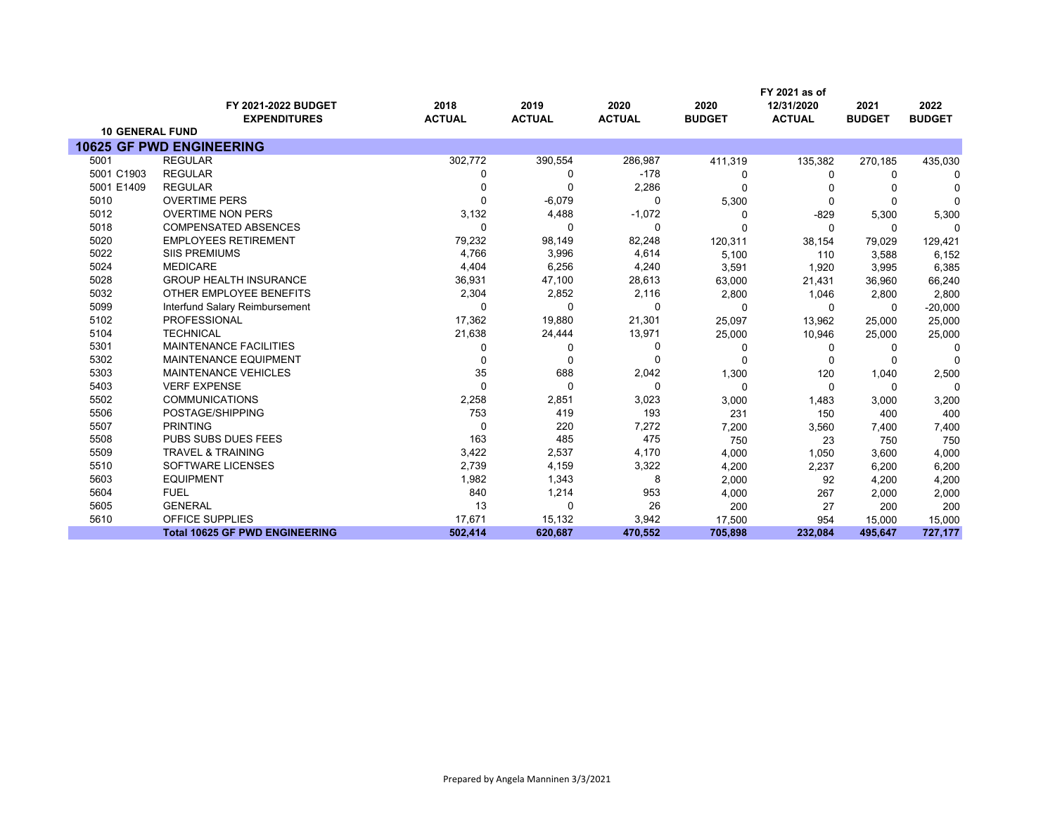|                        |                                            |                       |                       |                       |                       | FY 2021 as of               |                       |                       |
|------------------------|--------------------------------------------|-----------------------|-----------------------|-----------------------|-----------------------|-----------------------------|-----------------------|-----------------------|
|                        | FY 2021-2022 BUDGET<br><b>EXPENDITURES</b> | 2018<br><b>ACTUAL</b> | 2019<br><b>ACTUAL</b> | 2020<br><b>ACTUAL</b> | 2020<br><b>BUDGET</b> | 12/31/2020<br><b>ACTUAL</b> | 2021<br><b>BUDGET</b> | 2022<br><b>BUDGET</b> |
| <b>10 GENERAL FUND</b> |                                            |                       |                       |                       |                       |                             |                       |                       |
|                        | <b>10625 GF PWD ENGINEERING</b>            |                       |                       |                       |                       |                             |                       |                       |
| 5001                   | <b>REGULAR</b>                             | 302,772               | 390,554               | 286,987               | 411,319               | 135,382                     | 270,185               | 435,030               |
| 5001 C1903             | <b>REGULAR</b>                             | 0                     | $\Omega$              | $-178$                | 0                     | 0                           | 0                     | 0                     |
| 5001 E1409             | <b>REGULAR</b>                             | 0                     | $\Omega$              | 2,286                 | $\Omega$              | n                           |                       |                       |
| 5010                   | <b>OVERTIME PERS</b>                       | $\Omega$              | $-6,079$              | $\Omega$              | 5,300                 | $\mathbf 0$                 | 0                     | $\Omega$              |
| 5012                   | <b>OVERTIME NON PERS</b>                   | 3,132                 | 4,488                 | $-1,072$              | $\Omega$              | $-829$                      | 5,300                 | 5,300                 |
| 5018                   | <b>COMPENSATED ABSENCES</b>                | $\Omega$              | $\Omega$              | $\Omega$              | U                     | $\Omega$                    | 0                     | U                     |
| 5020                   | <b>EMPLOYEES RETIREMENT</b>                | 79,232                | 98,149                | 82,248                | 120,311               | 38,154                      | 79,029                | 129,421               |
| 5022                   | <b>SIIS PREMIUMS</b>                       | 4,766                 | 3,996                 | 4,614                 | 5,100                 | 110                         | 3,588                 | 6,152                 |
| 5024                   | <b>MEDICARE</b>                            | 4,404                 | 6,256                 | 4,240                 | 3,591                 | 1,920                       | 3,995                 | 6,385                 |
| 5028                   | <b>GROUP HEALTH INSURANCE</b>              | 36,931                | 47,100                | 28,613                | 63,000                | 21,431                      | 36,960                | 66,240                |
| 5032                   | OTHER EMPLOYEE BENEFITS                    | 2,304                 | 2,852                 | 2,116                 | 2,800                 | 1,046                       | 2,800                 | 2,800                 |
| 5099                   | Interfund Salary Reimbursement             | $\Omega$              | $\Omega$              | $\Omega$              | $\Omega$              | $\Omega$                    | 0                     | $-20,000$             |
| 5102                   | PROFESSIONAL                               | 17,362                | 19,880                | 21,301                | 25,097                | 13,962                      | 25,000                | 25,000                |
| 5104                   | <b>TECHNICAL</b>                           | 21,638                | 24,444                | 13,971                | 25,000                | 10,946                      | 25,000                | 25,000                |
| 5301                   | <b>MAINTENANCE FACILITIES</b>              | 0                     | O                     | $\Omega$              | 0                     | 0                           | 0                     |                       |
| 5302                   | <b>MAINTENANCE EQUIPMENT</b>               | 0                     | $\Omega$              | $\Omega$              | 0                     | $\Omega$                    | 0                     | $\Omega$              |
| 5303                   | <b>MAINTENANCE VEHICLES</b>                | 35                    | 688                   | 2,042                 | 1,300                 | 120                         | 1,040                 | 2,500                 |
| 5403                   | <b>VERF EXPENSE</b>                        | $\Omega$              | $\Omega$              | $\Omega$              | $\mathbf 0$           | $\mathbf 0$                 | 0                     | $\Omega$              |
| 5502                   | <b>COMMUNICATIONS</b>                      | 2,258                 | 2,851                 | 3,023                 | 3,000                 | 1,483                       | 3,000                 | 3,200                 |
| 5506                   | POSTAGE/SHIPPING                           | 753                   | 419                   | 193                   | 231                   | 150                         | 400                   | 400                   |
| 5507                   | <b>PRINTING</b>                            | 0                     | 220                   | 7,272                 | 7,200                 | 3,560                       | 7,400                 | 7,400                 |
| 5508                   | PUBS SUBS DUES FEES                        | 163                   | 485                   | 475                   | 750                   | 23                          | 750                   | 750                   |
| 5509                   | <b>TRAVEL &amp; TRAINING</b>               | 3,422                 | 2,537                 | 4,170                 | 4,000                 | 1,050                       | 3,600                 | 4,000                 |
| 5510                   | SOFTWARE LICENSES                          | 2,739                 | 4,159                 | 3,322                 | 4,200                 | 2,237                       | 6,200                 | 6,200                 |
| 5603                   | <b>EQUIPMENT</b>                           | 1,982                 | 1,343                 | 8                     | 2,000                 | 92                          | 4,200                 | 4,200                 |
| 5604                   | <b>FUEL</b>                                | 840                   | 1,214                 | 953                   | 4,000                 | 267                         | 2,000                 | 2,000                 |
| 5605                   | <b>GENERAL</b>                             | 13                    | $\Omega$              | 26                    | 200                   | 27                          | 200                   | 200                   |
| 5610                   | <b>OFFICE SUPPLIES</b>                     | 17,671                | 15,132                | 3,942                 | 17,500                | 954                         | 15,000                | 15,000                |
|                        | <b>Total 10625 GF PWD ENGINEERING</b>      | 502.414               | 620,687               | 470,552               | 705,898               | 232,084                     | 495,647               | 727,177               |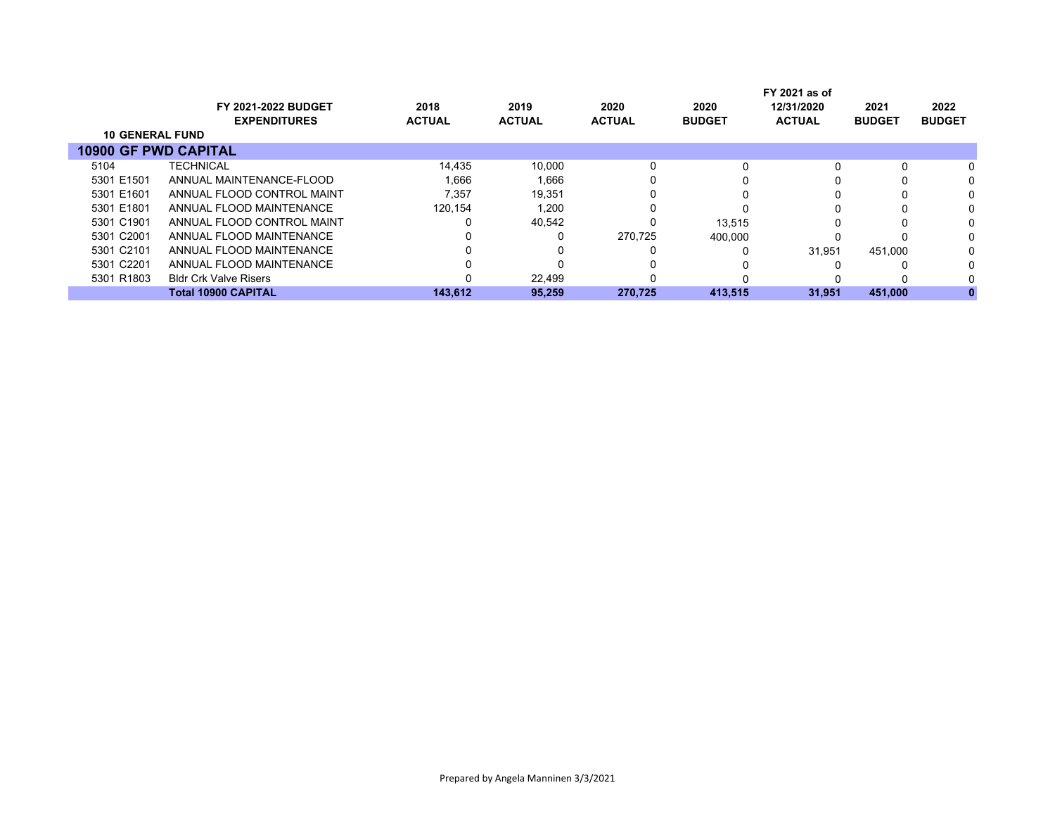|                             |                              |               |               |               | FY 2021 as of |               |               |               |  |  |
|-----------------------------|------------------------------|---------------|---------------|---------------|---------------|---------------|---------------|---------------|--|--|
|                             | <b>FY 2021-2022 BUDGET</b>   | 2018          | 2019          | 2020          | 2020          | 12/31/2020    | 2021          | 2022          |  |  |
|                             | <b>EXPENDITURES</b>          | <b>ACTUAL</b> | <b>ACTUAL</b> | <b>ACTUAL</b> | <b>BUDGET</b> | <b>ACTUAL</b> | <b>BUDGET</b> | <b>BUDGET</b> |  |  |
| <b>10 GENERAL FUND</b>      |                              |               |               |               |               |               |               |               |  |  |
| <b>10900 GF PWD CAPITAL</b> |                              |               |               |               |               |               |               |               |  |  |
| 5104                        | <b>TECHNICAL</b>             | 14,435        | 10.000        | 0             |               |               |               |               |  |  |
| 5301 E1501                  | ANNUAL MAINTENANCE-FLOOD     | 1.666         | 1.666         | 0             |               |               |               |               |  |  |
| 5301 E1601                  | ANNUAL FLOOD CONTROL MAINT   | 7.357         | 19,351        | 0             |               |               |               |               |  |  |
| 5301 E1801                  | ANNUAL FLOOD MAINTENANCE     | 120.154       | 1,200         |               |               |               |               |               |  |  |
| 5301 C1901                  | ANNUAL FLOOD CONTROL MAINT   |               | 40,542        | 0             | 13.515        |               |               |               |  |  |
| 5301 C2001                  | ANNUAL FLOOD MAINTENANCE     |               | 0             | 270.725       | 400.000       |               |               |               |  |  |
| 5301 C2101                  | ANNUAL FLOOD MAINTENANCE     |               |               |               |               | 31.951        | 451.000       |               |  |  |
| 5301 C2201                  | ANNUAL FLOOD MAINTENANCE     |               |               |               |               |               |               |               |  |  |
| 5301 R1803                  | <b>Bldr Crk Valve Risers</b> |               | 22.499        |               |               |               |               |               |  |  |
|                             | <b>Total 10900 CAPITAL</b>   | 143.612       | 95.259        | 270.725       | 413,515       | 31.951        | 451.000       |               |  |  |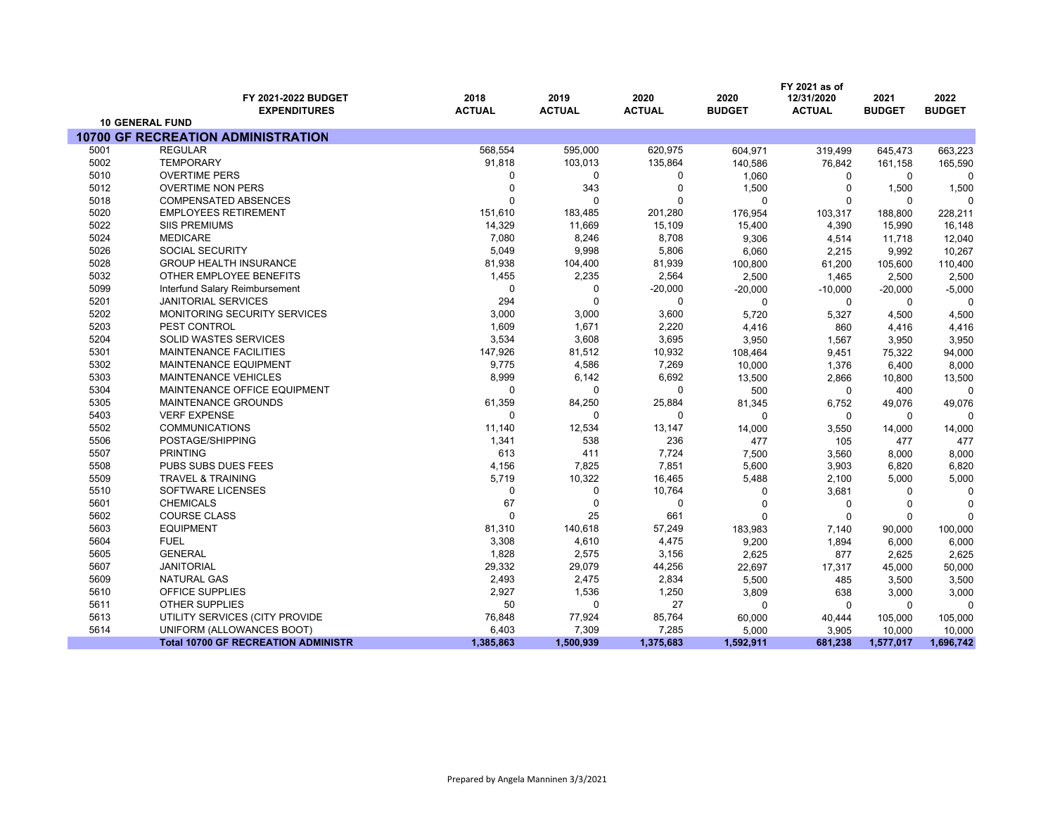|      |                                               |               |               |               |               | FY 2021 as of |               |               |
|------|-----------------------------------------------|---------------|---------------|---------------|---------------|---------------|---------------|---------------|
|      | FY 2021-2022 BUDGET                           | 2018          | 2019          | 2020          | 2020          | 12/31/2020    | 2021          | 2022          |
|      | <b>EXPENDITURES</b><br><b>10 GENERAL FUND</b> | <b>ACTUAL</b> | <b>ACTUAL</b> | <b>ACTUAL</b> | <b>BUDGET</b> | <b>ACTUAL</b> | <b>BUDGET</b> | <b>BUDGET</b> |
|      | <b>10700 GF RECREATION ADMINISTRATION</b>     |               |               |               |               |               |               |               |
| 5001 | <b>REGULAR</b>                                | 568,554       | 595,000       | 620,975       | 604,971       | 319,499       | 645,473       | 663,223       |
| 5002 | <b>TEMPORARY</b>                              | 91,818        | 103,013       | 135,864       | 140,586       | 76,842        | 161,158       | 165,590       |
| 5010 | <b>OVERTIME PERS</b>                          | $\Omega$      | 0             | 0             | 1,060         | 0             | 0             | O             |
| 5012 | <b>OVERTIME NON PERS</b>                      | $\Omega$      | 343           | $\mathbf 0$   | 1,500         | $\mathbf 0$   | 1,500         | 1,500         |
| 5018 | <b>COMPENSATED ABSENCES</b>                   | $\Omega$      | $\Omega$      | 0             | $\mathbf 0$   | $\mathbf 0$   | 0             | $\Omega$      |
| 5020 | <b>EMPLOYEES RETIREMENT</b>                   | 151,610       | 183,485       | 201,280       | 176,954       | 103,317       | 188,800       | 228,211       |
| 5022 | <b>SIIS PREMIUMS</b>                          | 14,329        | 11,669        | 15,109        | 15,400        | 4,390         | 15,990        | 16,148        |
| 5024 | <b>MEDICARE</b>                               | 7,080         | 8,246         | 8,708         | 9,306         | 4,514         | 11,718        | 12,040        |
| 5026 | <b>SOCIAL SECURITY</b>                        | 5,049         | 9,998         | 5,806         | 6,060         | 2,215         | 9,992         | 10,267        |
| 5028 | <b>GROUP HEALTH INSURANCE</b>                 | 81,938        | 104,400       | 81,939        | 100,800       | 61,200        | 105,600       | 110,400       |
| 5032 | OTHER EMPLOYEE BENEFITS                       | 1,455         | 2,235         | 2,564         | 2,500         | 1,465         | 2,500         | 2,500         |
| 5099 | Interfund Salary Reimbursement                | 0             | 0             | $-20,000$     | $-20,000$     | $-10,000$     | $-20,000$     | $-5,000$      |
| 5201 | <b>JANITORIAL SERVICES</b>                    | 294           | 0             | 0             | 0             | 0             | 0             | $\Omega$      |
| 5202 | MONITORING SECURITY SERVICES                  | 3,000         | 3,000         | 3,600         | 5,720         | 5,327         | 4,500         | 4,500         |
| 5203 | PEST CONTROL                                  | 1,609         | 1,671         | 2,220         | 4,416         | 860           | 4,416         | 4,416         |
| 5204 | <b>SOLID WASTES SERVICES</b>                  | 3,534         | 3,608         | 3,695         | 3,950         | 1,567         | 3,950         | 3,950         |
| 5301 | <b>MAINTENANCE FACILITIES</b>                 | 147,926       | 81,512        | 10,932        | 108,464       | 9,451         | 75,322        | 94,000        |
| 5302 | MAINTENANCE EQUIPMENT                         | 9,775         | 4,586         | 7,269         | 10,000        | 1,376         | 6,400         | 8,000         |
| 5303 | <b>MAINTENANCE VEHICLES</b>                   | 8,999         | 6,142         | 6,692         | 13,500        | 2,866         | 10,800        | 13,500        |
| 5304 | MAINTENANCE OFFICE EQUIPMENT                  | $\mathbf 0$   | 0             | $\mathbf 0$   | 500           | $\mathbf 0$   | 400           | $\Omega$      |
| 5305 | MAINTENANCE GROUNDS                           | 61,359        | 84,250        | 25,884        | 81,345        | 6,752         | 49,076        | 49,076        |
| 5403 | <b>VERF EXPENSE</b>                           | $\mathbf 0$   | 0             | 0             | 0             | 0             | 0             | $\Omega$      |
| 5502 | <b>COMMUNICATIONS</b>                         | 11,140        | 12,534        | 13,147        | 14,000        | 3,550         | 14,000        | 14,000        |
| 5506 | POSTAGE/SHIPPING                              | 1,341         | 538           | 236           | 477           | 105           | 477           | 477           |
| 5507 | <b>PRINTING</b>                               | 613           | 411           | 7,724         | 7,500         | 3,560         | 8,000         | 8,000         |
| 5508 | PUBS SUBS DUES FEES                           | 4,156         | 7,825         | 7,851         | 5,600         | 3,903         | 6,820         | 6,820         |
| 5509 | <b>TRAVEL &amp; TRAINING</b>                  | 5,719         | 10,322        | 16,465        | 5,488         | 2,100         | 5,000         | 5,000         |
| 5510 | SOFTWARE LICENSES                             | 0             | 0             | 10,764        | 0             | 3,681         | 0             | $\Omega$      |
| 5601 | <b>CHEMICALS</b>                              | 67            | $\Omega$      | $\Omega$      | $\Omega$      | $\Omega$      | $\mathbf 0$   | $\sqrt{ }$    |
| 5602 | <b>COURSE CLASS</b>                           | $\Omega$      | 25            | 661           | $\Omega$      | $\Omega$      | 0             | $\Omega$      |
| 5603 | <b>EQUIPMENT</b>                              | 81,310        | 140,618       | 57,249        | 183,983       | 7,140         | 90,000        | 100,000       |
| 5604 | <b>FUEL</b>                                   | 3,308         | 4,610         | 4,475         | 9,200         | 1,894         | 6,000         | 6,000         |
| 5605 | <b>GENERAL</b>                                | 1,828         | 2,575         | 3,156         | 2,625         | 877           | 2,625         | 2,625         |
| 5607 | <b>JANITORIAL</b>                             | 29,332        | 29,079        | 44,256        | 22,697        | 17,317        | 45,000        | 50,000        |
| 5609 | <b>NATURAL GAS</b>                            | 2,493         | 2,475         | 2,834         | 5,500         | 485           | 3,500         | 3,500         |
| 5610 | OFFICE SUPPLIES                               | 2,927         | 1,536         | 1,250         | 3,809         | 638           | 3,000         | 3,000         |
| 5611 | <b>OTHER SUPPLIES</b>                         | 50            | 0             | 27            | 0             | $\Omega$      | 0             |               |
| 5613 | UTILITY SERVICES (CITY PROVIDE                | 76,848        | 77,924        | 85,764        | 60,000        | 40,444        | 105,000       | 105,000       |
| 5614 | UNIFORM (ALLOWANCES BOOT)                     | 6,403         | 7,309         | 7,285         | 5,000         | 3,905         | 10,000        | 10,000        |
|      | <b>Total 10700 GF RECREATION ADMINISTR</b>    | 1,385,863     | 1,500,939     | 1,375,683     | 1,592,911     | 681,238       | 1,577,017     | 1,696,742     |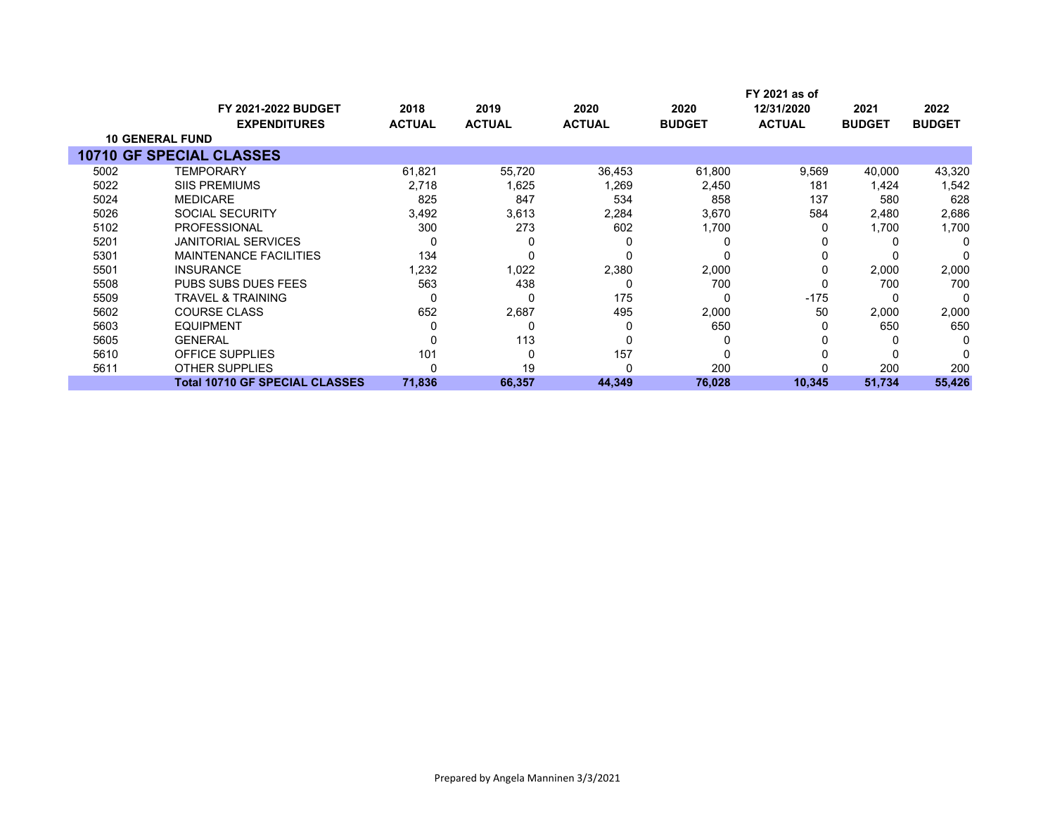|      |                                                   |                       |                       |                       |                       | FY 2021 as of               |                       |                       |
|------|---------------------------------------------------|-----------------------|-----------------------|-----------------------|-----------------------|-----------------------------|-----------------------|-----------------------|
|      | <b>FY 2021-2022 BUDGET</b><br><b>EXPENDITURES</b> | 2018<br><b>ACTUAL</b> | 2019<br><b>ACTUAL</b> | 2020<br><b>ACTUAL</b> | 2020<br><b>BUDGET</b> | 12/31/2020<br><b>ACTUAL</b> | 2021<br><b>BUDGET</b> | 2022<br><b>BUDGET</b> |
|      | <b>10 GENERAL FUND</b>                            |                       |                       |                       |                       |                             |                       |                       |
|      | <b>10710 GF SPECIAL CLASSES</b>                   |                       |                       |                       |                       |                             |                       |                       |
| 5002 | <b>TEMPORARY</b>                                  | 61,821                | 55,720                | 36,453                | 61,800                | 9,569                       | 40,000                | 43,320                |
| 5022 | <b>SIIS PREMIUMS</b>                              | 2,718                 | 1,625                 | 1,269                 | 2,450                 | 181                         | 1,424                 | 1,542                 |
| 5024 | <b>MEDICARE</b>                                   | 825                   | 847                   | 534                   | 858                   | 137                         | 580                   | 628                   |
| 5026 | SOCIAL SECURITY                                   | 3,492                 | 3,613                 | 2,284                 | 3,670                 | 584                         | 2,480                 | 2,686                 |
| 5102 | <b>PROFESSIONAL</b>                               | 300                   | 273                   | 602                   | 1,700                 |                             | 1,700                 | 1,700                 |
| 5201 | <b>JANITORIAL SERVICES</b>                        |                       |                       | C                     |                       |                             |                       | O                     |
| 5301 | <b>MAINTENANCE FACILITIES</b>                     | 134                   |                       | 0                     |                       |                             |                       |                       |
| 5501 | <b>INSURANCE</b>                                  | 1,232                 | 1,022                 | 2,380                 | 2,000                 | 0                           | 2,000                 | 2,000                 |
| 5508 | <b>PUBS SUBS DUES FEES</b>                        | 563                   | 438                   | 0                     | 700                   |                             | 700                   | 700                   |
| 5509 | <b>TRAVEL &amp; TRAINING</b>                      | 0                     |                       | 175                   | O                     | $-175$                      |                       | O                     |
| 5602 | <b>COURSE CLASS</b>                               | 652                   | 2,687                 | 495                   | 2,000                 | 50                          | 2,000                 | 2,000                 |
| 5603 | <b>EQUIPMENT</b>                                  |                       | 0                     | $\Omega$              | 650                   |                             | 650                   | 650                   |
| 5605 | <b>GENERAL</b>                                    |                       | 113                   | 0                     | 0                     |                             | 0                     |                       |
| 5610 | OFFICE SUPPLIES                                   | 101                   |                       | 157                   |                       |                             |                       |                       |
| 5611 | <b>OTHER SUPPLIES</b>                             |                       | 19                    | 0                     | 200                   |                             | 200                   | 200                   |
|      | <b>Total 10710 GF SPECIAL CLASSES</b>             | 71,836                | 66,357                | 44,349                | 76,028                | 10,345                      | 51,734                | 55,426                |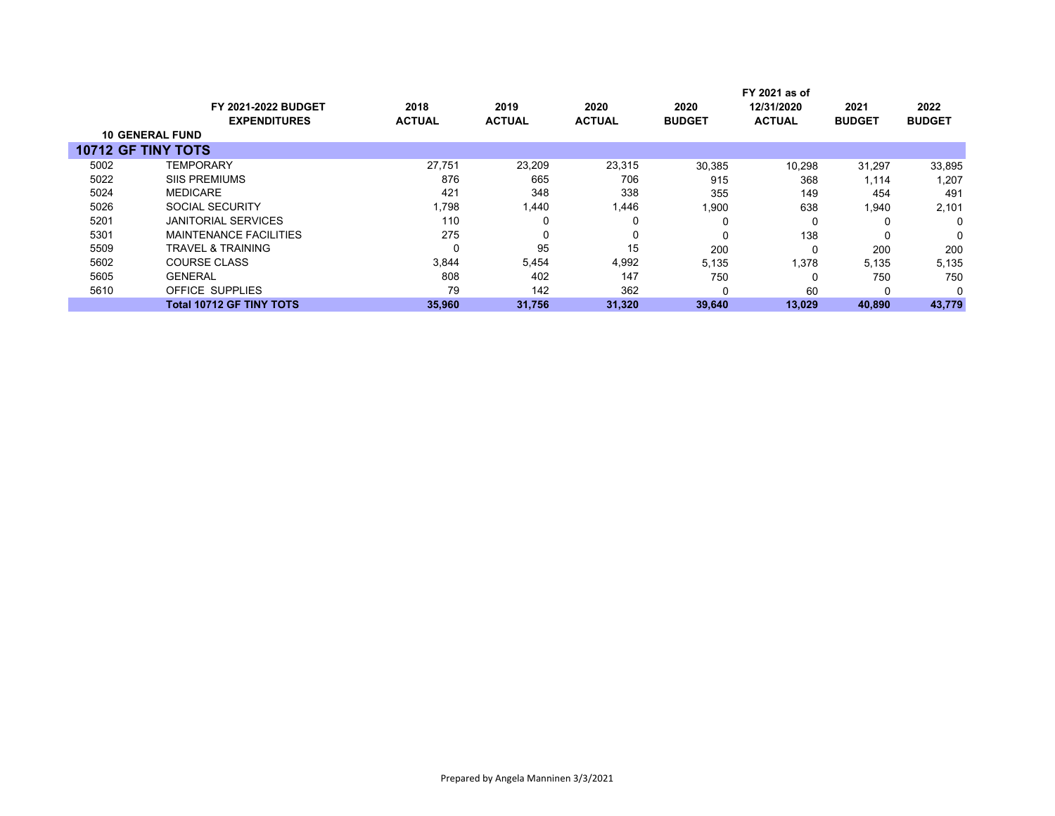|                           |                                 |               |               |               |               | FY 2021 as of |               |               |
|---------------------------|---------------------------------|---------------|---------------|---------------|---------------|---------------|---------------|---------------|
|                           | <b>FY 2021-2022 BUDGET</b>      | 2018          | 2019          | 2020          | 2020          | 12/31/2020    | 2021          | 2022          |
|                           | <b>EXPENDITURES</b>             | <b>ACTUAL</b> | <b>ACTUAL</b> | <b>ACTUAL</b> | <b>BUDGET</b> | <b>ACTUAL</b> | <b>BUDGET</b> | <b>BUDGET</b> |
|                           | <b>10 GENERAL FUND</b>          |               |               |               |               |               |               |               |
| <b>10712 GF TINY TOTS</b> |                                 |               |               |               |               |               |               |               |
| 5002                      | TEMPORARY                       | 27,751        | 23,209        | 23,315        | 30,385        | 10,298        | 31,297        | 33,895        |
| 5022                      | <b>SIIS PREMIUMS</b>            | 876           | 665           | 706           | 915           | 368           | 1,114         | 1,207         |
| 5024                      | <b>MEDICARE</b>                 | 421           | 348           | 338           | 355           | 149           | 454           | 491           |
| 5026                      | <b>SOCIAL SECURITY</b>          | 1,798         | 1,440         | 1,446         | 1,900         | 638           | 1,940         | 2,101         |
| 5201                      | <b>JANITORIAL SERVICES</b>      | 110           |               | 0             |               | 0             | 0             | 0             |
| 5301                      | <b>MAINTENANCE FACILITIES</b>   | 275           |               | 0             |               | 138           | $\Omega$      | 0             |
| 5509                      | <b>TRAVEL &amp; TRAINING</b>    |               | 95            | 15            | 200           | 0             | 200           | 200           |
| 5602                      | <b>COURSE CLASS</b>             | 3.844         | 5.454         | 4,992         | 5,135         | 1,378         | 5,135         | 5,135         |
| 5605                      | <b>GENERAL</b>                  | 808           | 402           | 147           | 750           | 0             | 750           | 750           |
| 5610                      | OFFICE SUPPLIES                 | 79            | 142           | 362           | 0             | 60            |               | 0             |
|                           | <b>Total 10712 GF TINY TOTS</b> | 35,960        | 31,756        | 31,320        | 39,640        | 13,029        | 40,890        | 43,779        |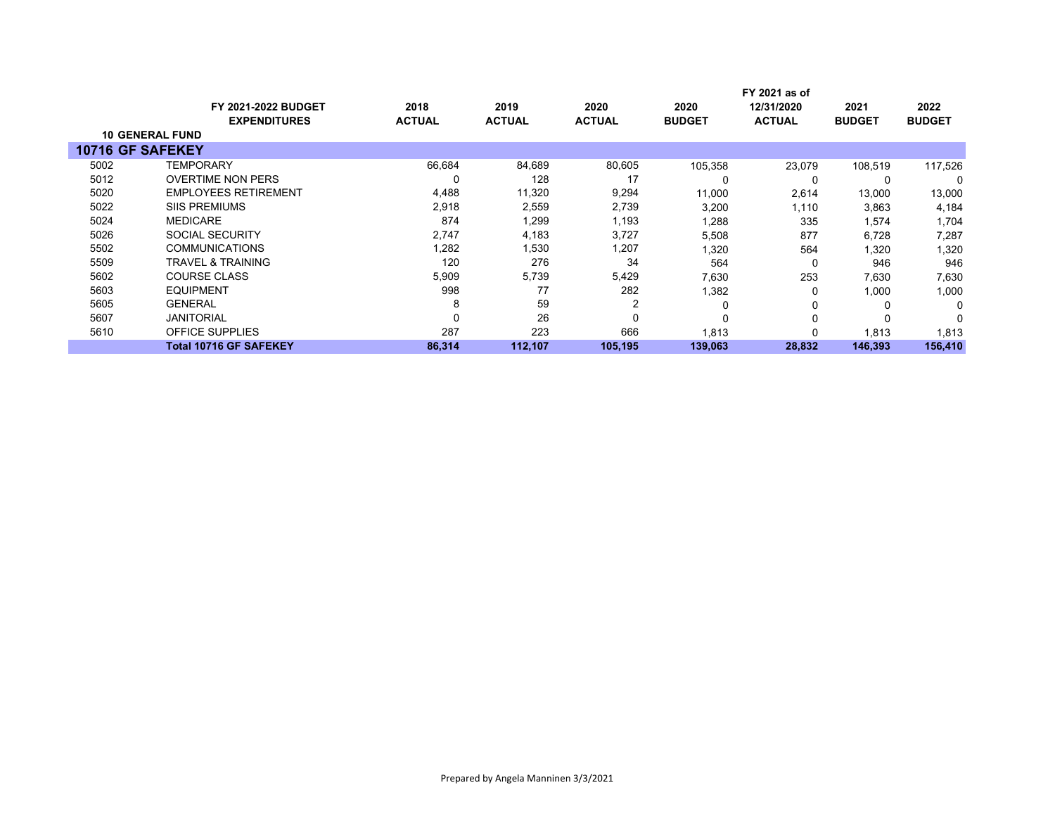|                        | FY 2021 as of                 |               |               |               |               |               |               |               |
|------------------------|-------------------------------|---------------|---------------|---------------|---------------|---------------|---------------|---------------|
|                        | <b>FY 2021-2022 BUDGET</b>    | 2018          | 2019          | 2020          | 2020          | 12/31/2020    | 2021          | 2022          |
|                        | <b>EXPENDITURES</b>           | <b>ACTUAL</b> | <b>ACTUAL</b> | <b>ACTUAL</b> | <b>BUDGET</b> | <b>ACTUAL</b> | <b>BUDGET</b> | <b>BUDGET</b> |
| <b>10 GENERAL FUND</b> |                               |               |               |               |               |               |               |               |
| 10716 GF SAFEKEY       |                               |               |               |               |               |               |               |               |
| 5002                   | <b>TEMPORARY</b>              | 66,684        | 84,689        | 80,605        | 105,358       | 23,079        | 108,519       | 117,526       |
| 5012                   | <b>OVERTIME NON PERS</b>      | 0             | 128           | 17            | 0             | 0             | 0             | 0             |
| 5020                   | <b>EMPLOYEES RETIREMENT</b>   | 4,488         | 11,320        | 9,294         | 11,000        | 2,614         | 13,000        | 13,000        |
| 5022                   | <b>SIIS PREMIUMS</b>          | 2,918         | 2,559         | 2,739         | 3,200         | 1,110         | 3,863         | 4,184         |
| 5024                   | <b>MEDICARE</b>               | 874           | 1,299         | 1,193         | 1,288         | 335           | 1,574         | 1,704         |
| 5026                   | <b>SOCIAL SECURITY</b>        | 2,747         | 4,183         | 3,727         | 5,508         | 877           | 6,728         | 7,287         |
| 5502                   | <b>COMMUNICATIONS</b>         | 1,282         | 1,530         | 1,207         | 1,320         | 564           | 1,320         | 1,320         |
| 5509                   | <b>TRAVEL &amp; TRAINING</b>  | 120           | 276           | 34            | 564           | 0             | 946           | 946           |
| 5602                   | <b>COURSE CLASS</b>           | 5,909         | 5,739         | 5,429         | 7,630         | 253           | 7,630         | 7,630         |
| 5603                   | EQUIPMENT                     | 998           | 77            | 282           | 1,382         | 0             | 1,000         | 1,000         |
| 5605                   | <b>GENERAL</b>                | 8             | 59            | 2             | $\Omega$      | 0             | 0             | 0             |
| 5607                   | <b>JANITORIAL</b>             | 0             | 26            | 0             | $\Omega$      | 0             | $\Omega$      | 0             |
| 5610                   | <b>OFFICE SUPPLIES</b>        | 287           | 223           | 666           | 1,813         | $\Omega$      | 1,813         | 1,813         |
|                        | <b>Total 10716 GF SAFEKEY</b> | 86,314        | 112,107       | 105.195       | 139,063       | 28,832        | 146,393       | 156,410       |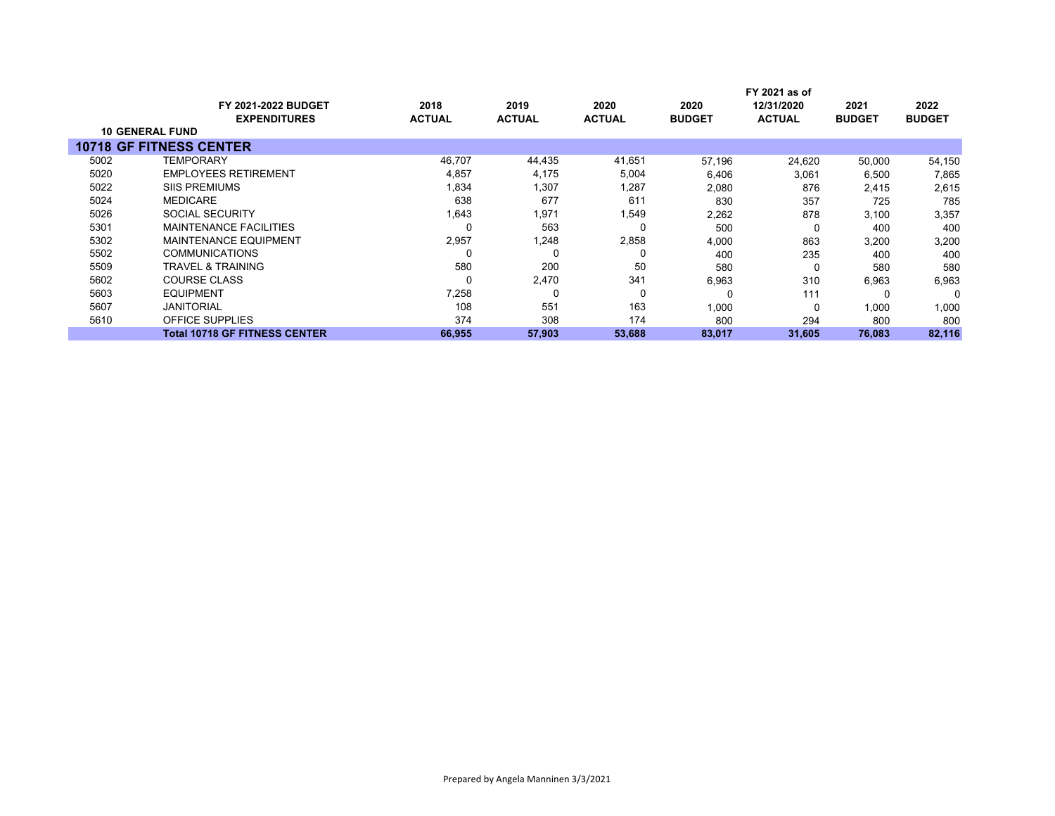| <b>FY 2021-2022 BUDGET</b><br><b>EXPENDITURES</b> | 2018<br><b>ACTUAL</b> | 2019<br><b>ACTUAL</b> | 2020<br><b>ACTUAL</b> | 2020<br><b>BUDGET</b> | 12/31/2020<br><b>ACTUAL</b> | 2021<br><b>BUDGET</b> | 2022<br><b>BUDGET</b> |
|---------------------------------------------------|-----------------------|-----------------------|-----------------------|-----------------------|-----------------------------|-----------------------|-----------------------|
| <b>10 GENERAL FUND</b>                            |                       |                       |                       |                       |                             |                       |                       |
| <b>10718 GF FITNESS CENTER</b>                    |                       |                       |                       |                       |                             |                       |                       |
| TEMPORARY                                         | 46,707                | 44,435                | 41,651                | 57.196                | 24,620                      | 50,000                | 54,150                |
| <b>EMPLOYEES RETIREMENT</b>                       | 4,857                 | 4,175                 | 5,004                 | 6,406                 | 3,061                       | 6,500                 | 7,865                 |
| <b>SIIS PREMIUMS</b>                              | 1,834                 | 1,307                 | 1,287                 | 2,080                 | 876                         | 2,415                 | 2,615                 |
| <b>MEDICARE</b>                                   | 638                   | 677                   | 611                   | 830                   | 357                         | 725                   | 785                   |
| <b>SOCIAL SECURITY</b>                            | 1,643                 | 1,971                 | 1,549                 | 2,262                 | 878                         | 3,100                 | 3,357                 |
| <b>MAINTENANCE FACILITIES</b>                     |                       | 563                   |                       | 500                   | 0                           | 400                   | 400                   |
| <b>MAINTENANCE EQUIPMENT</b>                      | 2,957                 | 1,248                 | 2,858                 | 4,000                 | 863                         | 3,200                 | 3,200                 |
| <b>COMMUNICATIONS</b>                             |                       | 0                     |                       | 400                   | 235                         | 400                   | 400                   |
| TRAVEL & TRAINING                                 | 580                   | 200                   | 50                    | 580                   | 0                           | 580                   | 580                   |
| <b>COURSE CLASS</b>                               |                       | 2,470                 | 341                   | 6,963                 | 310                         | 6,963                 | 6,963                 |
| <b>EQUIPMENT</b>                                  | 7,258                 | 0                     | $\Omega$              |                       | 111                         | $\Omega$              |                       |
| <b>JANITORIAL</b>                                 | 108                   | 551                   | 163                   | 1,000                 | 0                           | 1,000                 | 1,000                 |
| <b>OFFICE SUPPLIES</b>                            | 374                   | 308                   | 174                   | 800                   | 294                         | 800                   | 800                   |
| <b>Total 10718 GF FITNESS CENTER</b>              | 66,955                | 57,903                | 53,688                | 83,017                | 31,605                      | 76,083                | 82,116                |
|                                                   |                       |                       |                       |                       |                             | FY 2021 as of         |                       |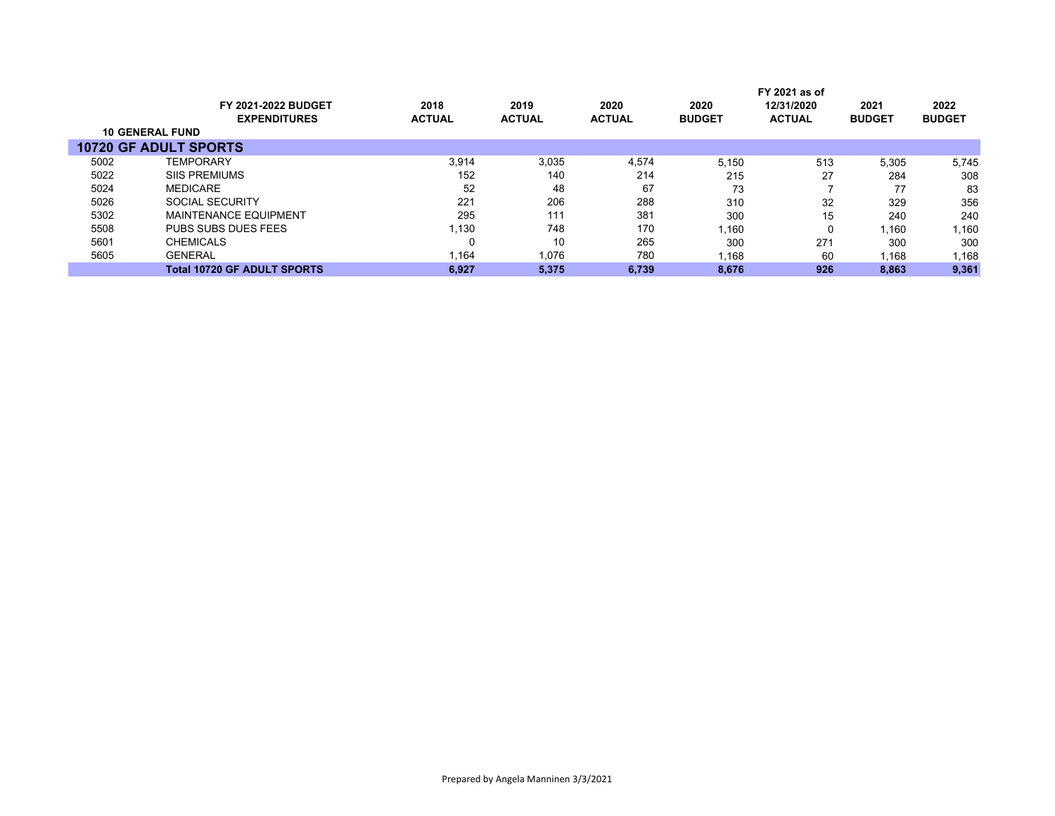|      |                                    |               |               |               |               | FY 2021 as of |               |               |
|------|------------------------------------|---------------|---------------|---------------|---------------|---------------|---------------|---------------|
|      | <b>FY 2021-2022 BUDGET</b>         | 2018          | 2019          | 2020          | 2020          | 12/31/2020    | 2021          | 2022          |
|      | <b>EXPENDITURES</b>                | <b>ACTUAL</b> | <b>ACTUAL</b> | <b>ACTUAL</b> | <b>BUDGET</b> | <b>ACTUAL</b> | <b>BUDGET</b> | <b>BUDGET</b> |
|      | <b>10 GENERAL FUND</b>             |               |               |               |               |               |               |               |
|      | <b>10720 GF ADULT SPORTS</b>       |               |               |               |               |               |               |               |
| 5002 | <b>TEMPORARY</b>                   | 3.914         | 3,035         | 4,574         | 5.150         | 513           | 5,305         | 5,745         |
| 5022 | <b>SIIS PREMIUMS</b>               | 152           | 140           | 214           | 215           | 27            | 284           | 308           |
| 5024 | <b>MEDICARE</b>                    | 52            | 48            | 67            | 73            |               | 77            | 83            |
| 5026 | SOCIAL SECURITY                    | 221           | 206           | 288           | 310           | 32            | 329           | 356           |
| 5302 | <b>MAINTENANCE EQUIPMENT</b>       | 295           | 111           | 381           | 300           | 15            | 240           | 240           |
| 5508 | PUBS SUBS DUES FEES                | 1,130         | 748           | 170           | 1,160         |               | 1,160         | 1,160         |
| 5601 | <b>CHEMICALS</b>                   |               | 10            | 265           | 300           | 271           | 300           | 300           |
| 5605 | <b>GENERAL</b>                     | 1,164         | 1,076         | 780           | 1,168         | 60            | 1,168         | 1,168         |
|      | <b>Total 10720 GF ADULT SPORTS</b> | 6.927         | 5.375         | 6.739         | 8.676         | 926           | 8,863         | 9,361         |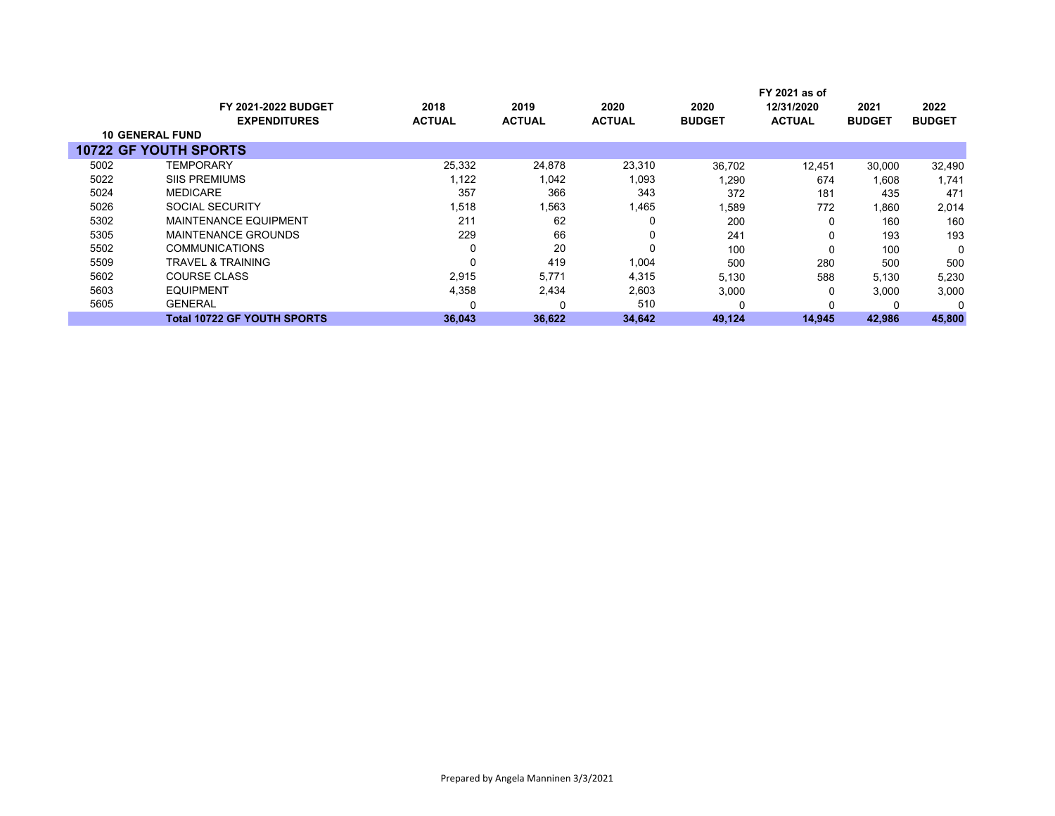|      |                              |               |               |               |               | FY 2021 as of |               |               |
|------|------------------------------|---------------|---------------|---------------|---------------|---------------|---------------|---------------|
|      | <b>FY 2021-2022 BUDGET</b>   | 2018          | 2019          | 2020          | 2020          | 12/31/2020    | 2021          | 2022          |
|      | <b>EXPENDITURES</b>          | <b>ACTUAL</b> | <b>ACTUAL</b> | <b>ACTUAL</b> | <b>BUDGET</b> | <b>ACTUAL</b> | <b>BUDGET</b> | <b>BUDGET</b> |
|      | <b>10 GENERAL FUND</b>       |               |               |               |               |               |               |               |
|      | <b>10722 GF YOUTH SPORTS</b> |               |               |               |               |               |               |               |
| 5002 | TEMPORARY                    | 25,332        | 24,878        | 23,310        | 36,702        | 12,451        | 30,000        | 32,490        |
| 5022 | <b>SIIS PREMIUMS</b>         | 1,122         | 1,042         | 1,093         | ,290          | 674           | 1.608         | 1.741         |
| 5024 | <b>MEDICARE</b>              | 357           | 366           | 343           | 372           | 181           | 435           | 471           |
| 5026 | SOCIAL SECURITY              | 1,518         | 1,563         | 1,465         | 1,589         | 772           | 1,860         | 2,014         |
| 5302 | <b>MAINTENANCE EQUIPMENT</b> | 211           | 62            | 0             | 200           | 0             | 160           | 160           |
| 5305 | MAINTENANCE GROUNDS          | 229           | 66            | 0             | 241           | 0             | 193           | 193           |
| 5502 | <b>COMMUNICATIONS</b>        | $\Omega$      | 20            | 0             | 100           | 0             | 100           | $\Omega$      |
| 5509 | TRAVEL & TRAINING            | $\Omega$      | 419           | 1,004         | 500           | 280           | 500           | 500           |
| 5602 | <b>COURSE CLASS</b>          | 2,915         | 5,771         | 4,315         | 5,130         | 588           | 5,130         | 5,230         |
| 5603 | <b>EQUIPMENT</b>             | 4,358         | 2,434         | 2,603         | 3,000         | 0             | 3,000         | 3,000         |
| 5605 | <b>GENERAL</b>               |               |               | 510           |               | 0             |               | $\Omega$      |
|      | Total 10722 GF YOUTH SPORTS  | 36,043        | 36,622        | 34,642        | 49,124        | 14,945        | 42,986        | 45,800        |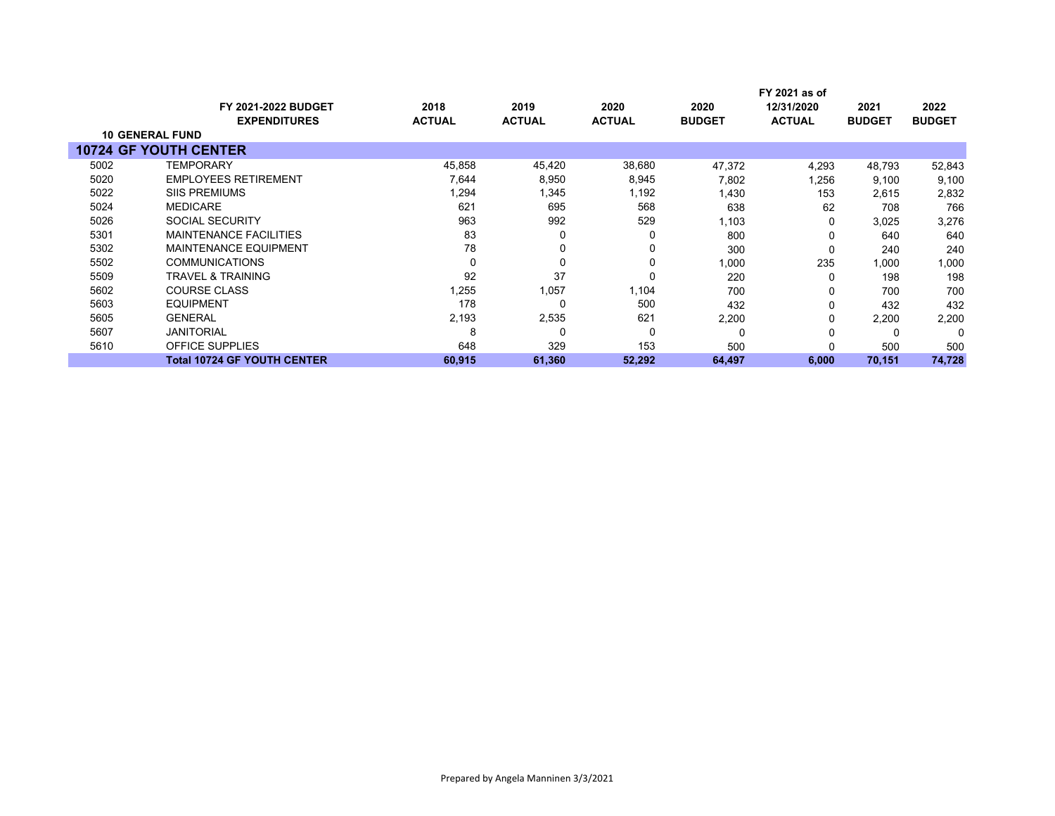|      |                                               |               |               |               |               | FY 2021 as of |               |               |
|------|-----------------------------------------------|---------------|---------------|---------------|---------------|---------------|---------------|---------------|
|      | <b>FY 2021-2022 BUDGET</b>                    | 2018          | 2019          | 2020          | 2020          | 12/31/2020    | 2021          | 2022          |
|      | <b>EXPENDITURES</b><br><b>10 GENERAL FUND</b> | <b>ACTUAL</b> | <b>ACTUAL</b> | <b>ACTUAL</b> | <b>BUDGET</b> | <b>ACTUAL</b> | <b>BUDGET</b> | <b>BUDGET</b> |
|      |                                               |               |               |               |               |               |               |               |
|      | <b>10724 GF YOUTH CENTER</b>                  |               |               |               |               |               |               |               |
| 5002 | <b>TEMPORARY</b>                              | 45,858        | 45,420        | 38,680        | 47,372        | 4,293         | 48,793        | 52,843        |
| 5020 | <b>EMPLOYEES RETIREMENT</b>                   | 7,644         | 8,950         | 8,945         | 7,802         | 1,256         | 9,100         | 9,100         |
| 5022 | <b>SIIS PREMIUMS</b>                          | 1,294         | 1,345         | 1,192         | 1,430         | 153           | 2,615         | 2,832         |
| 5024 | <b>MEDICARE</b>                               | 621           | 695           | 568           | 638           | 62            | 708           | 766           |
| 5026 | <b>SOCIAL SECURITY</b>                        | 963           | 992           | 529           | 1,103         | O             | 3,025         | 3,276         |
| 5301 | <b>MAINTENANCE FACILITIES</b>                 | 83            | 0             | 0             | 800           |               | 640           | 640           |
| 5302 | <b>MAINTENANCE EQUIPMENT</b>                  | 78            | 0             | 0             | 300           | O             | 240           | 240           |
| 5502 | <b>COMMUNICATIONS</b>                         | 0             | 0             | 0             | 1,000         | 235           | 1,000         | 1,000         |
| 5509 | <b>TRAVEL &amp; TRAINING</b>                  | 92            | 37            | 0             | 220           | O             | 198           | 198           |
| 5602 | <b>COURSE CLASS</b>                           | 1,255         | 1,057         | 1,104         | 700           |               | 700           | 700           |
| 5603 | <b>EQUIPMENT</b>                              | 178           | 0             | 500           | 432           | 0             | 432           | 432           |
| 5605 | <b>GENERAL</b>                                | 2,193         | 2,535         | 621           | 2,200         | 0             | 2,200         | 2,200         |
| 5607 | <b>JANITORIAL</b>                             | 8             | 0             | 0             | 0             |               |               | 0             |
| 5610 | <b>OFFICE SUPPLIES</b>                        | 648           | 329           | 153           | 500           |               | 500           | 500           |
|      | <b>Total 10724 GF YOUTH CENTER</b>            | 60,915        | 61,360        | 52,292        | 64,497        | 6,000         | 70,151        | 74,728        |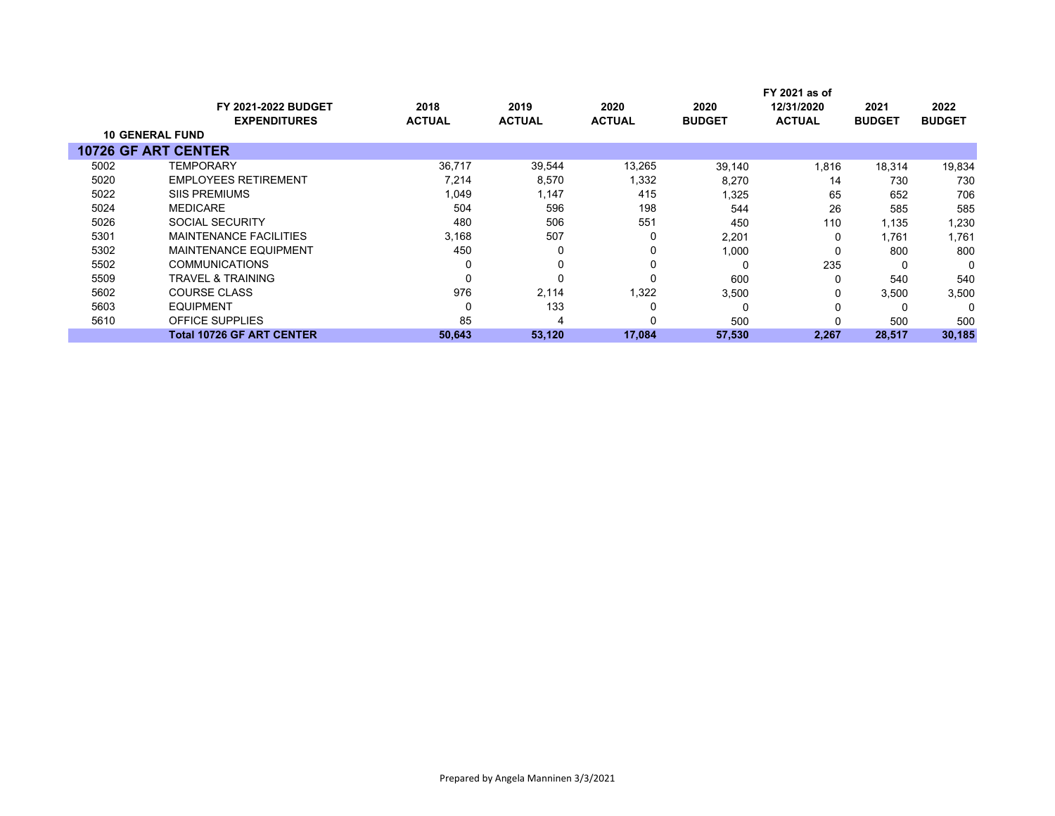|                            |                                  |               |               |               |               | FY 2021 as of |               |               |
|----------------------------|----------------------------------|---------------|---------------|---------------|---------------|---------------|---------------|---------------|
|                            | <b>FY 2021-2022 BUDGET</b>       | 2018          | 2019          | 2020          | 2020          | 12/31/2020    | 2021          | 2022          |
|                            | <b>EXPENDITURES</b>              | <b>ACTUAL</b> | <b>ACTUAL</b> | <b>ACTUAL</b> | <b>BUDGET</b> | <b>ACTUAL</b> | <b>BUDGET</b> | <b>BUDGET</b> |
| <b>10 GENERAL FUND</b>     |                                  |               |               |               |               |               |               |               |
| <b>10726 GF ART CENTER</b> |                                  |               |               |               |               |               |               |               |
| 5002                       | <b>TEMPORARY</b>                 | 36,717        | 39,544        | 13,265        | 39,140        | 1,816         | 18,314        | 19,834        |
| 5020                       | <b>EMPLOYEES RETIREMENT</b>      | 7,214         | 8,570         | 1,332         | 8,270         | 14            | 730           | 730           |
| 5022                       | <b>SIIS PREMIUMS</b>             | 1,049         | 1,147         | 415           | 1,325         | 65            | 652           | 706           |
| 5024                       | <b>MEDICARE</b>                  | 504           | 596           | 198           | 544           | 26            | 585           | 585           |
| 5026                       | SOCIAL SECURITY                  | 480           | 506           | 551           | 450           | 110           | 1,135         | 1,230         |
| 5301                       | <b>MAINTENANCE FACILITIES</b>    | 3,168         | 507           |               | 2,201         | 0             | 1,761         | 1,761         |
| 5302                       | <b>MAINTENANCE EQUIPMENT</b>     | 450           | 0             |               | 1,000         | 0             | 800           | 800           |
| 5502                       | <b>COMMUNICATIONS</b>            |               | 0             |               | $\Omega$      | 235           | 0             | 0             |
| 5509                       | <b>TRAVEL &amp; TRAINING</b>     |               | 0             |               | 600           | 0             | 540           | 540           |
| 5602                       | <b>COURSE CLASS</b>              | 976           | 2,114         | 1,322         | 3,500         | 0             | 3,500         | 3,500         |
| 5603                       | <b>EQUIPMENT</b>                 |               | 133           |               | $\Omega$      | 0             |               | $\Omega$      |
| 5610                       | OFFICE SUPPLIES                  | 85            | 4             |               | 500           |               | 500           | 500           |
|                            | <b>Total 10726 GF ART CENTER</b> | 50,643        | 53,120        | 17,084        | 57,530        | 2,267         | 28,517        | 30,185        |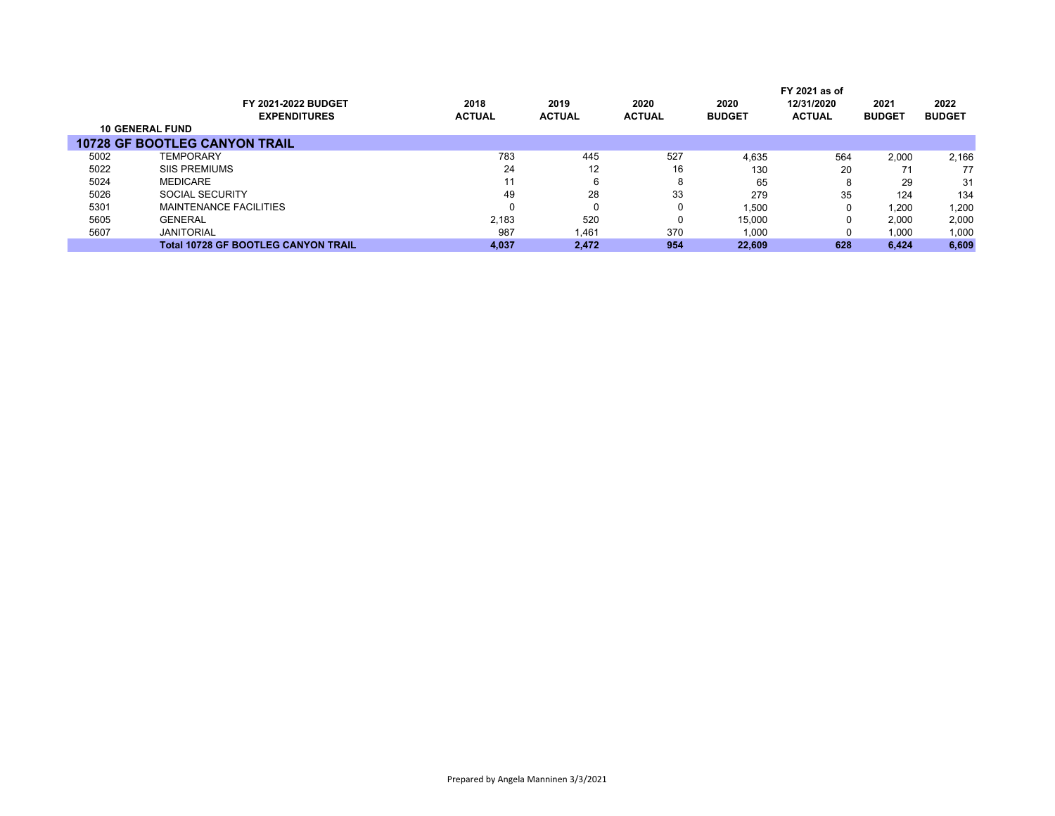|                        |                                            |               |               |               |               | FY 2021 as of |               |               |
|------------------------|--------------------------------------------|---------------|---------------|---------------|---------------|---------------|---------------|---------------|
|                        | FY 2021-2022 BUDGET                        | 2018          | 2019          | 2020          | 2020          | 12/31/2020    | 2021          | 2022          |
|                        | <b>EXPENDITURES</b>                        | <b>ACTUAL</b> | <b>ACTUAL</b> | <b>ACTUAL</b> | <b>BUDGET</b> | <b>ACTUAL</b> | <b>BUDGET</b> | <b>BUDGET</b> |
| <b>10 GENERAL FUND</b> |                                            |               |               |               |               |               |               |               |
|                        | <b>10728 GF BOOTLEG CANYON TRAIL</b>       |               |               |               |               |               |               |               |
| 5002                   | <b>TEMPORARY</b>                           | 783           | 445           | 527           | 4.635         | 564           | 2.000         | 2,166         |
| 5022                   | <b>SIIS PREMIUMS</b>                       | 24            | 12            | 16            | 130           | 20            |               | 77            |
| 5024                   | <b>MEDICARE</b>                            | 11            |               | 8             | 65            | 8             | 29            | 31            |
| 5026                   | SOCIAL SECURITY                            | 49            | 28            | 33            | 279           | 35            | 124           | 134           |
| 5301                   | MAINTENANCE FACILITIES                     | 0             |               | 0             | 1,500         | 0             | 1,200         | 1,200         |
| 5605                   | <b>GENERAL</b>                             | 2.183         | 520           | 0             | 15,000        | 0             | 2.000         | 2,000         |
| 5607                   | <b>JANITORIAL</b>                          | 987           | 1,461         | 370           | 1,000         | 0             | 1,000         | 1,000         |
|                        | <b>Total 10728 GF BOOTLEG CANYON TRAIL</b> | 4.037         | 2.472         | 954           | 22.609        | 628           | 6.424         | 6,609         |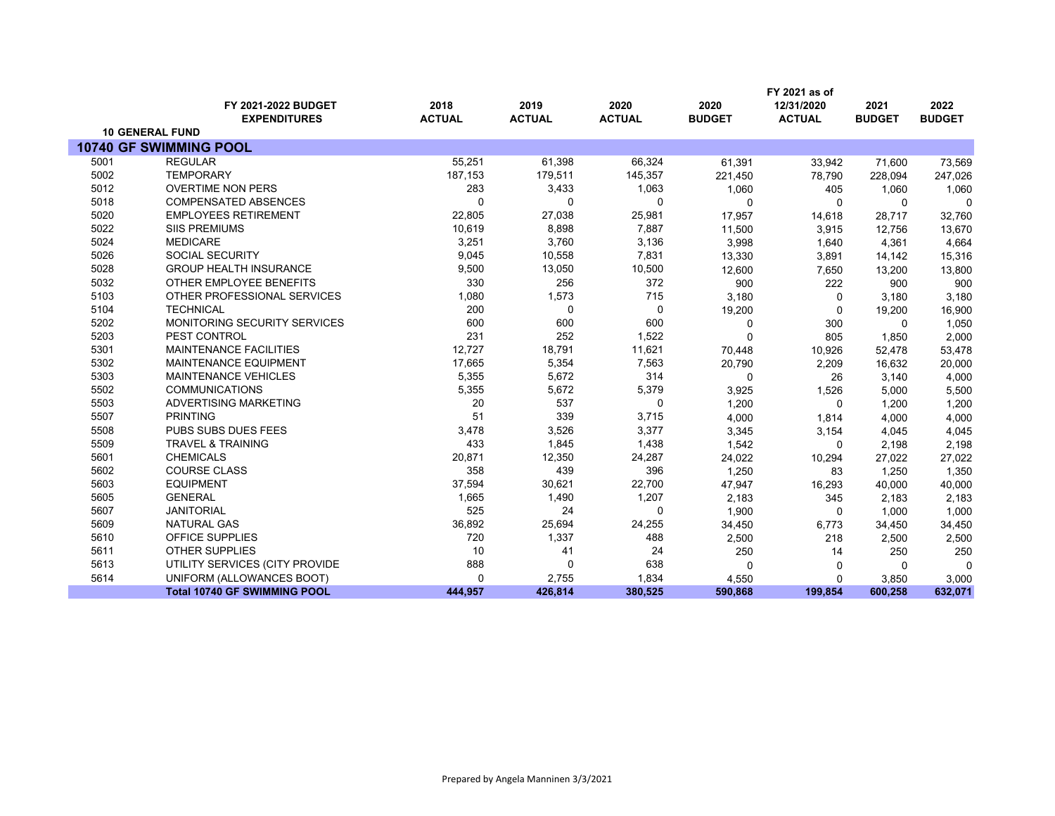|      | FY 2021 as of                              |                       |                       |                       |                       |                             |                       |                       |
|------|--------------------------------------------|-----------------------|-----------------------|-----------------------|-----------------------|-----------------------------|-----------------------|-----------------------|
|      | FY 2021-2022 BUDGET<br><b>EXPENDITURES</b> | 2018<br><b>ACTUAL</b> | 2019<br><b>ACTUAL</b> | 2020<br><b>ACTUAL</b> | 2020<br><b>BUDGET</b> | 12/31/2020<br><b>ACTUAL</b> | 2021<br><b>BUDGET</b> | 2022<br><b>BUDGET</b> |
|      | <b>10 GENERAL FUND</b>                     |                       |                       |                       |                       |                             |                       |                       |
|      | 10740 GF SWIMMING POOL                     |                       |                       |                       |                       |                             |                       |                       |
| 5001 | <b>REGULAR</b>                             | 55,251                | 61,398                | 66,324                | 61,391                | 33,942                      | 71,600                | 73,569                |
| 5002 | <b>TEMPORARY</b>                           | 187,153               | 179,511               | 145,357               | 221,450               | 78,790                      | 228,094               | 247,026               |
| 5012 | <b>OVERTIME NON PERS</b>                   | 283                   | 3,433                 | 1,063                 | 1,060                 | 405                         | 1,060                 | 1,060                 |
| 5018 | <b>COMPENSATED ABSENCES</b>                | ∩                     | 0                     | $\Omega$              | 0                     | 0                           | $\mathbf{0}$          | $\Omega$              |
| 5020 | <b>EMPLOYEES RETIREMENT</b>                | 22,805                | 27,038                | 25,981                | 17,957                | 14,618                      | 28,717                | 32,760                |
| 5022 | <b>SIIS PREMIUMS</b>                       | 10,619                | 8,898                 | 7,887                 | 11,500                | 3,915                       | 12,756                | 13,670                |
| 5024 | <b>MEDICARE</b>                            | 3,251                 | 3,760                 | 3,136                 | 3,998                 | 1,640                       | 4,361                 | 4,664                 |
| 5026 | <b>SOCIAL SECURITY</b>                     | 9,045                 | 10,558                | 7,831                 | 13,330                | 3,891                       | 14,142                | 15,316                |
| 5028 | <b>GROUP HEALTH INSURANCE</b>              | 9,500                 | 13,050                | 10,500                | 12,600                | 7,650                       | 13,200                | 13,800                |
| 5032 | OTHER EMPLOYEE BENEFITS                    | 330                   | 256                   | 372                   | 900                   | 222                         | 900                   | 900                   |
| 5103 | OTHER PROFESSIONAL SERVICES                | 1,080                 | 1,573                 | 715                   | 3,180                 | 0                           | 3,180                 | 3,180                 |
| 5104 | <b>TECHNICAL</b>                           | 200                   | 0                     | 0                     | 19,200                | 0                           | 19,200                | 16,900                |
| 5202 | <b>MONITORING SECURITY SERVICES</b>        | 600                   | 600                   | 600                   | 0                     | 300                         | $\Omega$              | 1,050                 |
| 5203 | PEST CONTROL                               | 231                   | 252                   | 1,522                 | 0                     | 805                         | 1,850                 | 2,000                 |
| 5301 | <b>MAINTENANCE FACILITIES</b>              | 12,727                | 18,791                | 11,621                | 70,448                | 10,926                      | 52,478                | 53,478                |
| 5302 | <b>MAINTENANCE EQUIPMENT</b>               | 17,665                | 5,354                 | 7,563                 | 20,790                | 2,209                       | 16,632                | 20,000                |
| 5303 | <b>MAINTENANCE VEHICLES</b>                | 5,355                 | 5,672                 | 314                   | 0                     | 26                          | 3,140                 | 4,000                 |
| 5502 | <b>COMMUNICATIONS</b>                      | 5,355                 | 5,672                 | 5,379                 | 3,925                 | 1,526                       | 5,000                 | 5,500                 |
| 5503 | ADVERTISING MARKETING                      | 20                    | 537                   | $\mathbf 0$           | 1,200                 | $\Omega$                    | 1,200                 | 1,200                 |
| 5507 | <b>PRINTING</b>                            | 51                    | 339                   | 3,715                 | 4,000                 | 1,814                       | 4,000                 | 4,000                 |
| 5508 | PUBS SUBS DUES FEES                        | 3,478                 | 3,526                 | 3,377                 | 3,345                 | 3,154                       | 4,045                 | 4,045                 |
| 5509 | <b>TRAVEL &amp; TRAINING</b>               | 433                   | 1,845                 | 1,438                 | 1,542                 | 0                           | 2,198                 | 2,198                 |
| 5601 | <b>CHEMICALS</b>                           | 20,871                | 12,350                | 24,287                | 24,022                | 10,294                      | 27,022                | 27,022                |
| 5602 | COURSE CLASS                               | 358                   | 439                   | 396                   | 1,250                 | 83                          | 1,250                 | 1,350                 |
| 5603 | <b>EQUIPMENT</b>                           | 37,594                | 30,621                | 22,700                | 47,947                | 16,293                      | 40,000                | 40,000                |
| 5605 | <b>GENERAL</b>                             | 1,665                 | 1,490                 | 1,207                 | 2,183                 | 345                         | 2,183                 | 2,183                 |
| 5607 | <b>JANITORIAL</b>                          | 525                   | 24                    | $\Omega$              | 1,900                 | $\mathbf{0}$                | 1,000                 | 1,000                 |
| 5609 | <b>NATURAL GAS</b>                         | 36,892                | 25,694                | 24,255                | 34,450                | 6,773                       | 34,450                | 34,450                |
| 5610 | OFFICE SUPPLIES                            | 720                   | 1,337                 | 488                   | 2,500                 | 218                         | 2,500                 | 2,500                 |
| 5611 | <b>OTHER SUPPLIES</b>                      | 10                    | 41                    | 24                    | 250                   | 14                          | 250                   | 250                   |
| 5613 | UTILITY SERVICES (CITY PROVIDE             | 888                   | $\mathbf 0$           | 638                   | 0                     | 0                           | $\Omega$              | $\Omega$              |
| 5614 | UNIFORM (ALLOWANCES BOOT)                  | $\Omega$              | 2,755                 | 1,834                 | 4,550                 | 0                           | 3,850                 | 3,000                 |
|      | <b>Total 10740 GF SWIMMING POOL</b>        | 444.957               | 426,814               | 380,525               | 590,868               | 199,854                     | 600,258               | 632,071               |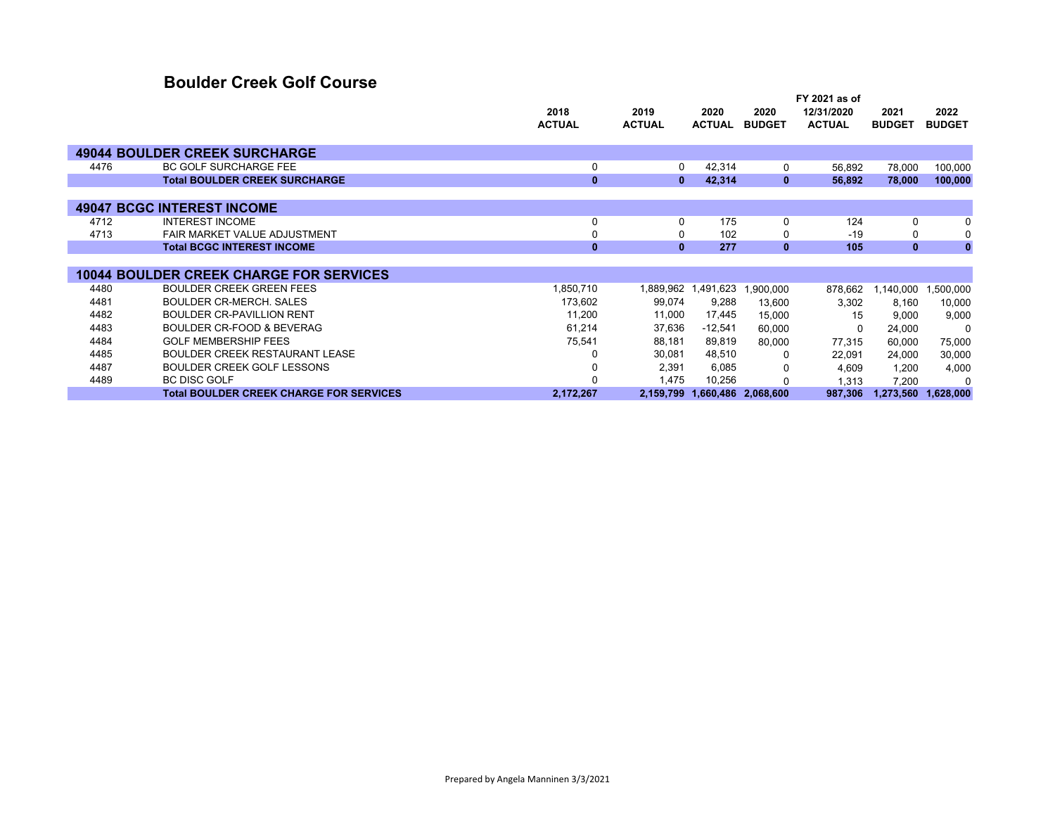### **Boulder Creek Golf Course**

|      |                                                | 2018          | 2019          | 2020          | 2020                | FY 2021 as of<br>12/31/2020 | 2021          | 2022          |
|------|------------------------------------------------|---------------|---------------|---------------|---------------------|-----------------------------|---------------|---------------|
|      |                                                | <b>ACTUAL</b> | <b>ACTUAL</b> | <b>ACTUAL</b> | <b>BUDGET</b>       | <b>ACTUAL</b>               | <b>BUDGET</b> | <b>BUDGET</b> |
|      | <b>49044 BOULDER CREEK SURCHARGE</b>           |               |               |               |                     |                             |               |               |
| 4476 | <b>BC GOLF SURCHARGE FEE</b>                   | 0             | 0             | 42,314        | 0                   | 56,892                      | 78,000        | 100,000       |
|      | <b>Total BOULDER CREEK SURCHARGE</b>           | $\mathbf{0}$  | $\mathbf{0}$  | 42,314        | $\mathbf{0}$        | 56,892                      | 78,000        | 100,000       |
|      |                                                |               |               |               |                     |                             |               |               |
|      | <b>49047 BCGC INTEREST INCOME</b>              |               |               |               |                     |                             |               |               |
| 4712 | <b>INTEREST INCOME</b>                         |               | $\Omega$      | 175           | $\Omega$            | 124                         | $\Omega$      | 0             |
| 4713 | FAIR MARKET VALUE ADJUSTMENT                   |               | 0             | 102           | 0                   | $-19$                       | 0             | 0             |
|      | <b>Total BCGC INTEREST INCOME</b>              | $\mathbf{0}$  | $\mathbf{0}$  | 277           | $\mathbf{0}$        | 105                         | $\mathbf{0}$  | $\mathbf{0}$  |
|      |                                                |               |               |               |                     |                             |               |               |
|      | <b>10044 BOULDER CREEK CHARGE FOR SERVICES</b> |               |               |               |                     |                             |               |               |
| 4480 | <b>BOULDER CREEK GREEN FEES</b>                | 1,850,710     | 1,889,962     | 1,491,623     | 1,900,000           | 878,662                     | 1,140,000     | 1,500,000     |
| 4481 | <b>BOULDER CR-MERCH, SALES</b>                 | 173,602       | 99,074        | 9,288         | 13,600              | 3,302                       | 8,160         | 10,000        |
| 4482 | <b>BOULDER CR-PAVILLION RENT</b>               | 11,200        | 11,000        | 17,445        | 15,000              | 15                          | 9,000         | 9,000         |
| 4483 | <b>BOULDER CR-FOOD &amp; BEVERAG</b>           | 61,214        | 37,636        | $-12,541$     | 60,000              |                             | 24,000        | 0             |
| 4484 | <b>GOLF MEMBERSHIP FEES</b>                    | 75,541        | 88,181        | 89,819        | 80,000              | 77,315                      | 60,000        | 75,000        |
| 4485 | <b>BOULDER CREEK RESTAURANT LEASE</b>          |               | 30,081        | 48,510        | 0                   | 22,091                      | 24,000        | 30,000        |
| 4487 | <b>BOULDER CREEK GOLF LESSONS</b>              |               | 2,391         | 6,085         |                     | 4,609                       | 1,200         | 4,000         |
| 4489 | <b>BC DISC GOLF</b>                            |               | 1,475         | 10,256        |                     | 1,313                       | 7,200         | $\Omega$      |
|      | <b>Total BOULDER CREEK CHARGE FOR SERVICES</b> | 2,172,267     | 2,159,799     |               | 1,660,486 2,068,600 | 987.306                     | 1,273,560     | 1,628,000     |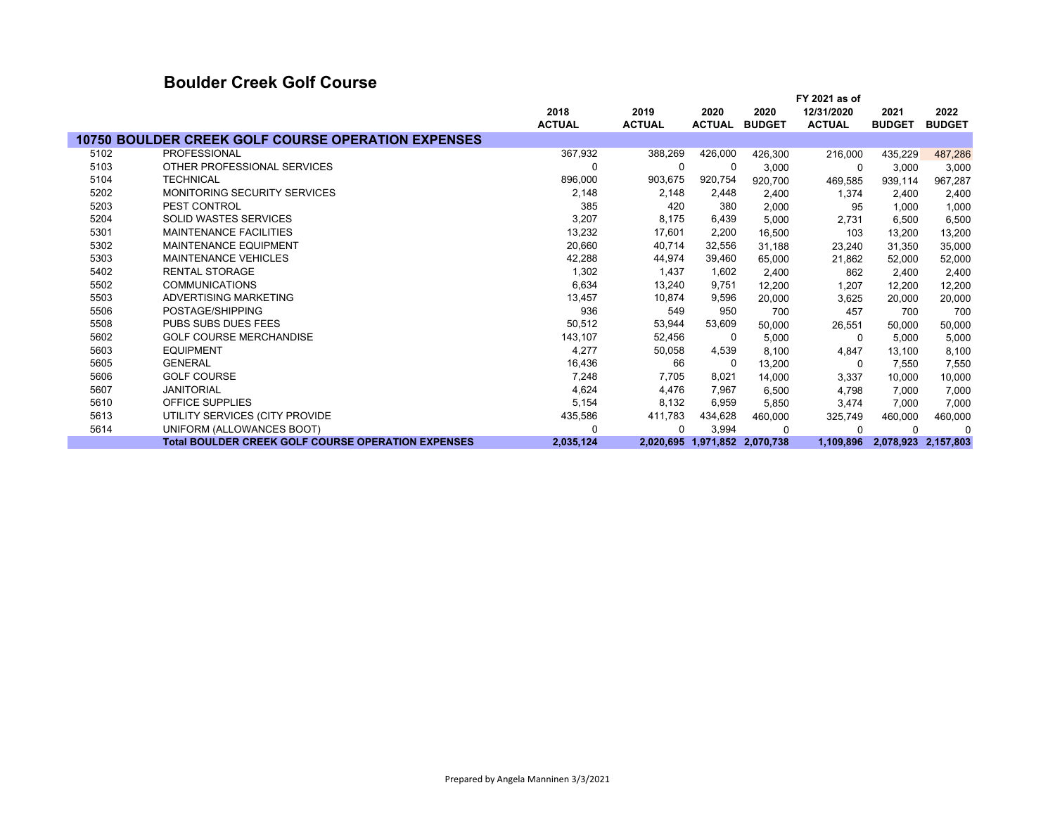### **Boulder Creek Golf Course**

|      |                                                           |               |               | FY 2021 as of |                               |               |               |                     |
|------|-----------------------------------------------------------|---------------|---------------|---------------|-------------------------------|---------------|---------------|---------------------|
|      |                                                           | 2018          | 2019          | 2020          | 2020                          | 12/31/2020    | 2021          | 2022                |
|      |                                                           | <b>ACTUAL</b> | <b>ACTUAL</b> | <b>ACTUAL</b> | <b>BUDGET</b>                 | <b>ACTUAL</b> | <b>BUDGET</b> | <b>BUDGET</b>       |
|      | <b>10750 BOULDER CREEK GOLF COURSE OPERATION EXPENSES</b> |               |               |               |                               |               |               |                     |
| 5102 | <b>PROFESSIONAL</b>                                       | 367,932       | 388,269       | 426,000       | 426,300                       | 216,000       | 435,229       | 487,286             |
| 5103 | OTHER PROFESSIONAL SERVICES                               | $\Omega$      | 0             | 0             | 3,000                         | 0             | 3,000         | 3,000               |
| 5104 | <b>TECHNICAL</b>                                          | 896,000       | 903,675       | 920,754       | 920,700                       | 469,585       | 939,114       | 967,287             |
| 5202 | <b>MONITORING SECURITY SERVICES</b>                       | 2,148         | 2,148         | 2,448         | 2,400                         | 1,374         | 2,400         | 2,400               |
| 5203 | PEST CONTROL                                              | 385           | 420           | 380           | 2,000                         | 95            | 1,000         | 1,000               |
| 5204 | <b>SOLID WASTES SERVICES</b>                              | 3,207         | 8,175         | 6,439         | 5,000                         | 2,731         | 6,500         | 6,500               |
| 5301 | <b>MAINTENANCE FACILITIES</b>                             | 13,232        | 17,601        | 2,200         | 16,500                        | 103           | 13,200        | 13,200              |
| 5302 | MAINTENANCE EQUIPMENT                                     | 20,660        | 40,714        | 32,556        | 31,188                        | 23,240        | 31,350        | 35,000              |
| 5303 | <b>MAINTENANCE VEHICLES</b>                               | 42,288        | 44,974        | 39,460        | 65,000                        | 21,862        | 52,000        | 52,000              |
| 5402 | <b>RENTAL STORAGE</b>                                     | 1,302         | 1,437         | 1,602         | 2,400                         | 862           | 2,400         | 2,400               |
| 5502 | <b>COMMUNICATIONS</b>                                     | 6,634         | 13,240        | 9,751         | 12,200                        | 1,207         | 12,200        | 12,200              |
| 5503 | ADVERTISING MARKETING                                     | 13,457        | 10,874        | 9,596         | 20,000                        | 3,625         | 20,000        | 20,000              |
| 5506 | POSTAGE/SHIPPING                                          | 936           | 549           | 950           | 700                           | 457           | 700           | 700                 |
| 5508 | <b>PUBS SUBS DUES FEES</b>                                | 50,512        | 53,944        | 53,609        | 50,000                        | 26,551        | 50,000        | 50,000              |
| 5602 | <b>GOLF COURSE MERCHANDISE</b>                            | 143,107       | 52,456        | 0             | 5,000                         | 0             | 5,000         | 5,000               |
| 5603 | <b>EQUIPMENT</b>                                          | 4,277         | 50,058        | 4,539         | 8,100                         | 4,847         | 13,100        | 8,100               |
| 5605 | <b>GENERAL</b>                                            | 16,436        | 66            | 0             | 13,200                        | 0             | 7,550         | 7,550               |
| 5606 | <b>GOLF COURSE</b>                                        | 7,248         | 7,705         | 8,021         | 14,000                        | 3,337         | 10,000        | 10,000              |
| 5607 | <b>JANITORIAL</b>                                         | 4,624         | 4,476         | 7,967         | 6,500                         | 4,798         | 7,000         | 7,000               |
| 5610 | <b>OFFICE SUPPLIES</b>                                    | 5,154         | 8,132         | 6,959         | 5,850                         | 3,474         | 7,000         | 7,000               |
| 5613 | UTILITY SERVICES (CITY PROVIDE                            | 435,586       | 411,783       | 434,628       | 460,000                       | 325,749       | 460,000       | 460,000             |
| 5614 | UNIFORM (ALLOWANCES BOOT)                                 | $\Omega$      | $\Omega$      | 3,994         | $\Omega$                      | $\Omega$      | $\Omega$      | $\Omega$            |
|      | <b>Total BOULDER CREEK GOLF COURSE OPERATION EXPENSES</b> | 2,035,124     |               |               | 2,020,695 1,971,852 2,070,738 | 1,109,896     |               | 2,078,923 2,157,803 |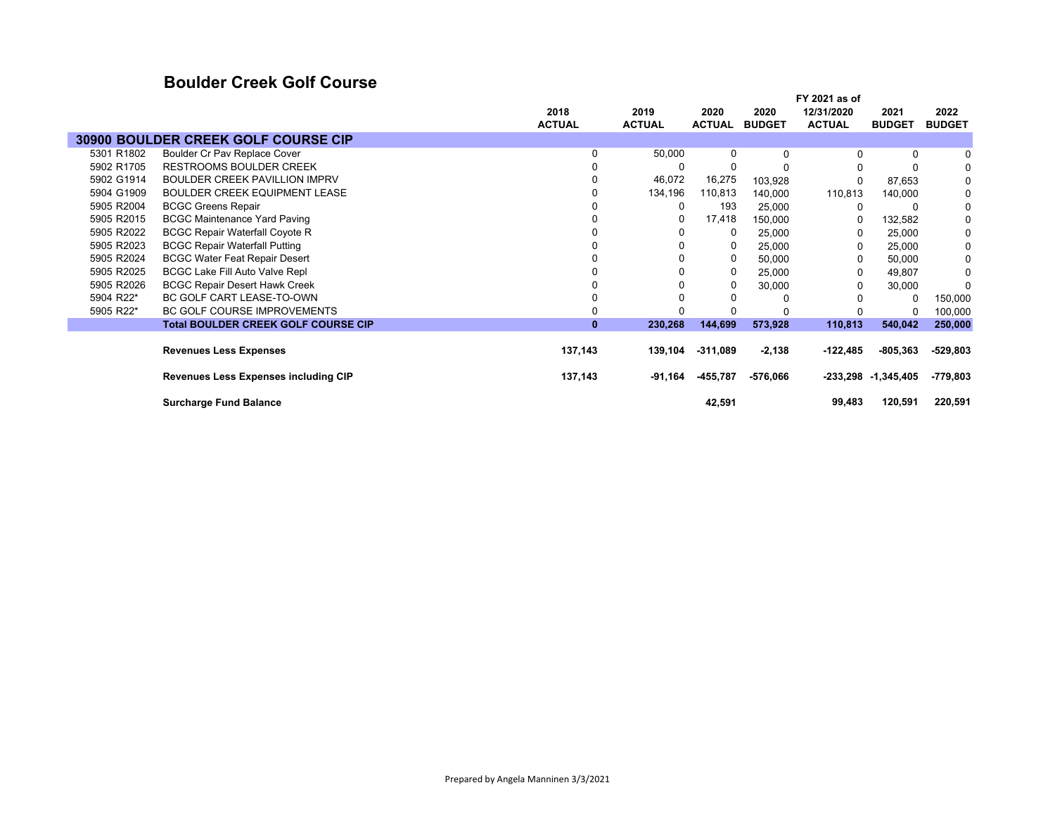### **Boulder Creek Golf Course**

|            |                                            |               |               |               |               | FY 2021 as of |                         |               |
|------------|--------------------------------------------|---------------|---------------|---------------|---------------|---------------|-------------------------|---------------|
|            |                                            | 2018          | 2019          | 2020          | 2020          | 12/31/2020    | 2021                    | 2022          |
|            |                                            | <b>ACTUAL</b> | <b>ACTUAL</b> | <b>ACTUAL</b> | <b>BUDGET</b> | <b>ACTUAL</b> | <b>BUDGET</b>           | <b>BUDGET</b> |
|            | 30900 BOULDER CREEK GOLF COURSE CIP        |               |               |               |               |               |                         |               |
| 5301 R1802 | Boulder Cr Pav Replace Cover               | $\Omega$      | 50,000        | $\Omega$      | $\Omega$      | $\Omega$      | 0                       |               |
| 5902 R1705 | <b>RESTROOMS BOULDER CREEK</b>             |               | 0             | 0             |               |               | 0                       | 0             |
| 5902 G1914 | <b>BOULDER CREEK PAVILLION IMPRV</b>       |               | 46,072        | 16,275        | 103,928       |               | 87,653                  | $\mathbf 0$   |
| 5904 G1909 | BOULDER CREEK EQUIPMENT LEASE              |               | 134,196       | 110,813       | 140,000       | 110,813       | 140,000                 | 0             |
| 5905 R2004 | <b>BCGC Greens Repair</b>                  |               | 0             | 193           | 25,000        | $\Omega$      | 0                       | $\mathbf 0$   |
| 5905 R2015 | <b>BCGC Maintenance Yard Paving</b>        |               | 0             | 17,418        | 150,000       | 0             | 132,582                 | 0             |
| 5905 R2022 | <b>BCGC Repair Waterfall Coyote R</b>      |               | 0             | 0             | 25,000        | 0             | 25,000                  | 0             |
| 5905 R2023 | <b>BCGC Repair Waterfall Putting</b>       |               |               | 0             | 25,000        | 0             | 25,000                  | 0             |
| 5905 R2024 | <b>BCGC Water Feat Repair Desert</b>       |               |               | 0             | 50,000        | 0             | 50,000                  | 0             |
| 5905 R2025 | BCGC Lake Fill Auto Valve Repl             |               |               | 0             | 25,000        | $\Omega$      | 49,807                  | 0             |
| 5905 R2026 | <b>BCGC Repair Desert Hawk Creek</b>       |               |               | 0             | 30,000        | 0             | 30,000                  |               |
| 5904 R22*  | BC GOLF CART LEASE-TO-OWN                  |               |               | 0             |               |               | 0                       | 150,000       |
| 5905 R22*  | <b>BC GOLF COURSE IMPROVEMENTS</b>         |               |               |               |               |               | 0                       | 100,000       |
|            | <b>Total BOULDER CREEK GOLF COURSE CIP</b> | $\bf{0}$      | 230,268       | 144,699       | 573,928       | 110,813       | 540,042                 | 250,000       |
|            |                                            |               |               |               |               |               |                         |               |
|            | <b>Revenues Less Expenses</b>              | 137,143       | 139,104       | -311,089      | $-2,138$      | -122,485      | -805,363                | $-529,803$    |
|            |                                            |               |               |               |               |               |                         |               |
|            | Revenues Less Expenses including CIP       | 137,143       | -91,164       | -455,787      | -576,066      |               | $-233,298$ $-1,345,405$ | -779,803      |
|            |                                            |               |               |               |               |               |                         |               |
|            | <b>Surcharge Fund Balance</b>              |               |               | 42,591        |               | 99,483        | 120,591                 | 220,591       |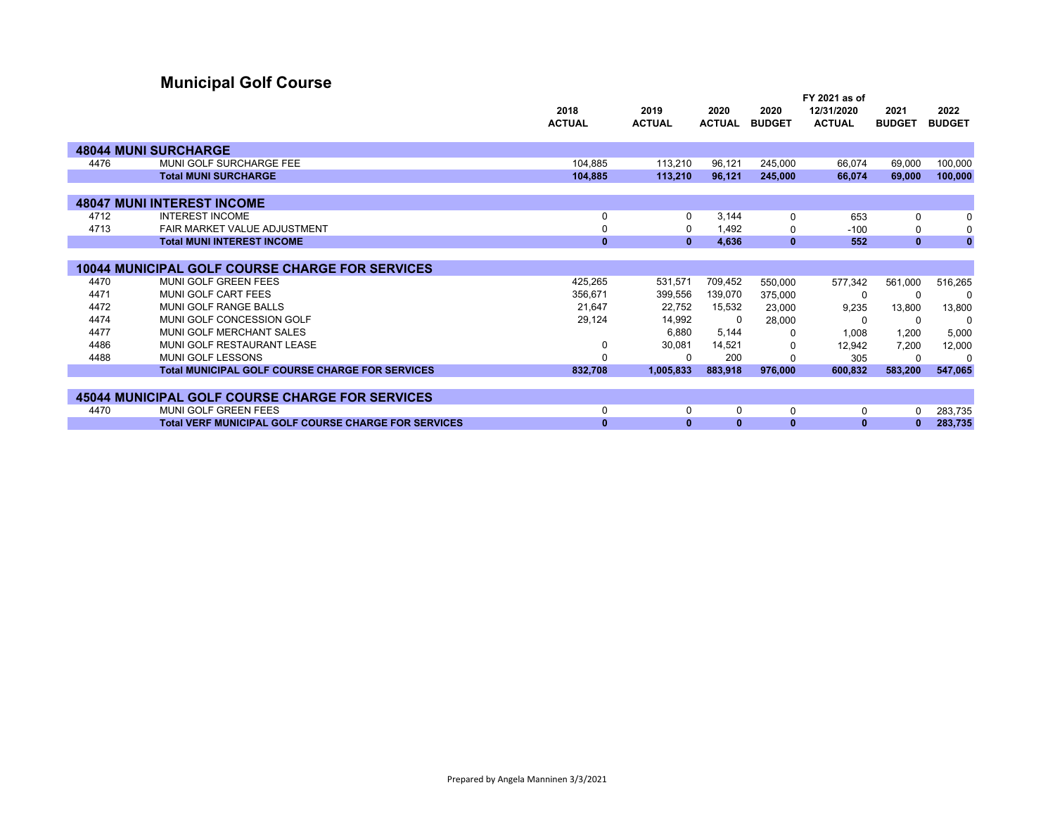# **Municipal Golf Course**

|      |                                                             | 2018          | 2019          | 2020          | 2020          | 12/31/2020    | 2021          | 2022          |
|------|-------------------------------------------------------------|---------------|---------------|---------------|---------------|---------------|---------------|---------------|
|      |                                                             | <b>ACTUAL</b> | <b>ACTUAL</b> | <b>ACTUAL</b> | <b>BUDGET</b> | <b>ACTUAL</b> | <b>BUDGET</b> | <b>BUDGET</b> |
|      |                                                             |               |               |               |               |               |               |               |
|      | <b>48044 MUNI SURCHARGE</b>                                 |               |               |               |               |               |               |               |
| 4476 | MUNI GOLF SURCHARGE FEE                                     | 104,885       | 113,210       | 96,121        | 245,000       | 66.074        | 69,000        | 100.000       |
|      | <b>Total MUNI SURCHARGE</b>                                 | 104,885       | 113,210       | 96,121        | 245,000       | 66,074        | 69,000        | 100,000       |
|      |                                                             |               |               |               |               |               |               |               |
|      | <b>48047 MUNI INTEREST INCOME</b>                           |               |               |               |               |               |               |               |
| 4712 | <b>INTEREST INCOME</b>                                      | 0             | $\Omega$      | 3,144         | $\Omega$      | 653           | 0             | 0             |
| 4713 | FAIR MARKET VALUE ADJUSTMENT                                | 0             | $\Omega$      | 1.492         | 0             | $-100$        | 0             | 0             |
|      | <b>Total MUNI INTEREST INCOME</b>                           | $\mathbf{0}$  | $\mathbf{0}$  | 4,636         | $\mathbf{0}$  | 552           | $\mathbf{0}$  | $\mathbf{0}$  |
|      |                                                             |               |               |               |               |               |               |               |
|      | <b>10044 MUNICIPAL GOLF COURSE CHARGE FOR SERVICES</b>      |               |               |               |               |               |               |               |
| 4470 | <b>MUNI GOLF GREEN FEES</b>                                 | 425,265       | 531,571       | 709,452       | 550,000       | 577,342       | 561,000       | 516,265       |
| 4471 | MUNI GOLF CART FEES                                         | 356,671       | 399,556       | 139,070       | 375,000       | 0             | 0             | $\Omega$      |
| 4472 | MUNI GOLF RANGE BALLS                                       | 21,647        | 22,752        | 15,532        | 23,000        | 9,235         | 13,800        | 13,800        |
| 4474 | MUNI GOLF CONCESSION GOLF                                   | 29,124        | 14,992        | 0             | 28,000        | $\Omega$      | 0             | 0             |
| 4477 | MUNI GOLF MERCHANT SALES                                    |               | 6,880         | 5,144         | O             | 1,008         | 1,200         | 5,000         |
| 4486 | MUNI GOLF RESTAURANT LEASE                                  | 0             | 30,081        | 14,521        | 0             | 12.942        | 7.200         | 12,000        |
| 4488 | MUNI GOLF LESSONS                                           | $\Omega$      | ŋ             | 200           |               | 305           | O             |               |
|      | <b>Total MUNICIPAL GOLF COURSE CHARGE FOR SERVICES</b>      | 832,708       | 1,005,833     | 883,918       | 976,000       | 600,832       | 583,200       | 547,065       |
|      |                                                             |               |               |               |               |               |               |               |
|      | <b>45044 MUNICIPAL GOLF COURSE CHARGE FOR SERVICES</b>      |               |               |               |               |               |               |               |
| 4470 | MUNI GOLF GREEN FEES                                        | 0             | $\Omega$      | 0             | 0             | 0             | O             | 283,735       |
|      | <b>Total VERF MUNICIPAL GOLF COURSE CHARGE FOR SERVICES</b> | $\bf{0}$      | 0             | 0             | $\mathbf{0}$  | $\bf{0}$      |               | 283,735       |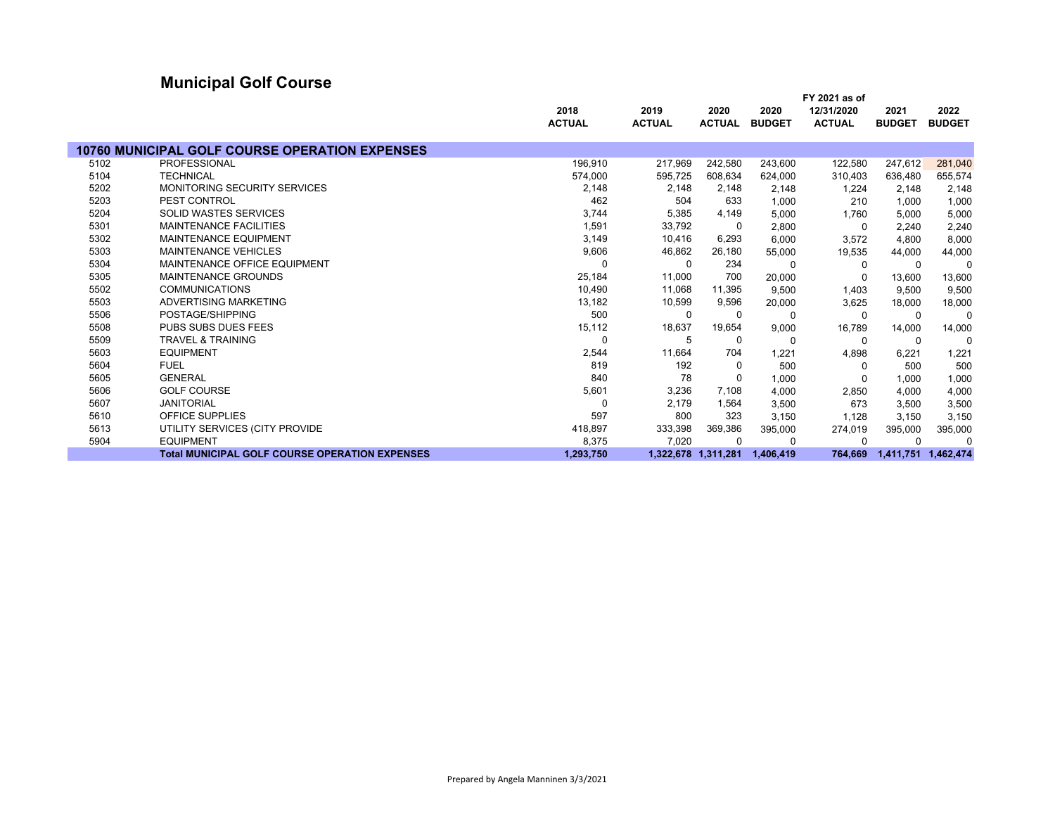# **Municipal Golf Course**

|      |                                                       |               |               |                     |               | FY 2021 as of |               |                     |
|------|-------------------------------------------------------|---------------|---------------|---------------------|---------------|---------------|---------------|---------------------|
|      |                                                       | 2018          | 2019          | 2020                | 2020          | 12/31/2020    | 2021          | 2022                |
|      |                                                       | <b>ACTUAL</b> | <b>ACTUAL</b> | <b>ACTUAL</b>       | <b>BUDGET</b> | <b>ACTUAL</b> | <b>BUDGET</b> | <b>BUDGET</b>       |
|      |                                                       |               |               |                     |               |               |               |                     |
|      | <b>10760 MUNICIPAL GOLF COURSE OPERATION EXPENSES</b> |               |               |                     |               |               |               |                     |
| 5102 | <b>PROFESSIONAL</b>                                   | 196,910       | 217,969       | 242,580             | 243,600       | 122,580       | 247,612       | 281,040             |
| 5104 | <b>TECHNICAL</b>                                      | 574,000       | 595,725       | 608,634             | 624.000       | 310,403       | 636,480       | 655,574             |
| 5202 | <b>MONITORING SECURITY SERVICES</b>                   | 2,148         | 2,148         | 2,148               | 2,148         | 1,224         | 2,148         | 2,148               |
| 5203 | PEST CONTROL                                          | 462           | 504           | 633                 | 1,000         | 210           | 1,000         | 1,000               |
| 5204 | SOLID WASTES SERVICES                                 | 3,744         | 5,385         | 4,149               | 5,000         | 1,760         | 5,000         | 5,000               |
| 5301 | <b>MAINTENANCE FACILITIES</b>                         | 1,591         | 33,792        | 0                   | 2,800         | 0             | 2,240         | 2,240               |
| 5302 | <b>MAINTENANCE EQUIPMENT</b>                          | 3,149         | 10,416        | 6,293               | 6,000         | 3,572         | 4,800         | 8,000               |
| 5303 | <b>MAINTENANCE VEHICLES</b>                           | 9,606         | 46,862        | 26,180              | 55,000        | 19,535        | 44,000        | 44,000              |
| 5304 | MAINTENANCE OFFICE EQUIPMENT                          |               | 0             | 234                 | $\Omega$      | 0             | $\Omega$      | $\Omega$            |
| 5305 | <b>MAINTENANCE GROUNDS</b>                            | 25,184        | 11,000        | 700                 | 20,000        | 0             | 13,600        | 13,600              |
| 5502 | <b>COMMUNICATIONS</b>                                 | 10,490        | 11,068        | 11,395              | 9.500         | 1,403         | 9,500         | 9,500               |
| 5503 | ADVERTISING MARKETING                                 | 13,182        | 10,599        | 9,596               | 20,000        | 3,625         | 18,000        | 18,000              |
| 5506 | POSTAGE/SHIPPING                                      | 500           | 0             | 0                   | $\Omega$      | $\Omega$      | $\Omega$      | $\Omega$            |
| 5508 | PUBS SUBS DUES FEES                                   | 15,112        | 18,637        | 19,654              | 9,000         | 16,789        | 14,000        | 14,000              |
| 5509 | <b>TRAVEL &amp; TRAINING</b>                          | $\Omega$      | 5             | $\Omega$            | $\Omega$      | 0             | 0             | $\Omega$            |
| 5603 | <b>EQUIPMENT</b>                                      | 2,544         | 11,664        | 704                 | 1,221         | 4,898         | 6,221         | 1,221               |
| 5604 | <b>FUEL</b>                                           | 819           | 192           | 0                   | 500           | 0             | 500           | 500                 |
| 5605 | <b>GENERAL</b>                                        | 840           | 78            | 0                   | 1,000         | 0             | 1,000         | 1,000               |
| 5606 | <b>GOLF COURSE</b>                                    | 5,601         | 3,236         | 7,108               | 4.000         | 2,850         | 4,000         | 4,000               |
| 5607 | <b>JANITORIAL</b>                                     | 0             | 2,179         | 1,564               | 3,500         | 673           | 3,500         | 3,500               |
| 5610 | OFFICE SUPPLIES                                       | 597           | 800           | 323                 | 3,150         | 1.128         | 3,150         | 3,150               |
| 5613 | UTILITY SERVICES (CITY PROVIDE                        | 418,897       | 333,398       | 369,386             | 395,000       | 274,019       | 395,000       | 395,000             |
| 5904 | <b>EQUIPMENT</b>                                      | 8,375         | 7,020         | $\Omega$            | $\Omega$      | $\Omega$      | $\Omega$      | $\Omega$            |
|      | <b>Total MUNICIPAL GOLF COURSE OPERATION EXPENSES</b> | 1,293,750     |               | 1,322,678 1,311,281 | 1,406,419     | 764,669       |               | 1,411,751 1,462,474 |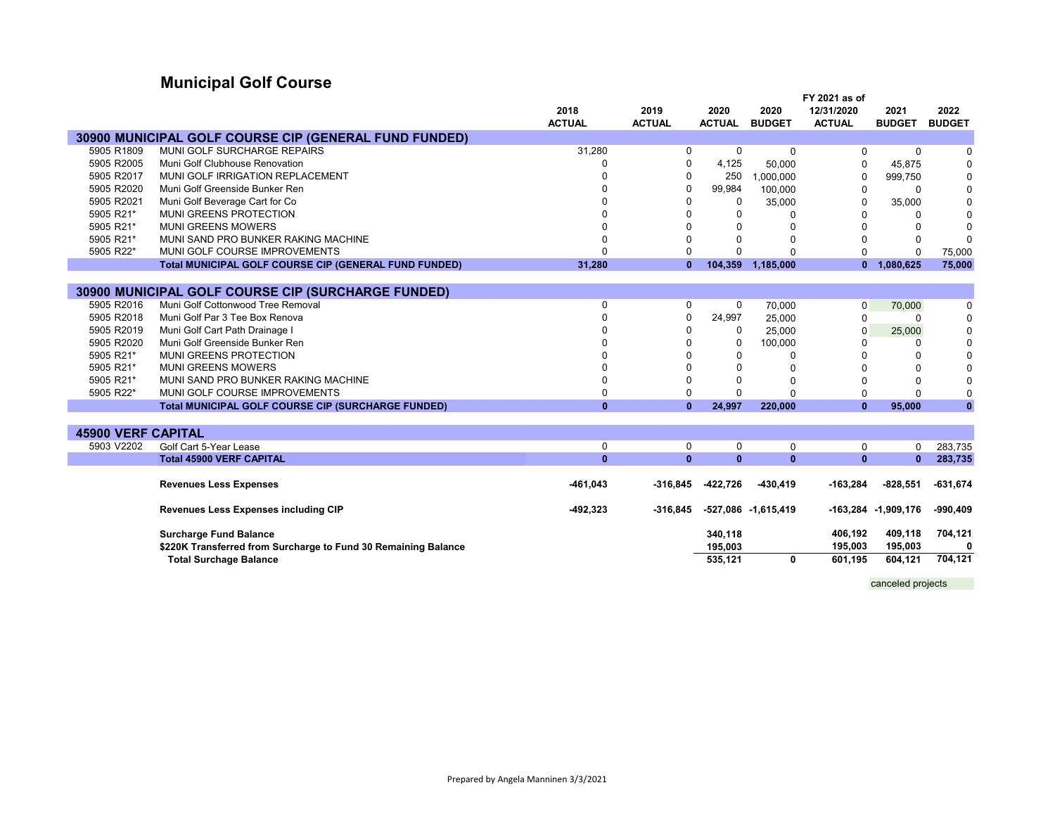# **Municipal Golf Course**

|                           |                                                                |               |               |               |                     | FY 2021 as of |                     |               |
|---------------------------|----------------------------------------------------------------|---------------|---------------|---------------|---------------------|---------------|---------------------|---------------|
|                           |                                                                | 2018          | 2019          | 2020          | 2020                | 12/31/2020    | 2021                | 2022          |
|                           |                                                                | <b>ACTUAL</b> | <b>ACTUAL</b> | <b>ACTUAL</b> | <b>BUDGET</b>       | <b>ACTUAL</b> | <b>BUDGET</b>       | <b>BUDGET</b> |
|                           | 30900 MUNICIPAL GOLF COURSE CIP (GENERAL FUND FUNDED)          |               |               |               |                     |               |                     |               |
| 5905 R1809                | MUNI GOLF SURCHARGE REPAIRS                                    | 31,280        | 0             | 0             | $\Omega$            | 0             | 0                   | 0             |
| 5905 R2005                | Muni Golf Clubhouse Renovation                                 |               | $\Omega$      | 4,125         | 50,000              | $\Omega$      | 45,875              | $\mathbf 0$   |
| 5905 R2017                | MUNI GOLF IRRIGATION REPLACEMENT                               |               | $\Omega$      | 250           | 1,000,000           | 0             | 999,750             | $\mathbf 0$   |
| 5905 R2020                | Muni Golf Greenside Bunker Ren                                 |               | $\Omega$      | 99,984        | 100,000             | $\Omega$      | $\Omega$            | $\mathbf 0$   |
| 5905 R2021                | Muni Golf Beverage Cart for Co                                 |               | $\Omega$      | 0             | 35,000              | 0             | 35,000              | $\mathbf 0$   |
| 5905 R21*                 | <b>MUNI GREENS PROTECTION</b>                                  |               | $\Omega$      | $\Omega$      | $\Omega$            | 0             | 0                   | $\mathbf 0$   |
| 5905 R21*                 | <b>MUNI GREENS MOWERS</b>                                      |               | $\Omega$      | $\Omega$      |                     | O             | $\Omega$            | $\mathbf 0$   |
| 5905 R21*                 | MUNI SAND PRO BUNKER RAKING MACHINE                            |               | $\Omega$      | $\Omega$      | O                   |               | $\Omega$            | $\mathbf 0$   |
| 5905 R22*                 | MUNI GOLF COURSE IMPROVEMENTS                                  | $\Omega$      | $\Omega$      | $\Omega$      |                     | 0             | $\Omega$            | 75,000        |
|                           | Total MUNICIPAL GOLF COURSE CIP (GENERAL FUND FUNDED)          | 31,280        | $\mathbf{0}$  | 104,359       | 1,185,000           | $\mathbf{0}$  | 1,080,625           | 75,000        |
|                           |                                                                |               |               |               |                     |               |                     |               |
|                           | 30900 MUNICIPAL GOLF COURSE CIP (SURCHARGE FUNDED)             |               |               |               |                     |               |                     |               |
| 5905 R2016                | Muni Golf Cottonwood Tree Removal                              | $\mathbf 0$   | 0             | $\mathbf 0$   | 70,000              | $\mathbf 0$   | 70,000              | 0             |
| 5905 R2018                | Muni Golf Par 3 Tee Box Renova                                 | $\Omega$      | $\Omega$      | 24,997        | 25,000              | 0             | O                   | $\mathbf 0$   |
| 5905 R2019                | Muni Golf Cart Path Drainage I                                 |               | $\Omega$      | 0             | 25,000              | 0             | 25,000              | $\mathbf 0$   |
| 5905 R2020                | Muni Golf Greenside Bunker Ren                                 |               | $\Omega$      | 0             | 100,000             | 0             | 0                   | $\mathbf 0$   |
| 5905 R21*                 | <b>MUNI GREENS PROTECTION</b>                                  |               | $\Omega$      | $\Omega$      | $\Omega$            | U             | $\Omega$            | $\mathbf 0$   |
| 5905 R21*                 | <b>MUNI GREENS MOWERS</b>                                      |               | $\Omega$      | $\Omega$      | O                   | U             | $\Omega$            | $\mathbf 0$   |
| 5905 R21*                 | MUNI SAND PRO BUNKER RAKING MACHINE                            | $\Omega$      | $\Omega$      | $\Omega$      | $\Omega$            | U             | $\Omega$            | $\mathbf 0$   |
| 5905 R22*                 | MUNI GOLF COURSE IMPROVEMENTS                                  | $\Omega$      | $\Omega$      | $\Omega$      |                     | 0             | $\Omega$            | $\mathbf 0$   |
|                           | <b>Total MUNICIPAL GOLF COURSE CIP (SURCHARGE FUNDED)</b>      | $\mathbf{0}$  | $\mathbf{0}$  | 24,997        | 220,000             | $\mathbf{0}$  | 95,000              | $\mathbf{0}$  |
|                           |                                                                |               |               |               |                     |               |                     |               |
| <b>45900 VERF CAPITAL</b> |                                                                |               |               |               |                     |               |                     |               |
| 5903 V2202                | Golf Cart 5-Year Lease                                         | $\mathbf 0$   | 0             | 0             | $\mathbf 0$         | $\mathbf 0$   | 0                   | 283,735       |
|                           | <b>Total 45900 VERF CAPITAL</b>                                | $\mathbf{0}$  | $\mathbf{0}$  | $\mathbf{0}$  | $\mathbf{0}$        | $\bf{0}$      | $\mathbf{0}$        | 283,735       |
|                           |                                                                |               |               |               |                     |               |                     |               |
|                           | <b>Revenues Less Expenses</b>                                  | $-461,043$    | $-316.845$    | -422,726      | $-430,419$          | $-163,284$    | $-828.551$          | $-631,674$    |
|                           |                                                                |               |               |               |                     |               |                     |               |
|                           | <b>Revenues Less Expenses including CIP</b>                    | $-492,323$    | $-316,845$    |               | -527,086 -1,615,419 |               | -163,284 -1,909,176 | $-990,409$    |
|                           | <b>Surcharge Fund Balance</b>                                  |               |               | 340,118       |                     | 406,192       | 409,118             | 704,121       |
|                           | \$220K Transferred from Surcharge to Fund 30 Remaining Balance |               |               | 195,003       |                     | 195,003       | 195,003             | 0             |
|                           | <b>Total Surchage Balance</b>                                  |               |               | 535,121       | 0                   | 601,195       | 604,121             | 704,121       |
|                           |                                                                |               |               |               |                     |               |                     |               |

canceled projects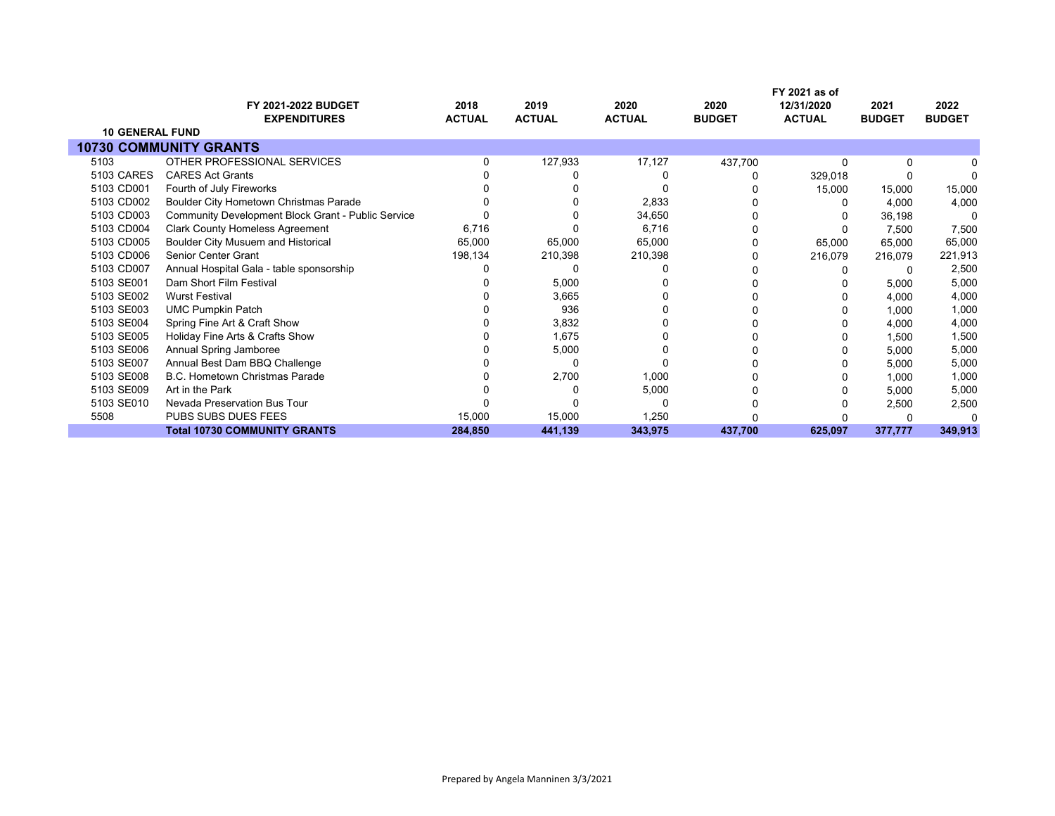|                        | <b>FY 2021-2022 BUDGET</b>                                | 2018          | 2019          | 2020          | 2020          | FY 2021 as of<br>12/31/2020 | 2021          | 2022          |
|------------------------|-----------------------------------------------------------|---------------|---------------|---------------|---------------|-----------------------------|---------------|---------------|
|                        | <b>EXPENDITURES</b>                                       | <b>ACTUAL</b> | <b>ACTUAL</b> | <b>ACTUAL</b> | <b>BUDGET</b> | <b>ACTUAL</b>               | <b>BUDGET</b> | <b>BUDGET</b> |
| <b>10 GENERAL FUND</b> |                                                           |               |               |               |               |                             |               |               |
|                        | <b>10730 COMMUNITY GRANTS</b>                             |               |               |               |               |                             |               |               |
| 5103                   | OTHER PROFESSIONAL SERVICES                               |               | 127,933       | 17,127        | 437,700       | O                           | 0             |               |
| 5103 CARES             | <b>CARES Act Grants</b>                                   |               |               |               |               | 329,018                     |               |               |
| 5103 CD001             | Fourth of July Fireworks                                  |               |               |               |               | 15,000                      | 15,000        | 15,000        |
| 5103 CD002             | Boulder City Hometown Christmas Parade                    |               |               | 2,833         |               |                             | 4,000         | 4,000         |
| 5103 CD003             | <b>Community Development Block Grant - Public Service</b> |               |               | 34,650        |               |                             | 36,198        | 0             |
| 5103 CD004             | <b>Clark County Homeless Agreement</b>                    | 6,716         |               | 6,716         |               |                             | 7,500         | 7,500         |
| 5103 CD005             | Boulder City Musuem and Historical                        | 65,000        | 65,000        | 65,000        |               | 65,000                      | 65,000        | 65,000        |
| 5103 CD006             | <b>Senior Center Grant</b>                                | 198,134       | 210,398       | 210,398       |               | 216,079                     | 216,079       | 221,913       |
| 5103 CD007             | Annual Hospital Gala - table sponsorship                  |               |               |               |               |                             | 0             | 2,500         |
| 5103 SE001             | Dam Short Film Festival                                   |               | 5,000         |               |               |                             | 5,000         | 5,000         |
| 5103 SE002             | <b>Wurst Festival</b>                                     |               | 3,665         |               |               |                             | 4,000         | 4,000         |
| 5103 SE003             | <b>UMC Pumpkin Patch</b>                                  |               | 936           |               |               |                             | 1,000         | 1,000         |
| 5103 SE004             | Spring Fine Art & Craft Show                              |               | 3,832         |               |               |                             | 4,000         | 4,000         |
| 5103 SE005             | Holiday Fine Arts & Crafts Show                           |               | 1,675         |               |               |                             | 1,500         | 1,500         |
| 5103 SE006             | Annual Spring Jamboree                                    |               | 5,000         |               |               |                             | 5,000         | 5,000         |
| 5103 SE007             | Annual Best Dam BBQ Challenge                             |               |               |               |               |                             | 5,000         | 5,000         |
| 5103 SE008             | <b>B.C. Hometown Christmas Parade</b>                     |               | 2,700         | 1,000         |               |                             | 1,000         | 1,000         |
| 5103 SE009             | Art in the Park                                           |               |               | 5,000         |               |                             | 5,000         | 5,000         |
| 5103 SE010             | Nevada Preservation Bus Tour                              |               |               | ŋ             |               |                             | 2,500         | 2,500         |
| 5508                   | PUBS SUBS DUES FEES                                       | 15,000        | 15,000        | 1,250         |               |                             |               |               |
|                        | <b>Total 10730 COMMUNITY GRANTS</b>                       | 284,850       | 441,139       | 343,975       | 437,700       | 625,097                     | 377,777       | 349,913       |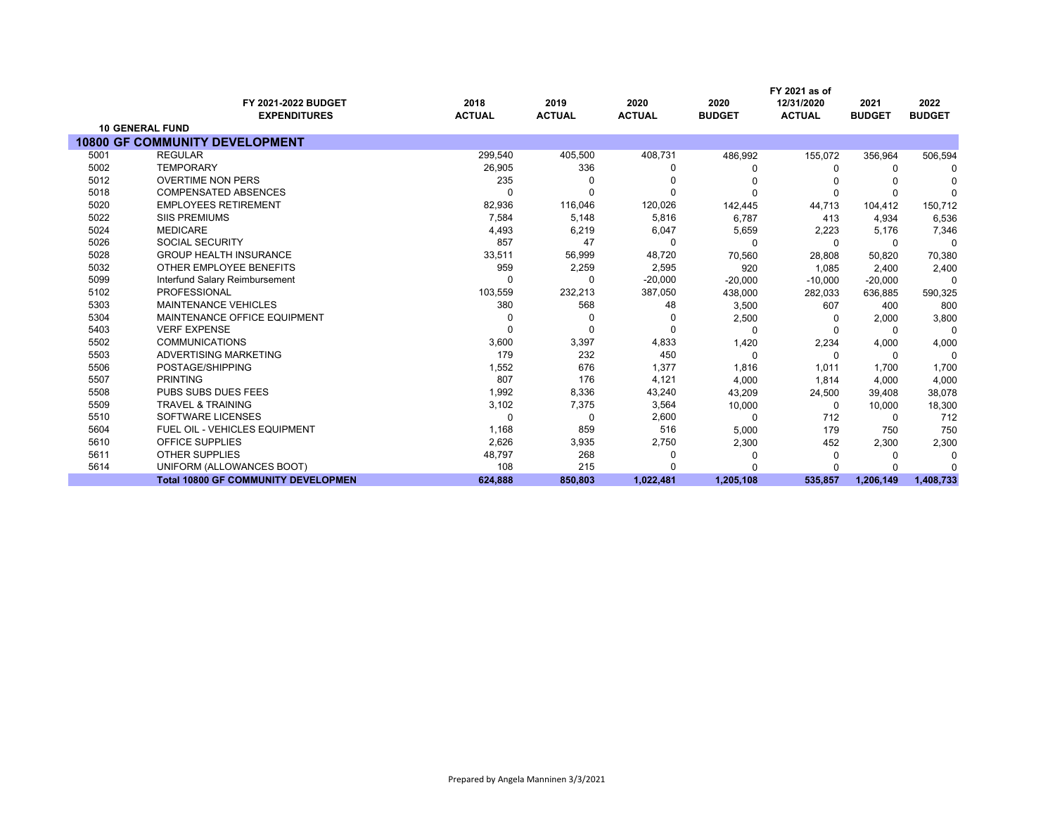|      | FY 2021 as of                              |                       |                       |                       |                       |                             |                       |                       |
|------|--------------------------------------------|-----------------------|-----------------------|-----------------------|-----------------------|-----------------------------|-----------------------|-----------------------|
|      | FY 2021-2022 BUDGET<br><b>EXPENDITURES</b> | 2018<br><b>ACTUAL</b> | 2019<br><b>ACTUAL</b> | 2020<br><b>ACTUAL</b> | 2020<br><b>BUDGET</b> | 12/31/2020<br><b>ACTUAL</b> | 2021<br><b>BUDGET</b> | 2022<br><b>BUDGET</b> |
|      | <b>10 GENERAL FUND</b>                     |                       |                       |                       |                       |                             |                       |                       |
|      | <b>10800 GF COMMUNITY DEVELOPMENT</b>      |                       |                       |                       |                       |                             |                       |                       |
| 5001 | <b>REGULAR</b>                             | 299,540               | 405,500               | 408,731               | 486,992               | 155,072                     | 356,964               | 506,594               |
| 5002 | <b>TEMPORARY</b>                           | 26,905                | 336                   | <sup>0</sup>          |                       | 0                           | 0                     |                       |
| 5012 | <b>OVERTIME NON PERS</b>                   | 235                   |                       |                       |                       |                             |                       |                       |
| 5018 | <b>COMPENSATED ABSENCES</b>                |                       |                       | $\Omega$              |                       | 0                           | <sup>0</sup>          |                       |
| 5020 | <b>EMPLOYEES RETIREMENT</b>                | 82,936                | 116,046               | 120,026               | 142,445               | 44,713                      | 104,412               | 150,712               |
| 5022 | <b>SIIS PREMIUMS</b>                       | 7,584                 | 5,148                 | 5,816                 | 6,787                 | 413                         | 4,934                 | 6,536                 |
| 5024 | <b>MEDICARE</b>                            | 4,493                 | 6,219                 | 6,047                 | 5,659                 | 2,223                       | 5,176                 | 7,346                 |
| 5026 | <b>SOCIAL SECURITY</b>                     | 857                   | 47                    | $\Omega$              | n                     | $\Omega$                    | $\Omega$              | $\Omega$              |
| 5028 | <b>GROUP HEALTH INSURANCE</b>              | 33,511                | 56,999                | 48,720                | 70,560                | 28,808                      | 50,820                | 70,380                |
| 5032 | OTHER EMPLOYEE BENEFITS                    | 959                   | 2,259                 | 2,595                 | 920                   | 1,085                       | 2,400                 | 2,400                 |
| 5099 | Interfund Salary Reimbursement             |                       | $\Omega$              | $-20,000$             | $-20,000$             | $-10,000$                   | $-20,000$             | $\Omega$              |
| 5102 | PROFESSIONAL                               | 103,559               | 232,213               | 387,050               | 438,000               | 282,033                     | 636,885               | 590,325               |
| 5303 | <b>MAINTENANCE VEHICLES</b>                | 380                   | 568                   | 48                    | 3,500                 | 607                         | 400                   | 800                   |
| 5304 | MAINTENANCE OFFICE EQUIPMENT               |                       |                       | <sup>0</sup>          | 2,500                 | <sup>0</sup>                | 2,000                 | 3,800                 |
| 5403 | <b>VERF EXPENSE</b>                        |                       |                       | $\Omega$              | $\Omega$              |                             | $\Omega$              | $\Omega$              |
| 5502 | <b>COMMUNICATIONS</b>                      | 3,600                 | 3,397                 | 4,833                 | 1,420                 | 2,234                       | 4,000                 | 4,000                 |
| 5503 | ADVERTISING MARKETING                      | 179                   | 232                   | 450                   | $\Omega$              | $\Omega$                    | $\Omega$              | $\Omega$              |
| 5506 | POSTAGE/SHIPPING                           | 1,552                 | 676                   | 1,377                 | 1,816                 | 1,011                       | 1.700                 | 1,700                 |
| 5507 | <b>PRINTING</b>                            | 807                   | 176                   | 4,121                 | 4,000                 | 1,814                       | 4,000                 | 4,000                 |
| 5508 | <b>PUBS SUBS DUES FEES</b>                 | 1,992                 | 8,336                 | 43,240                | 43,209                | 24,500                      | 39,408                | 38,078                |
| 5509 | <b>TRAVEL &amp; TRAINING</b>               | 3,102                 | 7,375                 | 3,564                 | 10,000                | $\Omega$                    | 10,000                | 18,300                |
| 5510 | SOFTWARE LICENSES                          | $\Omega$              | 0                     | 2,600                 | 0                     | 712                         | 0                     | 712                   |
| 5604 | <b>FUEL OIL - VEHICLES EQUIPMENT</b>       | 1,168                 | 859                   | 516                   | 5,000                 | 179                         | 750                   | 750                   |
| 5610 | <b>OFFICE SUPPLIES</b>                     | 2,626                 | 3,935                 | 2,750                 | 2,300                 | 452                         | 2,300                 | 2,300                 |
| 5611 | <b>OTHER SUPPLIES</b>                      | 48,797                | 268                   | 0                     |                       | 0                           | n                     |                       |
| 5614 | UNIFORM (ALLOWANCES BOOT)                  | 108                   | 215                   |                       |                       |                             | n                     |                       |
|      | <b>Total 10800 GF COMMUNITY DEVELOPMEN</b> | 624,888               | 850,803               | 1,022,481             | 1,205,108             | 535,857                     | 1,206,149             | 1,408,733             |